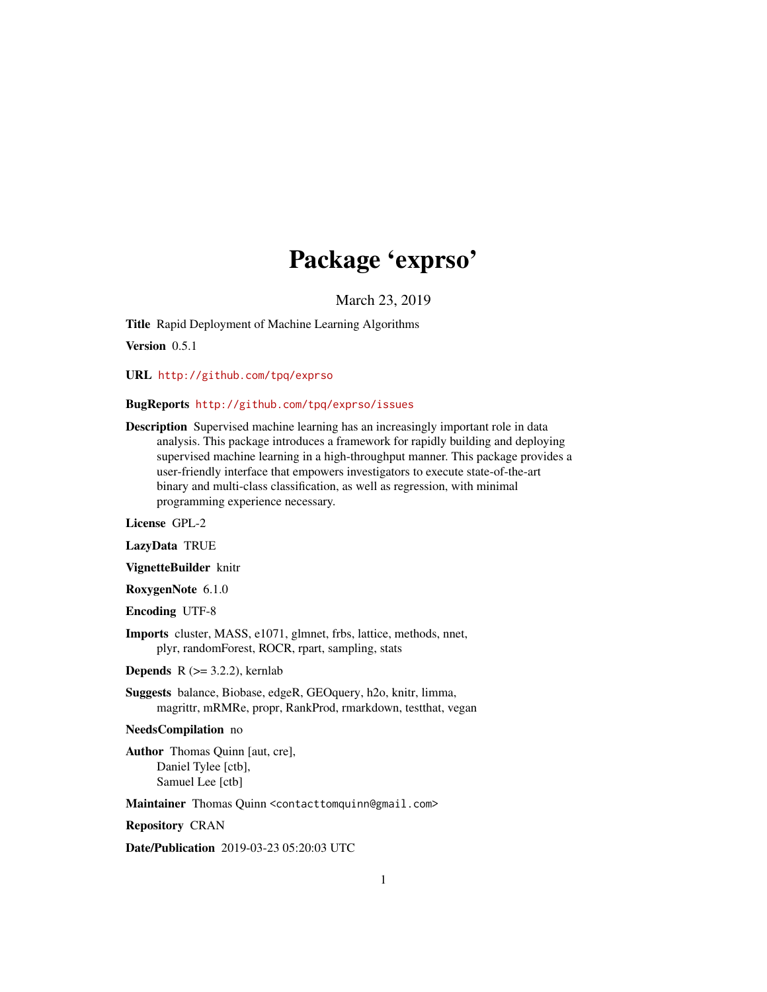# Package 'exprso'

March 23, 2019

<span id="page-0-0"></span>Title Rapid Deployment of Machine Learning Algorithms

Version 0.5.1

URL <http://github.com/tpq/exprso>

#### BugReports <http://github.com/tpq/exprso/issues>

Description Supervised machine learning has an increasingly important role in data analysis. This package introduces a framework for rapidly building and deploying supervised machine learning in a high-throughput manner. This package provides a user-friendly interface that empowers investigators to execute state-of-the-art binary and multi-class classification, as well as regression, with minimal programming experience necessary.

License GPL-2

LazyData TRUE

VignetteBuilder knitr

RoxygenNote 6.1.0

Encoding UTF-8

Imports cluster, MASS, e1071, glmnet, frbs, lattice, methods, nnet, plyr, randomForest, ROCR, rpart, sampling, stats

**Depends** R  $(>= 3.2.2)$ , kernlab

Suggests balance, Biobase, edgeR, GEOquery, h2o, knitr, limma, magrittr, mRMRe, propr, RankProd, rmarkdown, testthat, vegan

### NeedsCompilation no

Author Thomas Quinn [aut, cre], Daniel Tylee [ctb], Samuel Lee [ctb]

Maintainer Thomas Quinn <contacttomquinn@gmail.com>

Repository CRAN

Date/Publication 2019-03-23 05:20:03 UTC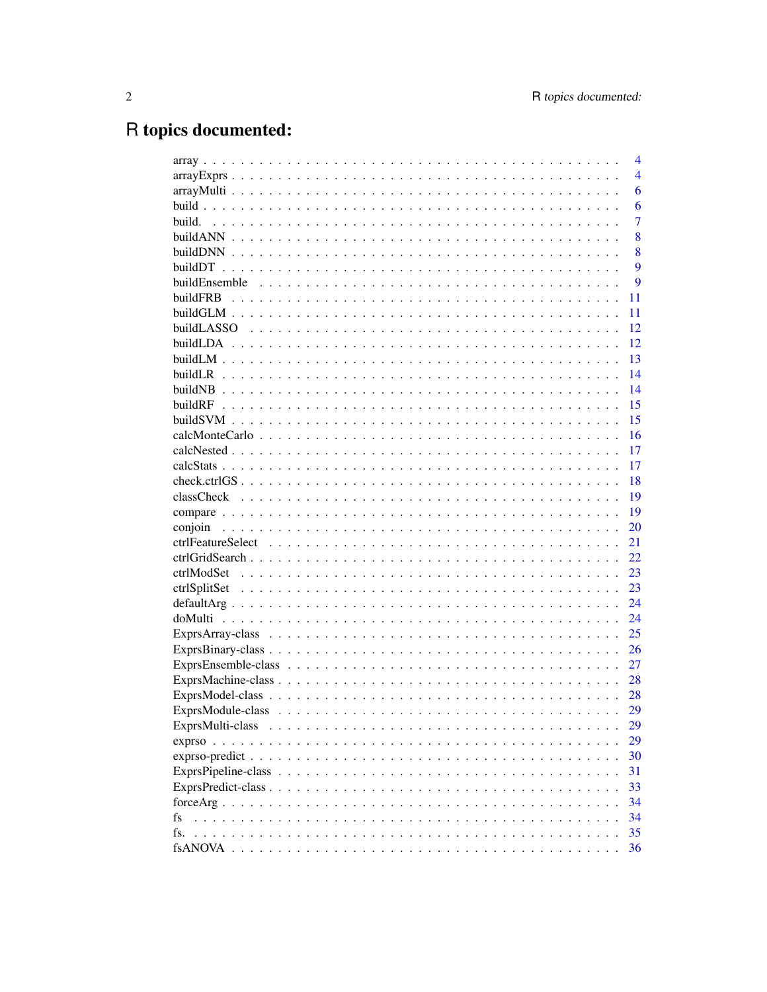# R topics documented:

|                                                                                                                                        | 4              |
|----------------------------------------------------------------------------------------------------------------------------------------|----------------|
|                                                                                                                                        | $\overline{4}$ |
|                                                                                                                                        | 6              |
|                                                                                                                                        | 6              |
| build.                                                                                                                                 | $\overline{7}$ |
|                                                                                                                                        | 8              |
|                                                                                                                                        | 8              |
|                                                                                                                                        | 9              |
| buildEnsemble                                                                                                                          | 9              |
| buildFRB                                                                                                                               | 11             |
|                                                                                                                                        | 11             |
|                                                                                                                                        | 12             |
|                                                                                                                                        | 12             |
|                                                                                                                                        | 13             |
|                                                                                                                                        | 14             |
|                                                                                                                                        | 14             |
| buildRF                                                                                                                                | 15             |
|                                                                                                                                        | 15             |
|                                                                                                                                        | 16             |
|                                                                                                                                        | 17             |
|                                                                                                                                        | 17             |
|                                                                                                                                        | 18             |
|                                                                                                                                        | 19             |
|                                                                                                                                        | 19             |
| conjoin                                                                                                                                | 20             |
|                                                                                                                                        | 21             |
|                                                                                                                                        | 22             |
|                                                                                                                                        | 23             |
|                                                                                                                                        | 23             |
|                                                                                                                                        | 24             |
|                                                                                                                                        | 24             |
|                                                                                                                                        | 25             |
|                                                                                                                                        | 26             |
|                                                                                                                                        | 27             |
|                                                                                                                                        | 28             |
|                                                                                                                                        | 28             |
|                                                                                                                                        | 29             |
| ExprsMulti-class                                                                                                                       | 29             |
| $exprso$<br>.                                                                                                                          | 29             |
| $exp$ rso-predict $\ldots$ $\ldots$ $\ldots$ $\ldots$ $\ldots$ $\ldots$ $\ldots$ $\ldots$ $\ldots$ $\ldots$ $\ldots$ $\ldots$ $\ldots$ | 30             |
|                                                                                                                                        | 31             |
|                                                                                                                                        | 33             |
|                                                                                                                                        | 34             |
| fs                                                                                                                                     | 34             |
| fs.                                                                                                                                    | 35             |
|                                                                                                                                        | 36             |
|                                                                                                                                        |                |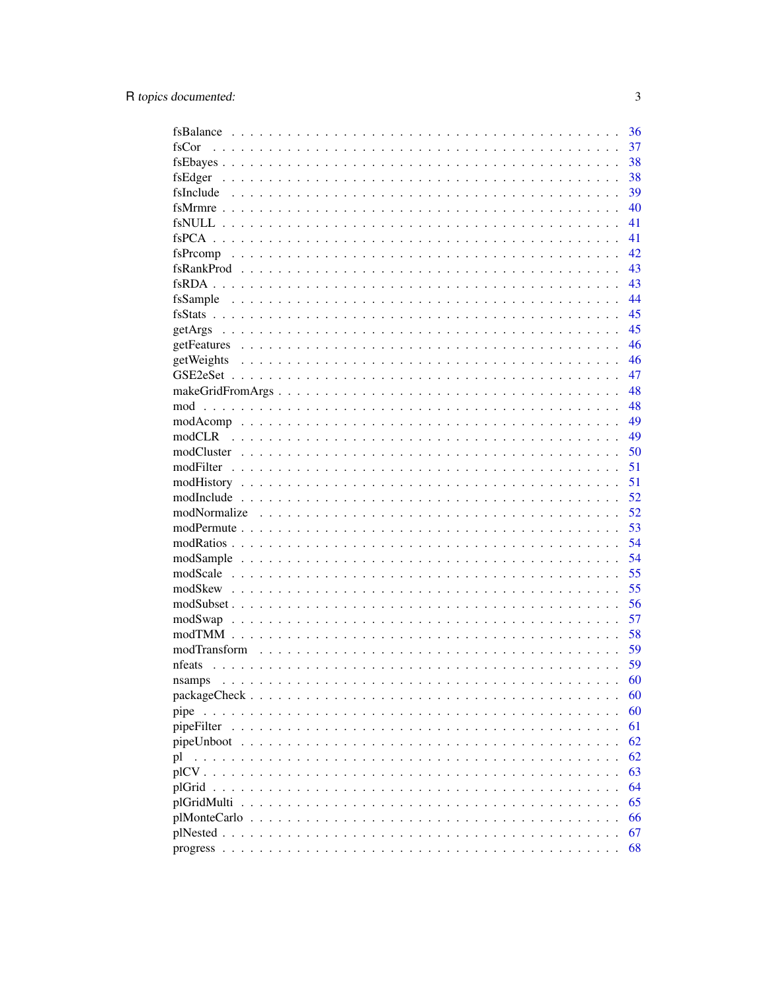|                                                           | 36 |
|-----------------------------------------------------------|----|
| fsCor                                                     | 37 |
|                                                           | 38 |
|                                                           | 38 |
|                                                           | 39 |
|                                                           | 40 |
|                                                           | 41 |
|                                                           | 41 |
|                                                           | 42 |
|                                                           | 43 |
|                                                           | 43 |
|                                                           | 44 |
|                                                           | 45 |
|                                                           | 45 |
|                                                           | 46 |
| getWeights                                                | 46 |
|                                                           | 47 |
|                                                           | 48 |
|                                                           | 48 |
|                                                           | 49 |
|                                                           | 49 |
|                                                           | 50 |
|                                                           | 51 |
|                                                           | 51 |
|                                                           | 52 |
|                                                           | 52 |
|                                                           | 53 |
|                                                           | 54 |
|                                                           | 54 |
|                                                           | 55 |
|                                                           | 55 |
|                                                           | 56 |
|                                                           | 57 |
|                                                           | 58 |
|                                                           | 59 |
| nfeats                                                    | 59 |
| nsamps                                                    | 60 |
|                                                           | 60 |
| pipe<br>$\cdots$<br>$\sim$ $\sim$<br>$\ddot{\phantom{0}}$ | 60 |
| pipeFilter                                                | 61 |
|                                                           | 62 |
| pl                                                        | 62 |
|                                                           | 63 |
|                                                           | 64 |
| plGridMulti                                               | 65 |
| plMonteCarlo.                                             | 66 |
| plNested<br>$\sim$                                        | 67 |
|                                                           | 68 |
|                                                           |    |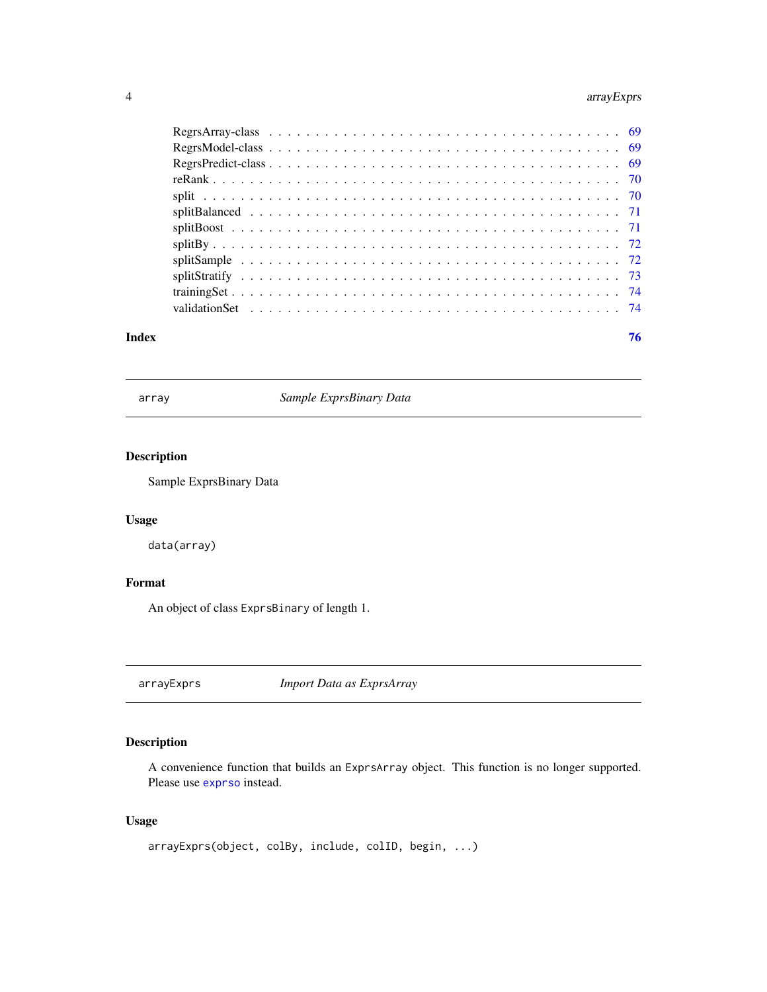### <span id="page-3-0"></span>4 arrayExprs

| Index | 76 |  |
|-------|----|--|

array *Sample ExprsBinary Data*

### Description

Sample ExprsBinary Data

### Usage

data(array)

### Format

An object of class ExprsBinary of length 1.

arrayExprs *Import Data as ExprsArray*

### Description

A convenience function that builds an ExprsArray object. This function is no longer supported. Please use [exprso](#page-28-1) instead.

### Usage

```
arrayExprs(object, colBy, include, colID, begin, ...)
```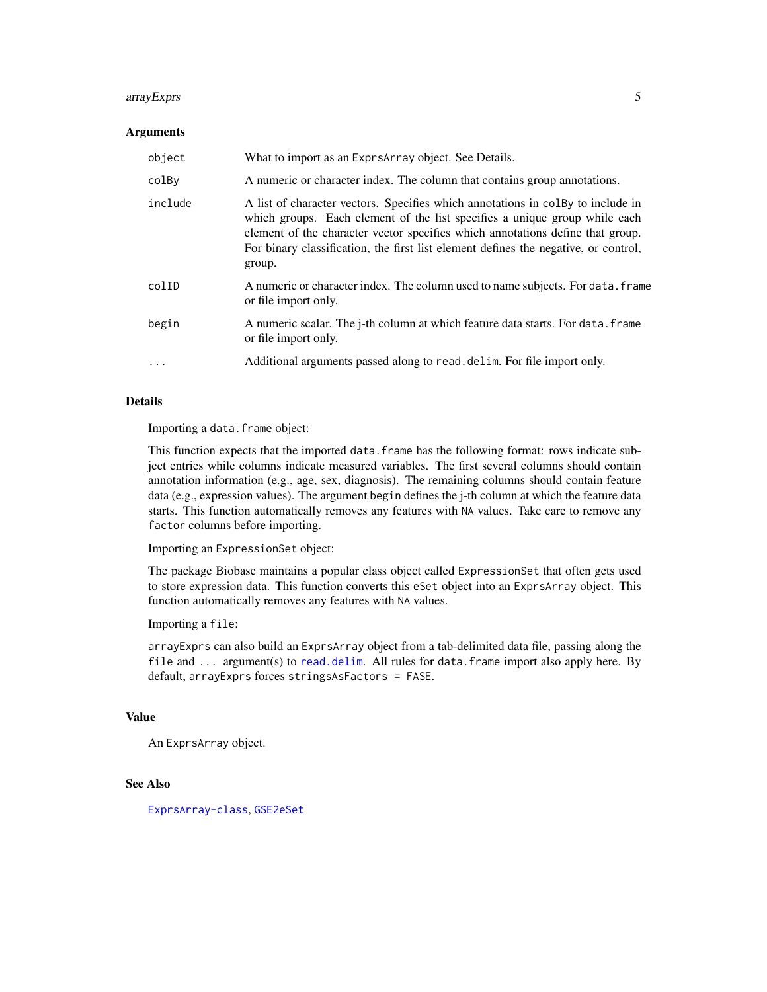#### arrayExprs 5

#### **Arguments**

| object     | What to import as an Exprs Array object. See Details.                                                                                                                                                                                                                                                                                            |
|------------|--------------------------------------------------------------------------------------------------------------------------------------------------------------------------------------------------------------------------------------------------------------------------------------------------------------------------------------------------|
| colBy      | A numeric or character index. The column that contains group annotations.                                                                                                                                                                                                                                                                        |
| include    | A list of character vectors. Specifies which annotations in colby to include in<br>which groups. Each element of the list specifies a unique group while each<br>element of the character vector specifies which annotations define that group.<br>For binary classification, the first list element defines the negative, or control,<br>group. |
| colID      | A numeric or character index. The column used to name subjects. For data. frame<br>or file import only.                                                                                                                                                                                                                                          |
| begin      | A numeric scalar. The j-th column at which feature data starts. For data. frame<br>or file import only.                                                                                                                                                                                                                                          |
| $\ddots$ . | Additional arguments passed along to read. delim. For file import only.                                                                                                                                                                                                                                                                          |

### Details

Importing a data.frame object:

This function expects that the imported data.frame has the following format: rows indicate subject entries while columns indicate measured variables. The first several columns should contain annotation information (e.g., age, sex, diagnosis). The remaining columns should contain feature data (e.g., expression values). The argument begin defines the j-th column at which the feature data starts. This function automatically removes any features with NA values. Take care to remove any factor columns before importing.

Importing an ExpressionSet object:

The package Biobase maintains a popular class object called ExpressionSet that often gets used to store expression data. This function converts this eSet object into an ExprsArray object. This function automatically removes any features with NA values.

Importing a file:

arrayExprs can also build an ExprsArray object from a tab-delimited data file, passing along the file and ... argument(s) to [read.delim](#page-0-0). All rules for data.frame import also apply here. By default, arrayExprs forces stringsAsFactors = FASE.

#### Value

An ExprsArray object.

#### See Also

[ExprsArray-class](#page-24-1), [GSE2eSet](#page-46-1)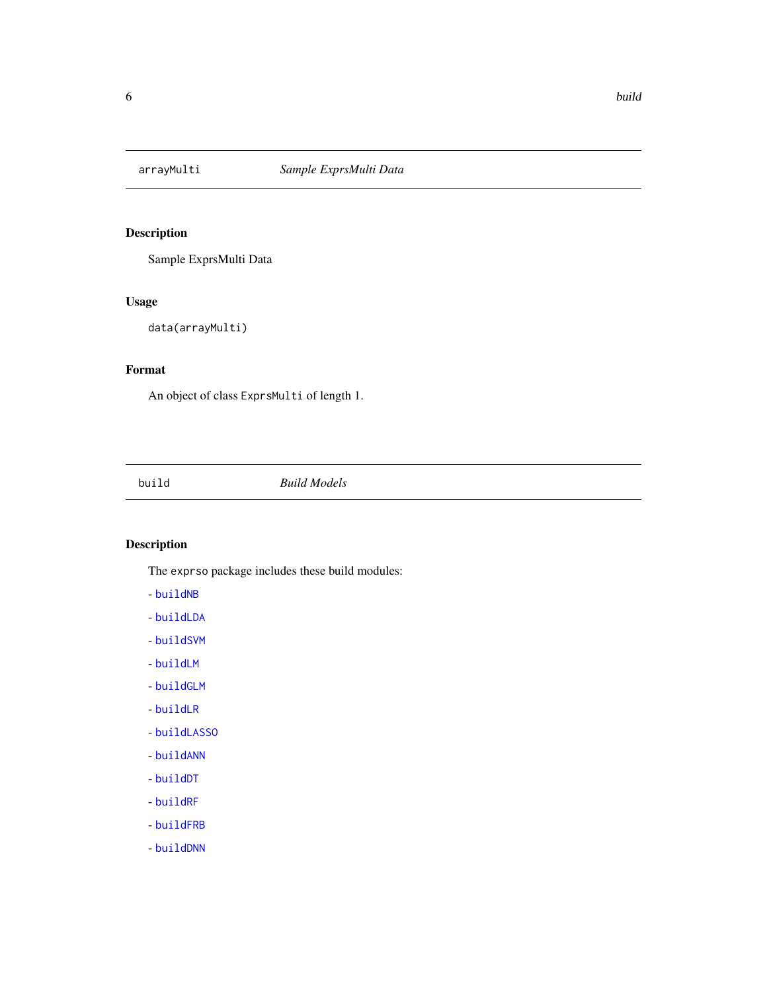<span id="page-5-0"></span>

Sample ExprsMulti Data

### Usage

```
data(arrayMulti)
```
### Format

An object of class ExprsMulti of length 1.

<span id="page-5-1"></span>build *Build Models*

### Description

The exprso package includes these build modules:

- [buildNB](#page-13-1)
- [buildLDA](#page-11-1)
- [buildSVM](#page-14-1)
- [buildLM](#page-12-1)
- [buildGLM](#page-10-1)
- [buildLR](#page-13-2)
- [buildLASSO](#page-11-2)
- [buildANN](#page-7-1)
- [buildDT](#page-8-1)
- [buildRF](#page-14-2)
- [buildFRB](#page-10-2)
- [buildDNN](#page-7-2)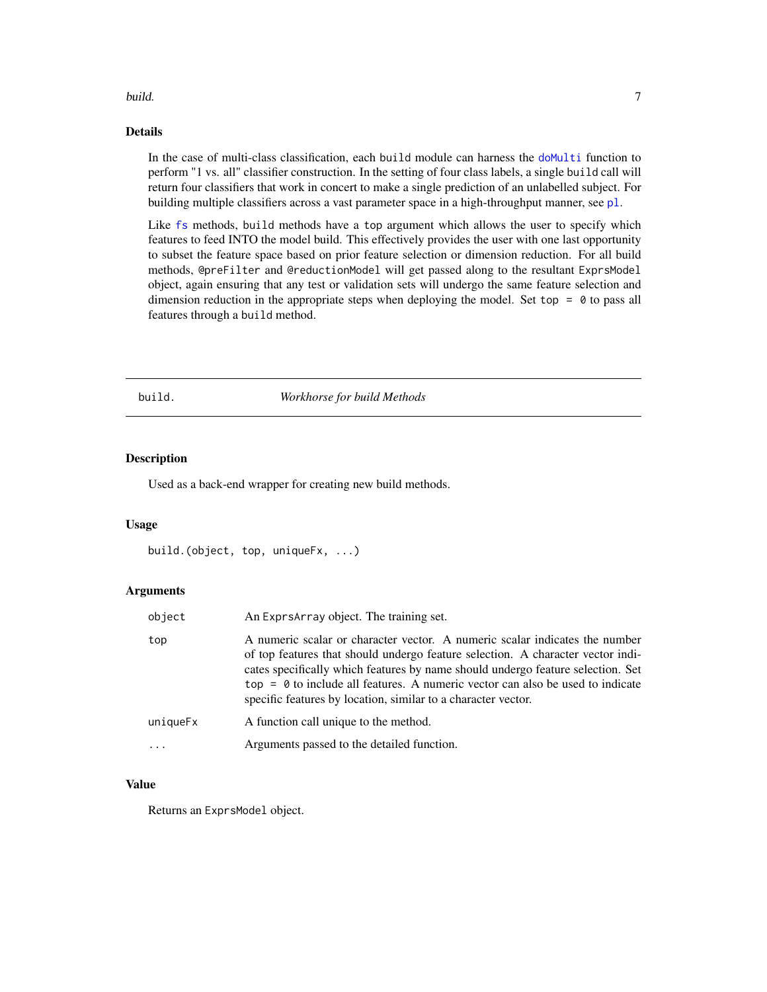#### <span id="page-6-0"></span>build. **7** and 20 and 20 and 20 and 20 and 20 and 20 and 20 and 20 and 20 and 20 and 20 and 20 and 20 and 20 and 20 and 20 and 20 and 20 and 20 and 20 and 20 and 20 and 20 and 20 and 20 and 20 and 20 and 20 and 20 and 20 a

### Details

In the case of multi-class classification, each build module can harness the [doMulti](#page-23-1) function to perform "1 vs. all" classifier construction. In the setting of four class labels, a single build call will return four classifiers that work in concert to make a single prediction of an unlabelled subject. For building multiple classifiers across a vast parameter space in a high-throughput manner, see [pl](#page-61-1).

Like [fs](#page-33-1) methods, build methods have a top argument which allows the user to specify which features to feed INTO the model build. This effectively provides the user with one last opportunity to subset the feature space based on prior feature selection or dimension reduction. For all build methods, @preFilter and @reductionModel will get passed along to the resultant ExprsModel object, again ensuring that any test or validation sets will undergo the same feature selection and dimension reduction in the appropriate steps when deploying the model. Set top  $= 0$  to pass all features through a build method.

build. *Workhorse for build Methods*

#### Description

Used as a back-end wrapper for creating new build methods.

#### Usage

```
build.(object, top, uniqueFx, ...)
```
#### Arguments

| object   | An Exprs Array object. The training set.                                                                                                                                                                                                                                                                                                                                                               |
|----------|--------------------------------------------------------------------------------------------------------------------------------------------------------------------------------------------------------------------------------------------------------------------------------------------------------------------------------------------------------------------------------------------------------|
| top      | A numeric scalar or character vector. A numeric scalar indicates the number<br>of top features that should undergo feature selection. A character vector indi-<br>cates specifically which features by name should undergo feature selection. Set<br>$top = 0$ to include all features. A numeric vector can also be used to indicate<br>specific features by location, similar to a character vector. |
| uniqueFx | A function call unique to the method.                                                                                                                                                                                                                                                                                                                                                                  |
| .        | Arguments passed to the detailed function.                                                                                                                                                                                                                                                                                                                                                             |

### Value

Returns an ExprsModel object.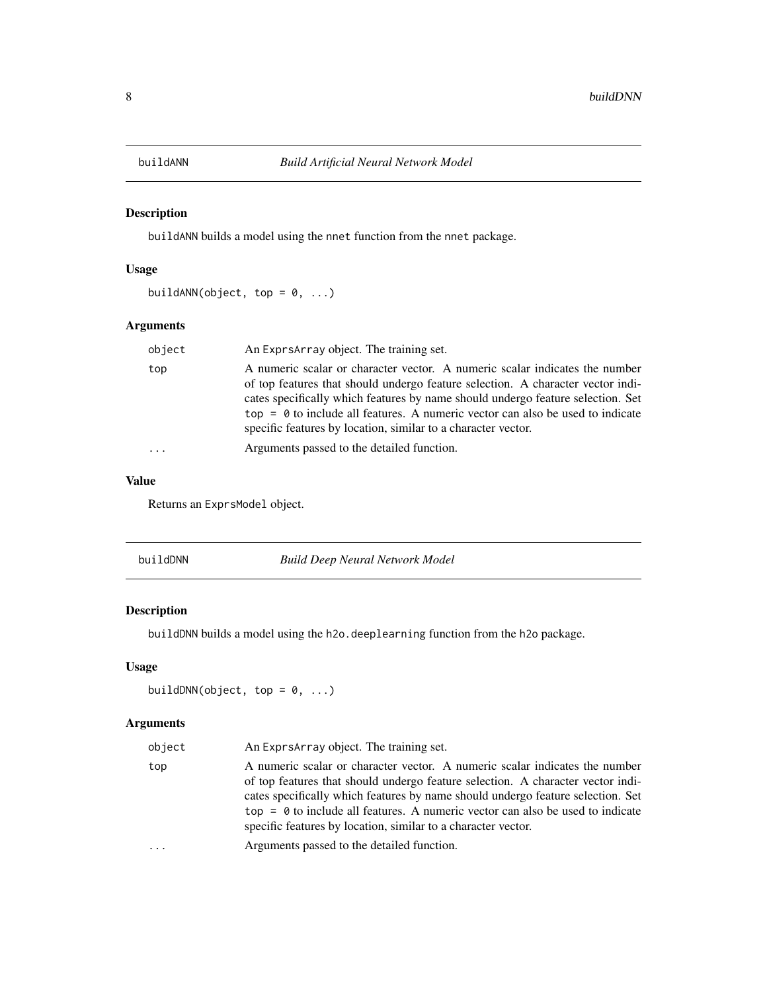<span id="page-7-1"></span><span id="page-7-0"></span>

buildANN builds a model using the nnet function from the nnet package.

### Usage

```
buildANN(object, top = 0, ...)
```
### Arguments

| object | An Exprs Array object. The training set.                                                                                                                                                                                                                                                                                                                                                               |
|--------|--------------------------------------------------------------------------------------------------------------------------------------------------------------------------------------------------------------------------------------------------------------------------------------------------------------------------------------------------------------------------------------------------------|
| top    | A numeric scalar or character vector. A numeric scalar indicates the number<br>of top features that should undergo feature selection. A character vector indi-<br>cates specifically which features by name should undergo feature selection. Set<br>$top = 0$ to include all features. A numeric vector can also be used to indicate<br>specific features by location, similar to a character vector. |
| .      | Arguments passed to the detailed function.                                                                                                                                                                                                                                                                                                                                                             |
|        |                                                                                                                                                                                                                                                                                                                                                                                                        |

#### Value

Returns an ExprsModel object.

<span id="page-7-2"></span>

| buildDNN | Build Deep Neural Network Model |  |
|----------|---------------------------------|--|
|----------|---------------------------------|--|

### Description

buildDNN builds a model using the h2o.deeplearning function from the h2o package.

### Usage

```
buildDNN(object, top = 0, ...)
```
### Arguments

| object | An Exprs Array object. The training set.                                                                                                                                                                                                                                                                                                                                                               |
|--------|--------------------------------------------------------------------------------------------------------------------------------------------------------------------------------------------------------------------------------------------------------------------------------------------------------------------------------------------------------------------------------------------------------|
| top    | A numeric scalar or character vector. A numeric scalar indicates the number<br>of top features that should undergo feature selection. A character vector indi-<br>cates specifically which features by name should undergo feature selection. Set<br>$top = 0$ to include all features. A numeric vector can also be used to indicate<br>specific features by location, similar to a character vector. |
| .      | Arguments passed to the detailed function.                                                                                                                                                                                                                                                                                                                                                             |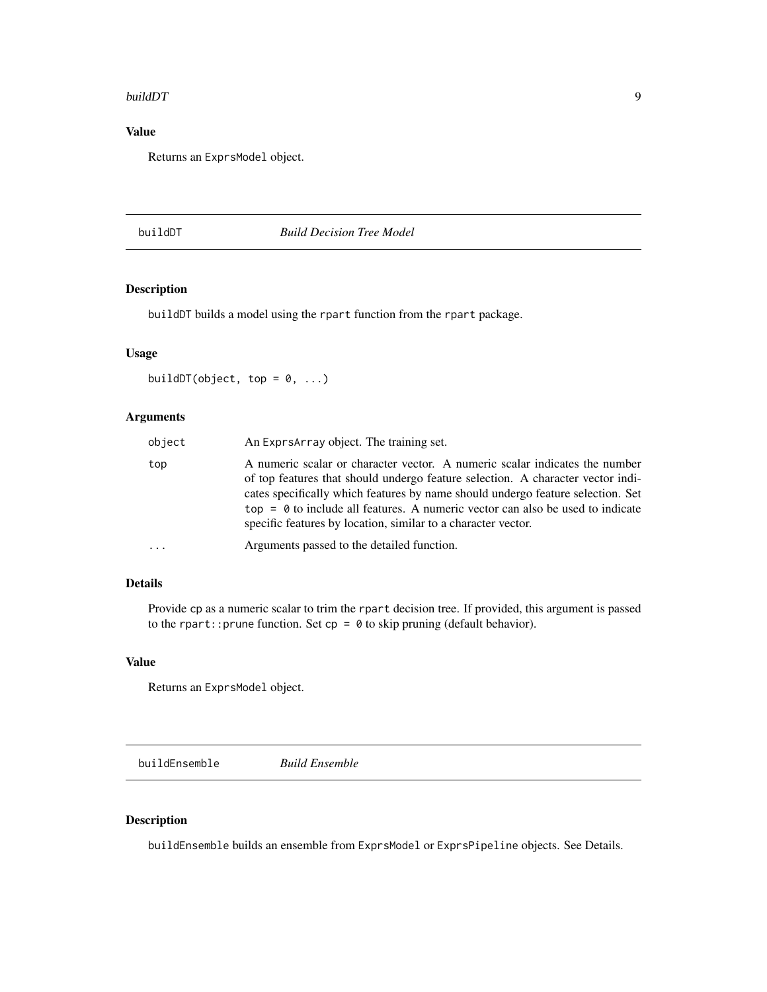#### <span id="page-8-0"></span>buildDT 9

### Value

Returns an ExprsModel object.

<span id="page-8-1"></span>buildDT *Build Decision Tree Model*

### Description

buildDT builds a model using the rpart function from the rpart package.

### Usage

buildDT(object, top =  $0, ...$ )

### Arguments

| object   | An ExprsArray object. The training set.                                                                                                                                                                                                                                                                                                                                                                |
|----------|--------------------------------------------------------------------------------------------------------------------------------------------------------------------------------------------------------------------------------------------------------------------------------------------------------------------------------------------------------------------------------------------------------|
| top      | A numeric scalar or character vector. A numeric scalar indicates the number<br>of top features that should undergo feature selection. A character vector indi-<br>cates specifically which features by name should undergo feature selection. Set<br>$top = 0$ to include all features. A numeric vector can also be used to indicate<br>specific features by location, similar to a character vector. |
| $\cdots$ | Arguments passed to the detailed function.                                                                                                                                                                                                                                                                                                                                                             |

### Details

Provide cp as a numeric scalar to trim the rpart decision tree. If provided, this argument is passed to the rpart:: prune function. Set  $cp = 0$  to skip pruning (default behavior).

#### Value

Returns an ExprsModel object.

<span id="page-8-2"></span>buildEnsemble *Build Ensemble*

### Description

buildEnsemble builds an ensemble from ExprsModel or ExprsPipeline objects. See Details.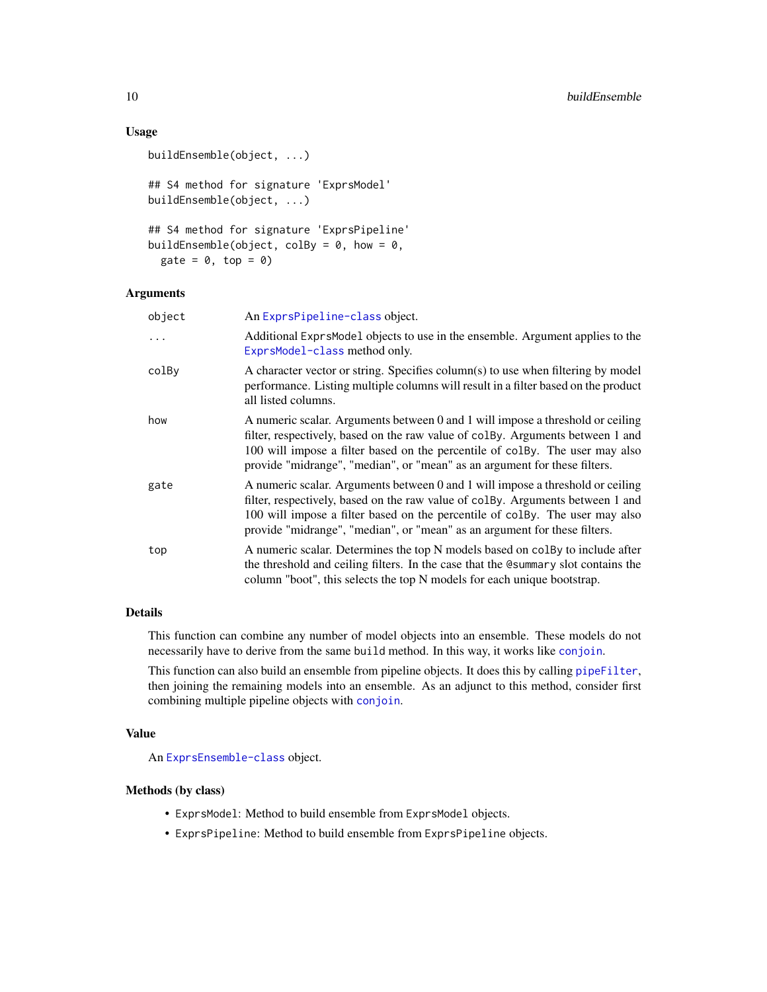### Usage

```
buildEnsemble(object, ...)
## S4 method for signature 'ExprsModel'
buildEnsemble(object, ...)
## S4 method for signature 'ExprsPipeline'
buildEnsemble(object, colBy = 0, how = 0,
  gate = 0, top = 0)
```
#### Arguments

| object   | An ExprsPipeline-class object.                                                                                                                                                                                                                                                                                                |  |
|----------|-------------------------------------------------------------------------------------------------------------------------------------------------------------------------------------------------------------------------------------------------------------------------------------------------------------------------------|--|
| $\cdots$ | Additional ExprsModel objects to use in the ensemble. Argument applies to the<br>ExprsModel-class method only.                                                                                                                                                                                                                |  |
| colBy    | A character vector or string. Specifies column(s) to use when filtering by model<br>performance. Listing multiple columns will result in a filter based on the product<br>all listed columns.                                                                                                                                 |  |
| how      | A numeric scalar. Arguments between 0 and 1 will impose a threshold or ceiling<br>filter, respectively, based on the raw value of colBy. Arguments between 1 and<br>100 will impose a filter based on the percentile of colBy. The user may also<br>provide "midrange", "median", or "mean" as an argument for these filters. |  |
| gate     | A numeric scalar. Arguments between 0 and 1 will impose a threshold or ceiling<br>filter, respectively, based on the raw value of colBy. Arguments between 1 and<br>100 will impose a filter based on the percentile of colBy. The user may also<br>provide "midrange", "median", or "mean" as an argument for these filters. |  |
| top      | A numeric scalar. Determines the top N models based on colley to include after<br>the threshold and ceiling filters. In the case that the Command solut contains the<br>column "boot", this selects the top N models for each unique bootstrap.                                                                               |  |

#### Details

This function can combine any number of model objects into an ensemble. These models do not necessarily have to derive from the same build method. In this way, it works like [conjoin](#page-19-1).

This function can also build an ensemble from pipeline objects. It does this by calling [pipeFilter](#page-60-1), then joining the remaining models into an ensemble. As an adjunct to this method, consider first combining multiple pipeline objects with [conjoin](#page-19-1).

#### Value

An [ExprsEnsemble-class](#page-26-1) object.

#### Methods (by class)

- ExprsModel: Method to build ensemble from ExprsModel objects.
- ExprsPipeline: Method to build ensemble from ExprsPipeline objects.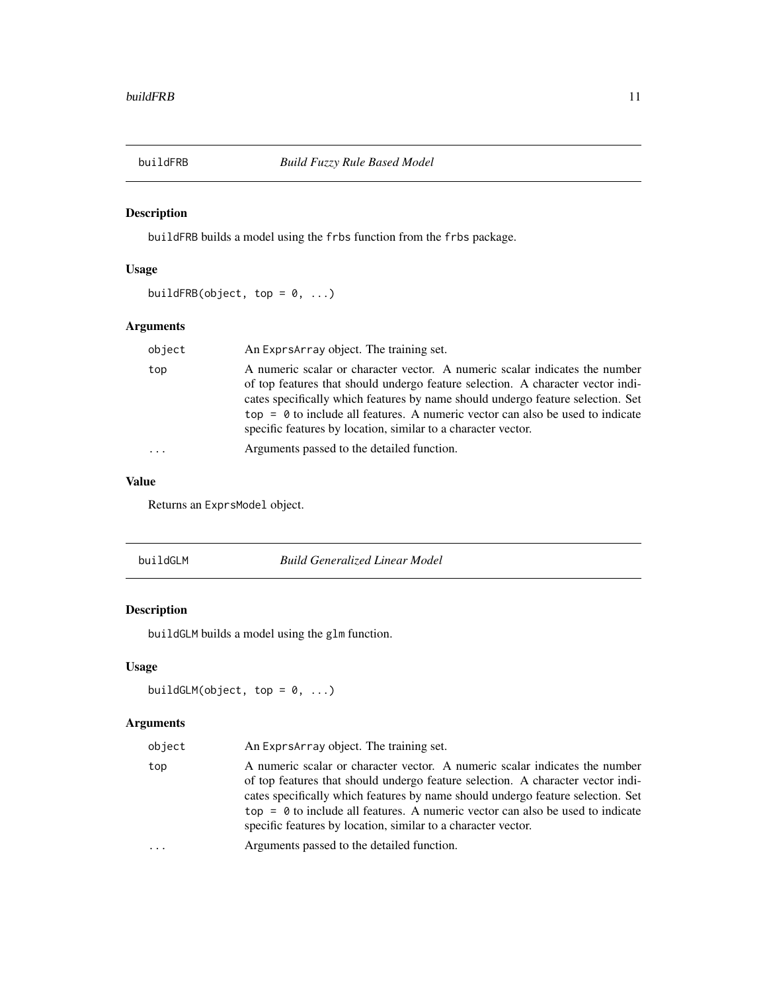<span id="page-10-2"></span><span id="page-10-0"></span>

buildFRB builds a model using the frbs function from the frbs package.

### Usage

```
buildFRB(object, top = 0, ...)
```
### Arguments

| object | An Exprs Array object. The training set.                                                                                                                                                                                                                                                                                                                                                               |
|--------|--------------------------------------------------------------------------------------------------------------------------------------------------------------------------------------------------------------------------------------------------------------------------------------------------------------------------------------------------------------------------------------------------------|
| top    | A numeric scalar or character vector. A numeric scalar indicates the number<br>of top features that should undergo feature selection. A character vector indi-<br>cates specifically which features by name should undergo feature selection. Set<br>$top = 0$ to include all features. A numeric vector can also be used to indicate<br>specific features by location, similar to a character vector. |
| .      | Arguments passed to the detailed function.                                                                                                                                                                                                                                                                                                                                                             |
|        |                                                                                                                                                                                                                                                                                                                                                                                                        |

### Value

Returns an ExprsModel object.

<span id="page-10-1"></span>

| buildGLM | <b>Build Generalized Linear Model</b> |  |
|----------|---------------------------------------|--|
|          |                                       |  |

### Description

buildGLM builds a model using the glm function.

### Usage

```
buildGLM(object, top = 0, ...)
```
### Arguments

| object | An Exprs Array object. The training set.                                                                                                                                                                                                                                                                                                                                                               |
|--------|--------------------------------------------------------------------------------------------------------------------------------------------------------------------------------------------------------------------------------------------------------------------------------------------------------------------------------------------------------------------------------------------------------|
| top    | A numeric scalar or character vector. A numeric scalar indicates the number<br>of top features that should undergo feature selection. A character vector indi-<br>cates specifically which features by name should undergo feature selection. Set<br>$top = 0$ to include all features. A numeric vector can also be used to indicate<br>specific features by location, similar to a character vector. |
| .      | Arguments passed to the detailed function.                                                                                                                                                                                                                                                                                                                                                             |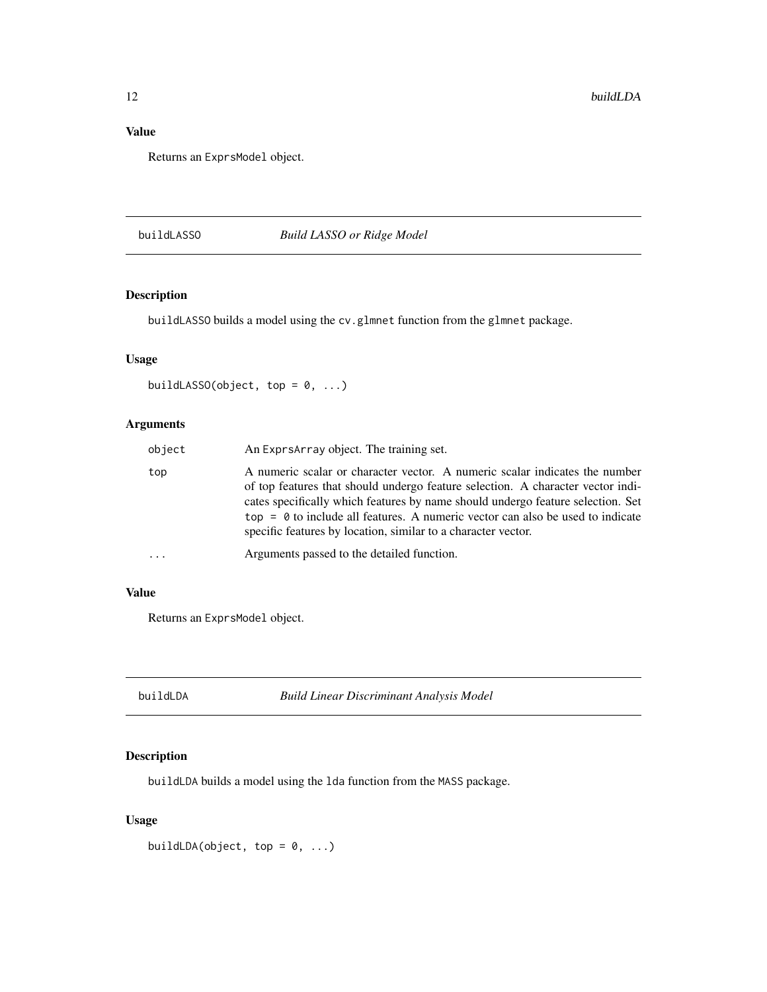### <span id="page-11-0"></span>Value

Returns an ExprsModel object.

### <span id="page-11-2"></span>buildLASSO *Build LASSO or Ridge Model*

### Description

buildLASSO builds a model using the cv.glmnet function from the glmnet package.

### Usage

```
buildLASSO(object, top = 0, ...)
```
### Arguments

| object | An Exprs Array object. The training set.                                                                                                                                                                                                                                                                                                                                                               |
|--------|--------------------------------------------------------------------------------------------------------------------------------------------------------------------------------------------------------------------------------------------------------------------------------------------------------------------------------------------------------------------------------------------------------|
| top    | A numeric scalar or character vector. A numeric scalar indicates the number<br>of top features that should undergo feature selection. A character vector indi-<br>cates specifically which features by name should undergo feature selection. Set<br>$top = 0$ to include all features. A numeric vector can also be used to indicate<br>specific features by location, similar to a character vector. |
|        | Arguments passed to the detailed function.                                                                                                                                                                                                                                                                                                                                                             |

### Value

Returns an ExprsModel object.

<span id="page-11-1"></span>buildLDA *Build Linear Discriminant Analysis Model*

### Description

buildLDA builds a model using the lda function from the MASS package.

### Usage

buildLDA(object, top =  $0, ...$ )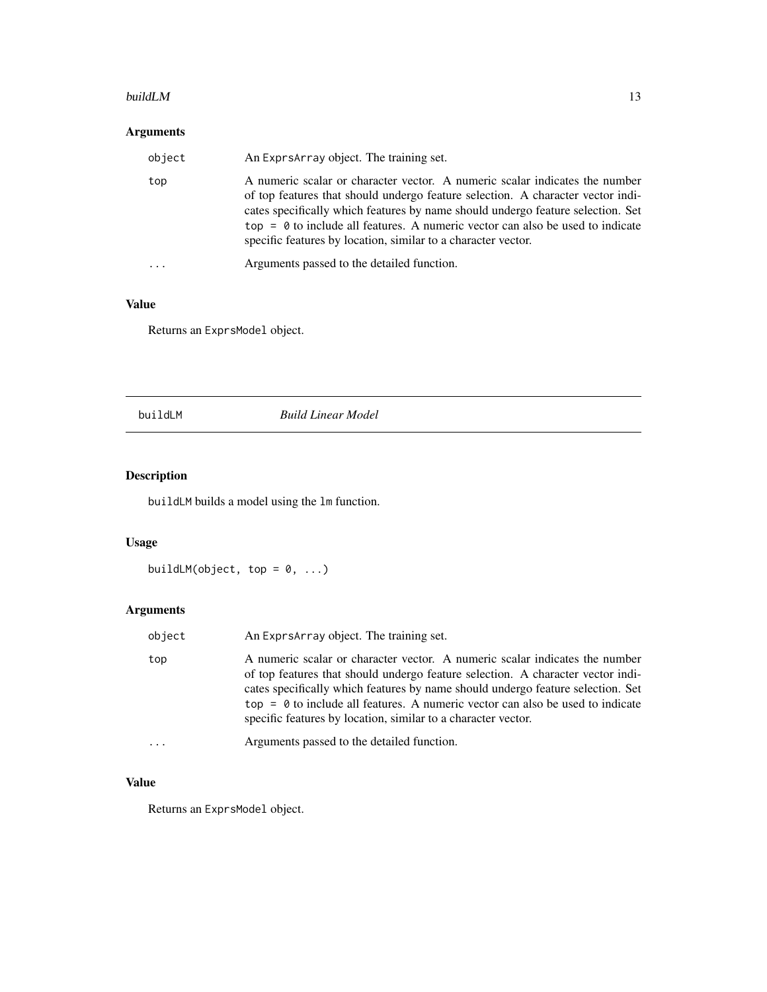#### <span id="page-12-0"></span>build LM  $\,$  13

### Arguments

| object              | An Exprs Array object. The training set.                                                                                                                                                                                                                                                                                                                                                               |
|---------------------|--------------------------------------------------------------------------------------------------------------------------------------------------------------------------------------------------------------------------------------------------------------------------------------------------------------------------------------------------------------------------------------------------------|
| top                 | A numeric scalar or character vector. A numeric scalar indicates the number<br>of top features that should undergo feature selection. A character vector indi-<br>cates specifically which features by name should undergo feature selection. Set<br>$top = 0$ to include all features. A numeric vector can also be used to indicate<br>specific features by location, similar to a character vector. |
| $\cdot \cdot \cdot$ | Arguments passed to the detailed function.                                                                                                                                                                                                                                                                                                                                                             |

### Value

Returns an ExprsModel object.

<span id="page-12-1"></span>buildLM *Build Linear Model*

### Description

buildLM builds a model using the lm function.

### Usage

```
buildLM(object, top = 0, ...)
```
### Arguments

| object | An Exprs Array object. The training set.                                                                                                                                                                                                                                                                                                                                                               |
|--------|--------------------------------------------------------------------------------------------------------------------------------------------------------------------------------------------------------------------------------------------------------------------------------------------------------------------------------------------------------------------------------------------------------|
| top    | A numeric scalar or character vector. A numeric scalar indicates the number<br>of top features that should undergo feature selection. A character vector indi-<br>cates specifically which features by name should undergo feature selection. Set<br>$top = 0$ to include all features. A numeric vector can also be used to indicate<br>specific features by location, similar to a character vector. |
| .      | Arguments passed to the detailed function.                                                                                                                                                                                                                                                                                                                                                             |

### Value

Returns an ExprsModel object.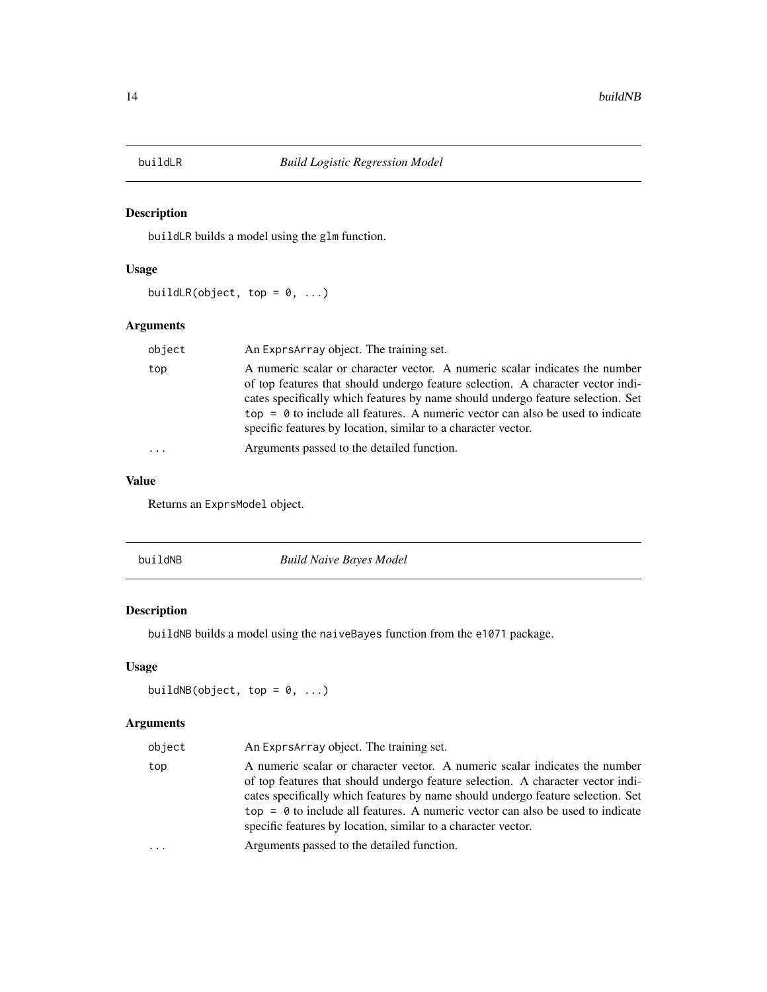<span id="page-13-2"></span><span id="page-13-0"></span>

buildLR builds a model using the glm function.

### Usage

buildLR(object, top =  $0, ...$ )

### Arguments

| object | An Exprs Array object. The training set.                                                                                                                                                                                                                                                                                                                                                               |
|--------|--------------------------------------------------------------------------------------------------------------------------------------------------------------------------------------------------------------------------------------------------------------------------------------------------------------------------------------------------------------------------------------------------------|
| top    | A numeric scalar or character vector. A numeric scalar indicates the number<br>of top features that should undergo feature selection. A character vector indi-<br>cates specifically which features by name should undergo feature selection. Set<br>$top = 0$ to include all features. A numeric vector can also be used to indicate<br>specific features by location, similar to a character vector. |
| .      | Arguments passed to the detailed function.                                                                                                                                                                                                                                                                                                                                                             |

### Value

Returns an ExprsModel object.

<span id="page-13-1"></span>

| buildNB | <b>Build Naive Bayes Model</b> |  |
|---------|--------------------------------|--|
|         |                                |  |

### Description

buildNB builds a model using the naiveBayes function from the e1071 package.

### Usage

```
buildNB(object, top = 0, ...)
```
### Arguments

| object | An Exprs Array object. The training set.                                                                                                                                                                                                                                                                                                                                                               |
|--------|--------------------------------------------------------------------------------------------------------------------------------------------------------------------------------------------------------------------------------------------------------------------------------------------------------------------------------------------------------------------------------------------------------|
| top    | A numeric scalar or character vector. A numeric scalar indicates the number<br>of top features that should undergo feature selection. A character vector indi-<br>cates specifically which features by name should undergo feature selection. Set<br>$top = 0$ to include all features. A numeric vector can also be used to indicate<br>specific features by location, similar to a character vector. |
| .      | Arguments passed to the detailed function.                                                                                                                                                                                                                                                                                                                                                             |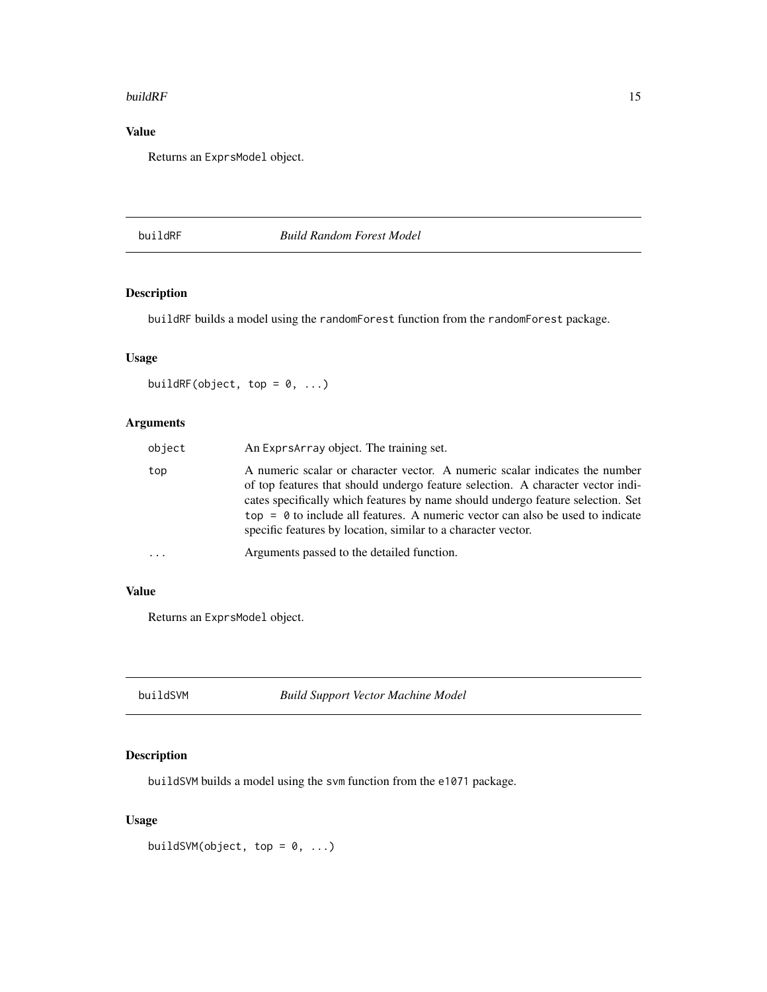#### <span id="page-14-0"></span>build $RF$  15

### Value

Returns an ExprsModel object.

<span id="page-14-2"></span>buildRF *Build Random Forest Model*

### Description

buildRF builds a model using the randomForest function from the randomForest package.

### Usage

buildRF(object, top =  $0, ...$ )

### Arguments

| object   | An Exprs Array object. The training set.                                                                                                                                                                                                                                                                                                                                                               |
|----------|--------------------------------------------------------------------------------------------------------------------------------------------------------------------------------------------------------------------------------------------------------------------------------------------------------------------------------------------------------------------------------------------------------|
| top      | A numeric scalar or character vector. A numeric scalar indicates the number<br>of top features that should undergo feature selection. A character vector indi-<br>cates specifically which features by name should undergo feature selection. Set<br>$top = 0$ to include all features. A numeric vector can also be used to indicate<br>specific features by location, similar to a character vector. |
| $\ddots$ | Arguments passed to the detailed function.                                                                                                                                                                                                                                                                                                                                                             |

#### Value

Returns an ExprsModel object.

<span id="page-14-1"></span>buildSVM *Build Support Vector Machine Model*

### Description

buildSVM builds a model using the svm function from the e1071 package.

### Usage

buildSVM(object, top =  $0, ...$ )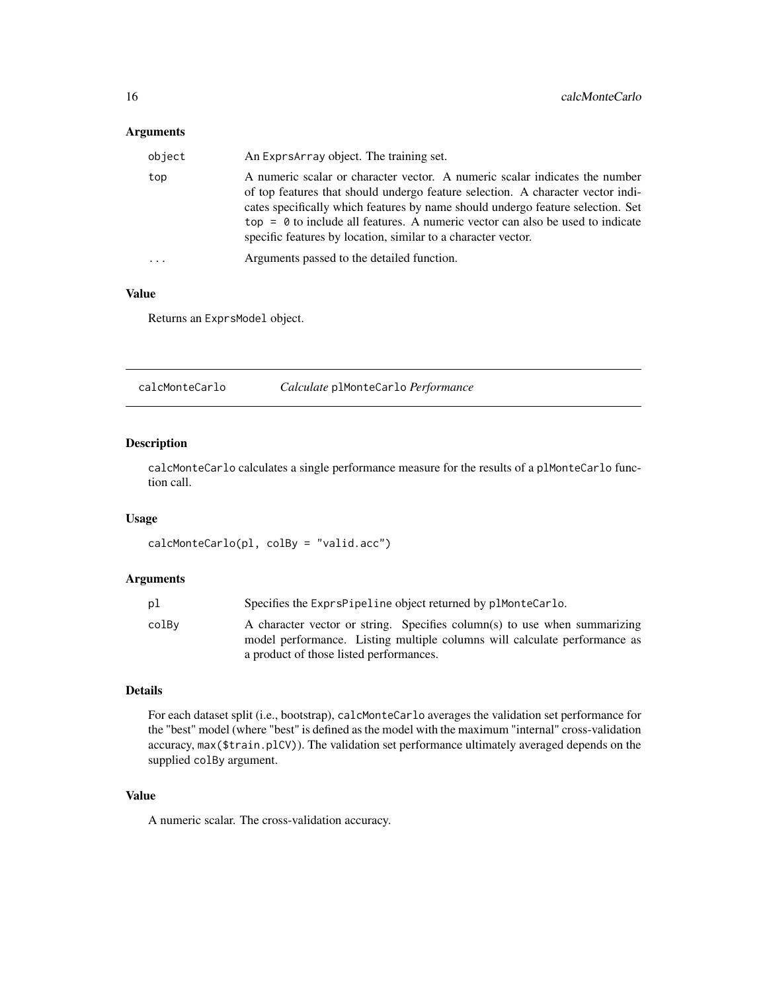### <span id="page-15-0"></span>Arguments

| object | An Exprs Array object. The training set.                                                                                                                                                                                                                                                                                                                                                               |
|--------|--------------------------------------------------------------------------------------------------------------------------------------------------------------------------------------------------------------------------------------------------------------------------------------------------------------------------------------------------------------------------------------------------------|
| top    | A numeric scalar or character vector. A numeric scalar indicates the number<br>of top features that should undergo feature selection. A character vector indi-<br>cates specifically which features by name should undergo feature selection. Set<br>$top = 0$ to include all features. A numeric vector can also be used to indicate<br>specific features by location, similar to a character vector. |
|        | Arguments passed to the detailed function.                                                                                                                                                                                                                                                                                                                                                             |

#### Value

Returns an ExprsModel object.

calcMonteCarlo *Calculate* plMonteCarlo *Performance*

### Description

calcMonteCarlo calculates a single performance measure for the results of a plMonteCarlo function call.

#### Usage

calcMonteCarlo(pl, colBy = "valid.acc")

#### Arguments

| рl    | Specifies the ExprsPipeline object returned by plMonteCarlo.                                                                                                                                      |
|-------|---------------------------------------------------------------------------------------------------------------------------------------------------------------------------------------------------|
| colBv | A character vector or string. Specifies column(s) to use when summarizing<br>model performance. Listing multiple columns will calculate performance as<br>a product of those listed performances. |
|       |                                                                                                                                                                                                   |

### Details

For each dataset split (i.e., bootstrap), calcMonteCarlo averages the validation set performance for the "best" model (where "best" is defined as the model with the maximum "internal" cross-validation accuracy, max(\$train.plCV)). The validation set performance ultimately averaged depends on the supplied colBy argument.

#### Value

A numeric scalar. The cross-validation accuracy.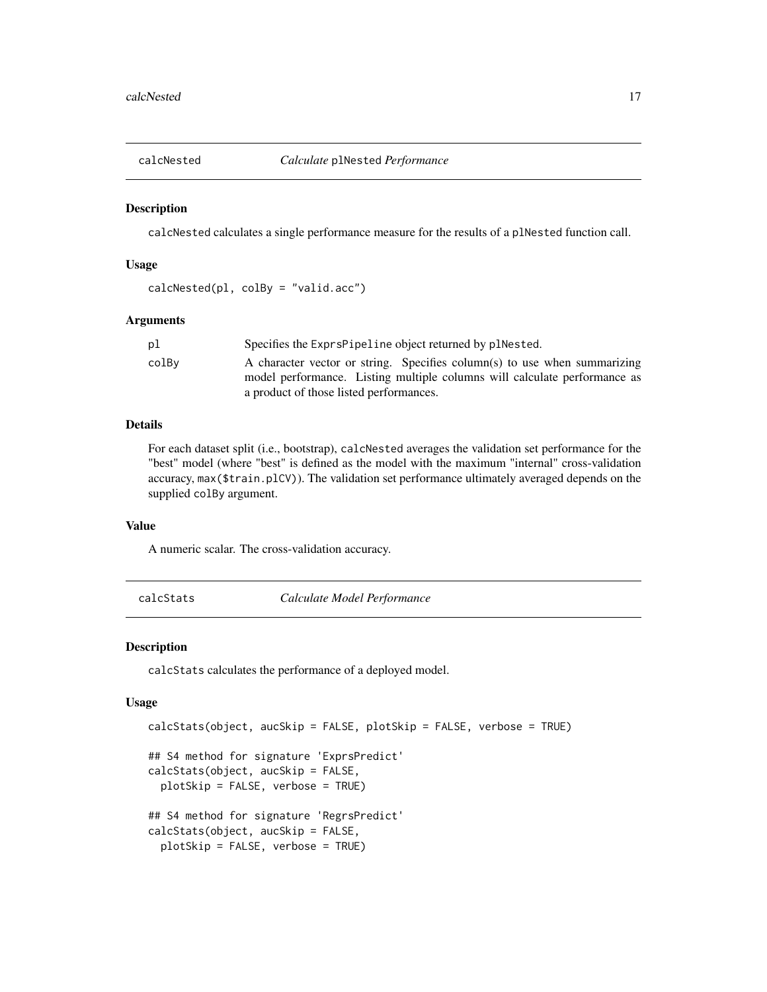<span id="page-16-0"></span>

calcNested calculates a single performance measure for the results of a plNested function call.

#### Usage

```
calcNested(pl, colBy = "valid.acc")
```
#### Arguments

| рl    | Specifies the Exprs Pipeline object returned by plnested.                 |
|-------|---------------------------------------------------------------------------|
| colBv | A character vector or string. Specifies column(s) to use when summarizing |
|       | model performance. Listing multiple columns will calculate performance as |
|       | a product of those listed performances.                                   |

#### Details

For each dataset split (i.e., bootstrap), calcNested averages the validation set performance for the "best" model (where "best" is defined as the model with the maximum "internal" cross-validation accuracy, max(\$train.plCV)). The validation set performance ultimately averaged depends on the supplied colBy argument.

### Value

A numeric scalar. The cross-validation accuracy.

<span id="page-16-1"></span>calcStats *Calculate Model Performance*

#### Description

calcStats calculates the performance of a deployed model.

#### Usage

```
calcStats(object, aucSkip = FALSE, plotSkip = FALSE, verbose = TRUE)
## S4 method for signature 'ExprsPredict'
calcStats(object, aucSkip = FALSE,
 plotSkip = FALSE, verbose = TRUE)
## S4 method for signature 'RegrsPredict'
calcStats(object, aucSkip = FALSE,
 plotSkip = FALSE, verbose = TRUE)
```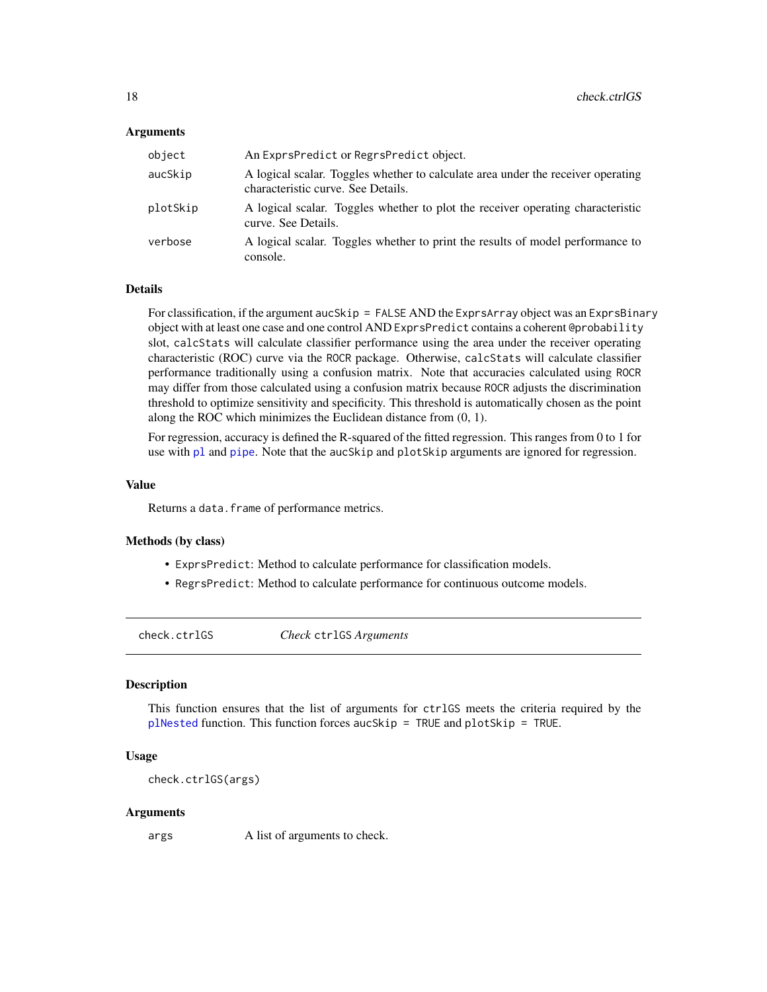#### <span id="page-17-0"></span>Arguments

| object   | An ExprsPredict or RegrsPredict object.                                                                                |
|----------|------------------------------------------------------------------------------------------------------------------------|
| aucSkip  | A logical scalar. Toggles whether to calculate area under the receiver operating<br>characteristic curve. See Details. |
| plotSkip | A logical scalar. Toggles whether to plot the receiver operating characteristic<br>curve. See Details.                 |
| verbose  | A logical scalar. Toggles whether to print the results of model performance to<br>console.                             |

### Details

For classification, if the argument aucSkip = FALSE AND the ExprsArray object was an ExprsBinary object with at least one case and one control AND ExprsPredict contains a coherent @probability slot, calcStats will calculate classifier performance using the area under the receiver operating characteristic (ROC) curve via the ROCR package. Otherwise, calcStats will calculate classifier performance traditionally using a confusion matrix. Note that accuracies calculated using ROCR may differ from those calculated using a confusion matrix because ROCR adjusts the discrimination threshold to optimize sensitivity and specificity. This threshold is automatically chosen as the point along the ROC which minimizes the Euclidean distance from (0, 1).

For regression, accuracy is defined the R-squared of the fitted regression. This ranges from 0 to 1 for use with [pl](#page-61-1) and [pipe](#page-59-1). Note that the aucSkip and plotSkip arguments are ignored for regression.

#### Value

Returns a data. frame of performance metrics.

#### Methods (by class)

- ExprsPredict: Method to calculate performance for classification models.
- RegrsPredict: Method to calculate performance for continuous outcome models.

check.ctrlGS *Check* ctrlGS *Arguments*

#### **Description**

This function ensures that the list of arguments for ctrlGS meets the criteria required by the [plNested](#page-66-1) function. This function forces aucSkip = TRUE and plotSkip = TRUE.

#### Usage

check.ctrlGS(args)

#### Arguments

args A list of arguments to check.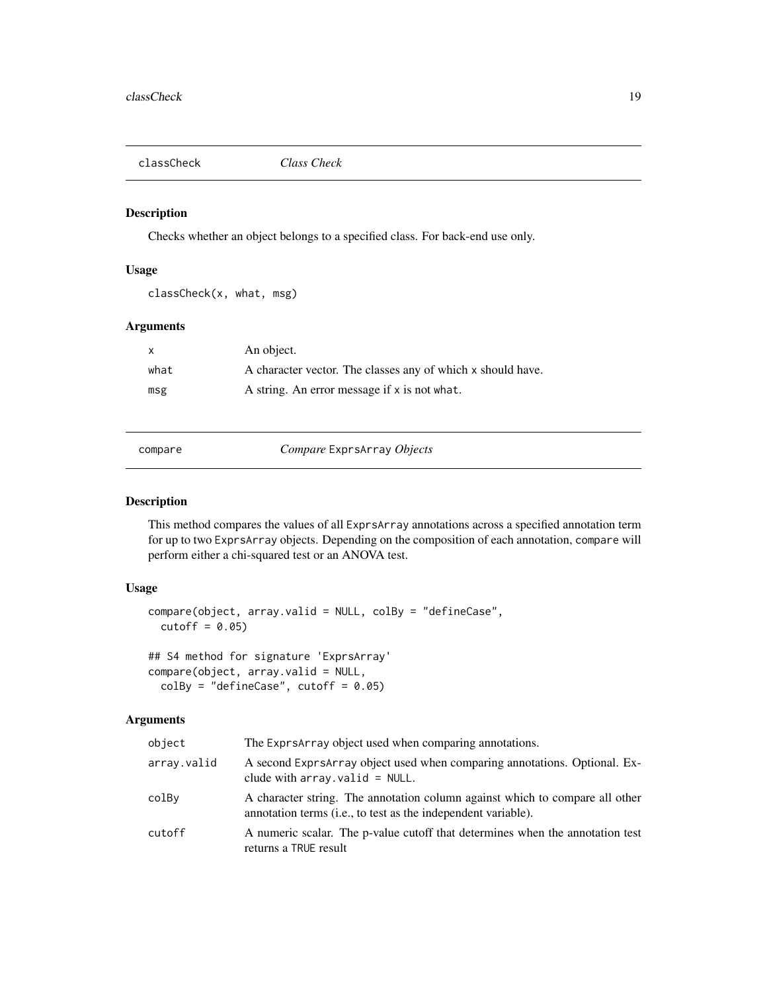<span id="page-18-0"></span>

Checks whether an object belongs to a specified class. For back-end use only.

#### Usage

classCheck(x, what, msg)

### Arguments

| $\mathsf{x}$ | An object.                                                  |
|--------------|-------------------------------------------------------------|
| what         | A character vector. The classes any of which x should have. |
| msg          | A string. An error message if x is not what.                |

compare *Compare* ExprsArray *Objects*

#### Description

This method compares the values of all ExprsArray annotations across a specified annotation term for up to two ExprsArray objects. Depending on the composition of each annotation, compare will perform either a chi-squared test or an ANOVA test.

### Usage

```
compare(object, array.valid = NULL, colBy = "defineCase",
  cutoff = 0.05)## S4 method for signature 'ExprsArray'
compare(object, array.valid = NULL,
```

```
colBy = "defineCase", cutoff = 0.05)
```
### Arguments

| object      | The Exprs Array object used when comparing annotations.                                                                                                |
|-------------|--------------------------------------------------------------------------------------------------------------------------------------------------------|
| array.valid | A second ExprsArray object used when comparing annotations. Optional. Ex-<br>clude with $array.val$ valid = NULL.                                      |
| colBy       | A character string. The annotation column against which to compare all other<br>annotation terms ( <i>i.e.</i> , to test as the independent variable). |
| cutoff      | A numeric scalar. The p-value cutoff that determines when the annotation test<br>returns a TRUE result                                                 |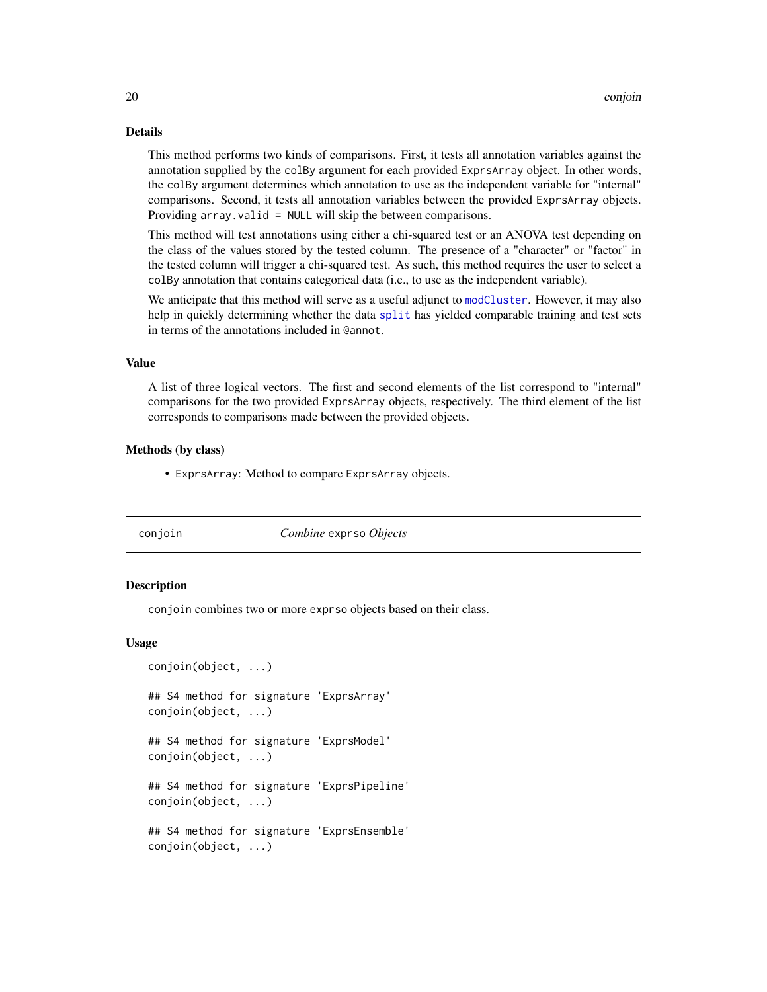### Details

This method performs two kinds of comparisons. First, it tests all annotation variables against the annotation supplied by the colBy argument for each provided ExprsArray object. In other words, the colBy argument determines which annotation to use as the independent variable for "internal" comparisons. Second, it tests all annotation variables between the provided ExprsArray objects. Providing array.valid = NULL will skip the between comparisons.

This method will test annotations using either a chi-squared test or an ANOVA test depending on the class of the values stored by the tested column. The presence of a "character" or "factor" in the tested column will trigger a chi-squared test. As such, this method requires the user to select a colBy annotation that contains categorical data (i.e., to use as the independent variable).

We anticipate that this method will serve as a useful adjunct to [modCluster](#page-49-1). However, it may also help in quickly determining whether the data [split](#page-69-1) has yielded comparable training and test sets in terms of the annotations included in @annot.

#### Value

A list of three logical vectors. The first and second elements of the list correspond to "internal" comparisons for the two provided ExprsArray objects, respectively. The third element of the list corresponds to comparisons made between the provided objects.

#### Methods (by class)

• ExprsArray: Method to compare ExprsArray objects.

<span id="page-19-1"></span>

#### conjoin *Combine* exprso *Objects*

### Description

conjoin combines two or more exprso objects based on their class.

#### Usage

```
conjoin(object, ...)
## S4 method for signature 'ExprsArray'
conjoin(object, ...)
## S4 method for signature 'ExprsModel'
conjoin(object, ...)
## S4 method for signature 'ExprsPipeline'
conjoin(object, ...)
## S4 method for signature 'ExprsEnsemble'
conjoin(object, ...)
```
<span id="page-19-0"></span>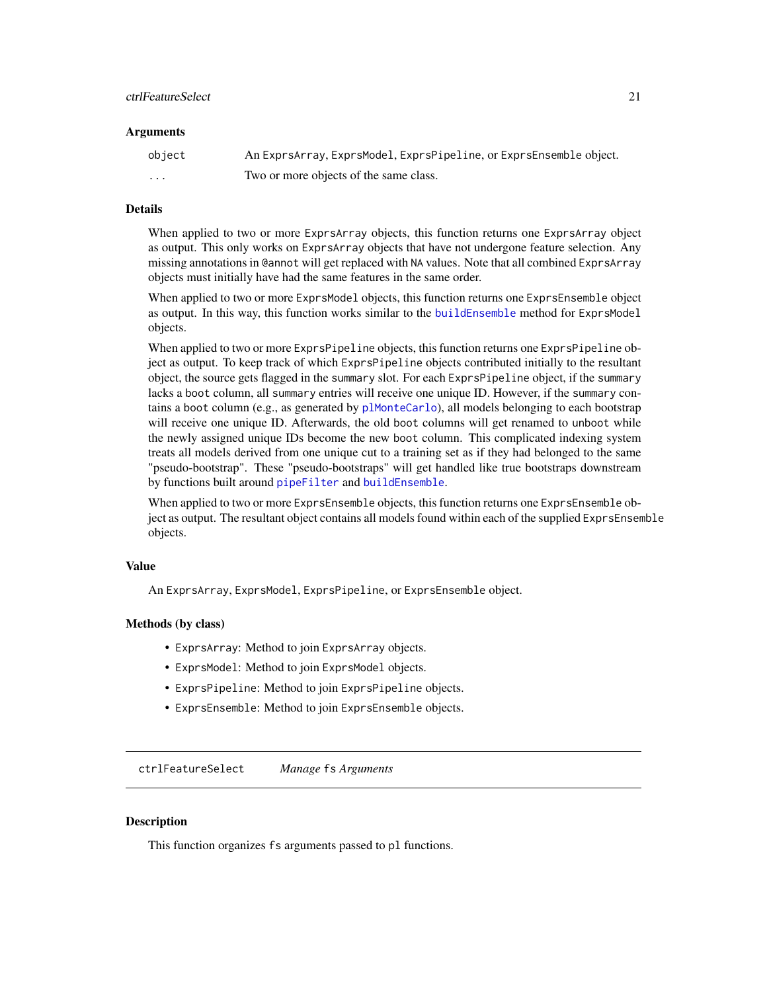#### <span id="page-20-0"></span>ctrlFeatureSelect 21

#### **Arguments**

| object | An ExprsArray, ExprsModel, ExprsPipeline, or ExprsEnsemble object. |
|--------|--------------------------------------------------------------------|
| .      | Two or more objects of the same class.                             |

### Details

When applied to two or more ExprsArray objects, this function returns one ExprsArray object as output. This only works on ExprsArray objects that have not undergone feature selection. Any missing annotations in @annot will get replaced with NA values. Note that all combined ExprsArray objects must initially have had the same features in the same order.

When applied to two or more ExprsModel objects, this function returns one ExprsEnsemble object as output. In this way, this function works similar to the [buildEnsemble](#page-8-2) method for ExprsModel objects.

When applied to two or more ExprsPipeline objects, this function returns one ExprsPipeline object as output. To keep track of which ExprsPipeline objects contributed initially to the resultant object, the source gets flagged in the summary slot. For each ExprsPipeline object, if the summary lacks a boot column, all summary entries will receive one unique ID. However, if the summary contains a boot column (e.g., as generated by [plMonteCarlo](#page-65-1)), all models belonging to each bootstrap will receive one unique ID. Afterwards, the old boot columns will get renamed to unboot while the newly assigned unique IDs become the new boot column. This complicated indexing system treats all models derived from one unique cut to a training set as if they had belonged to the same "pseudo-bootstrap". These "pseudo-bootstraps" will get handled like true bootstraps downstream by functions built around [pipeFilter](#page-60-1) and [buildEnsemble](#page-8-2).

When applied to two or more ExprsEnsemble objects, this function returns one ExprsEnsemble object as output. The resultant object contains all models found within each of the supplied ExprsEnsemble objects.

#### Value

An ExprsArray, ExprsModel, ExprsPipeline, or ExprsEnsemble object.

#### Methods (by class)

- ExprsArray: Method to join ExprsArray objects.
- ExprsModel: Method to join ExprsModel objects.
- ExprsPipeline: Method to join ExprsPipeline objects.
- ExprsEnsemble: Method to join ExprsEnsemble objects.

ctrlFeatureSelect *Manage* fs *Arguments*

#### **Description**

This function organizes fs arguments passed to pl functions.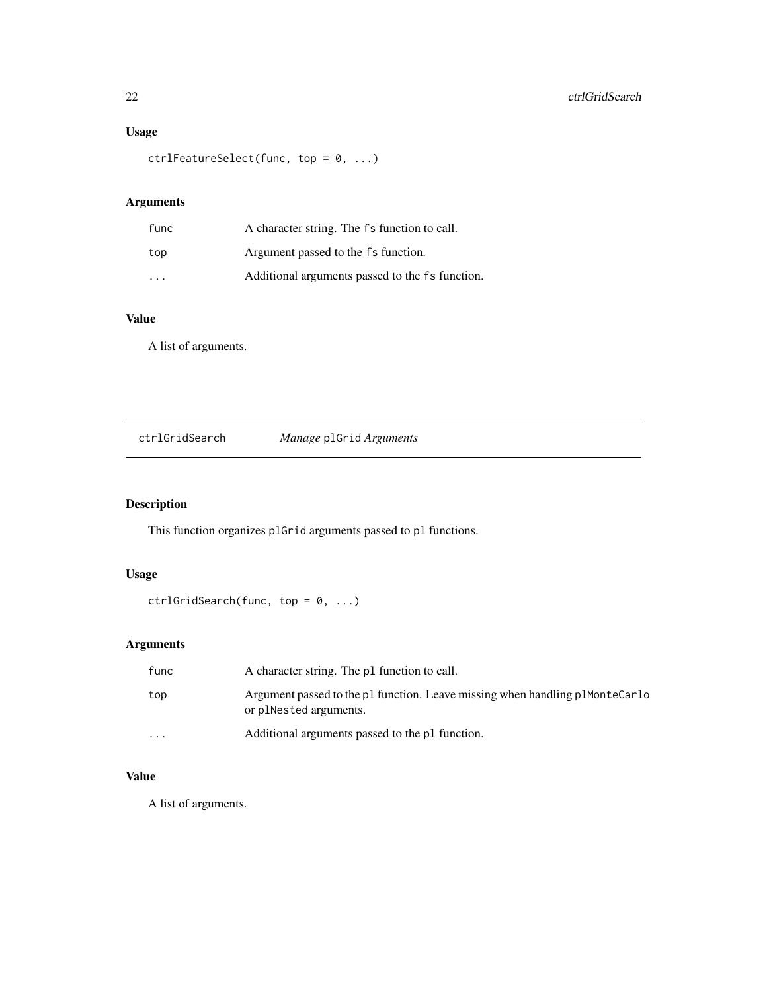### <span id="page-21-0"></span>Usage

```
ctrlFeatureSelect(func, top = 0, ...)
```
### Arguments

| func                    | A character string. The fs function to call.    |
|-------------------------|-------------------------------------------------|
| top                     | Argument passed to the fs function.             |
| $\cdot$ $\cdot$ $\cdot$ | Additional arguments passed to the fs function. |

### Value

A list of arguments.

ctrlGridSearch *Manage* plGrid *Arguments*

### Description

This function organizes plGrid arguments passed to pl functions.

### Usage

```
ctrlGridSearch(func, top = 0, ...)
```
### Arguments

| func     | A character string. The pl function to call.                                                           |
|----------|--------------------------------------------------------------------------------------------------------|
| top      | Argument passed to the p1 function. Leave missing when handling p1MonteCarlo<br>or plNested arguments. |
| $\cdots$ | Additional arguments passed to the p1 function.                                                        |

### Value

A list of arguments.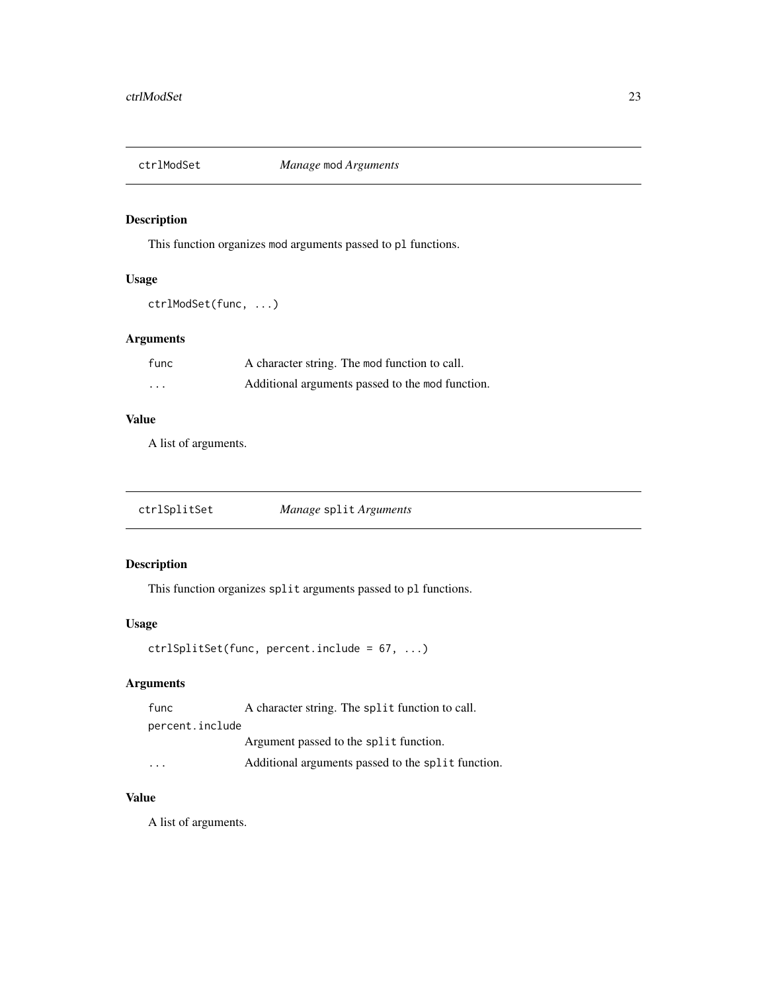<span id="page-22-0"></span>

This function organizes mod arguments passed to pl functions.

#### Usage

ctrlModSet(func, ...)

### Arguments

| func    | A character string. The mod function to call.    |
|---------|--------------------------------------------------|
| $\cdot$ | Additional arguments passed to the mod function. |

### Value

A list of arguments.

### Description

This function organizes split arguments passed to pl functions.

#### Usage

ctrlSplitSet(func, percent.include = 67, ...)

### Arguments

| func            | A character string. The split function to call.    |
|-----------------|----------------------------------------------------|
| percent.include |                                                    |
|                 | Argument passed to the split function.             |
| .               | Additional arguments passed to the split function. |

### Value

A list of arguments.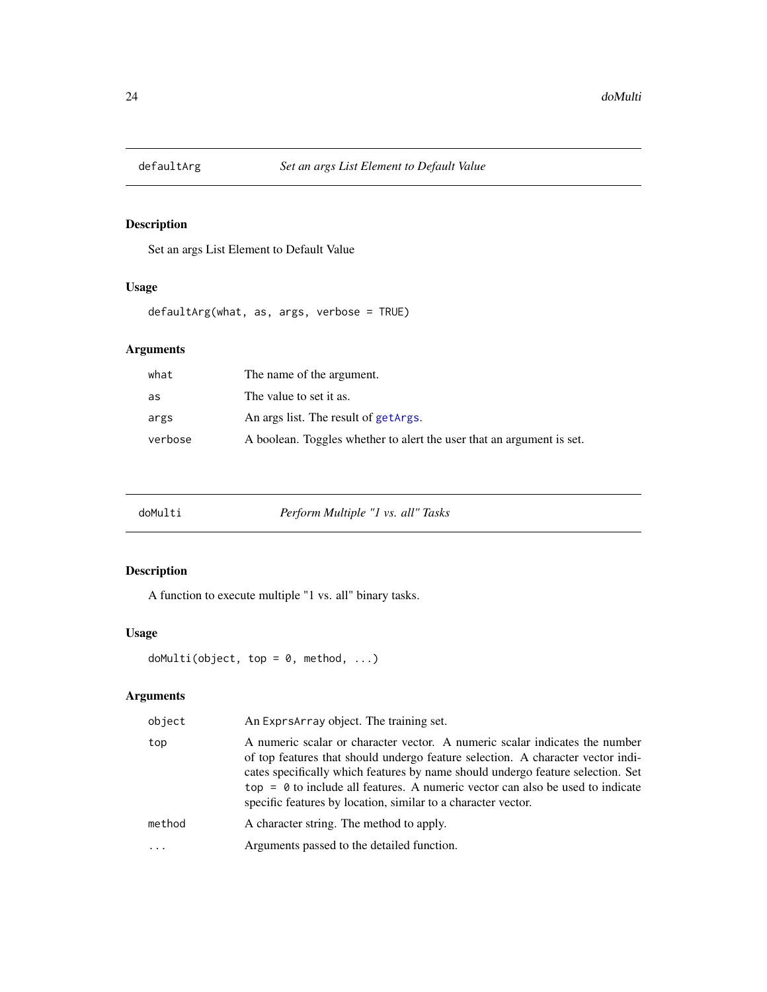<span id="page-23-0"></span>

Set an args List Element to Default Value

### Usage

defaultArg(what, as, args, verbose = TRUE)

### Arguments

| what    | The name of the argument.                                             |
|---------|-----------------------------------------------------------------------|
| as      | The value to set it as.                                               |
| args    | An args list. The result of getArgs.                                  |
| verbose | A boolean. Toggles whether to alert the user that an argument is set. |

<span id="page-23-1"></span>

### Description

A function to execute multiple "1 vs. all" binary tasks.

### Usage

```
doMulti(object, top = 0, method, ...)
```
### Arguments

| object | An Exprs Array object. The training set.                                                                                                                                                                                                                                                                                                                                                                    |
|--------|-------------------------------------------------------------------------------------------------------------------------------------------------------------------------------------------------------------------------------------------------------------------------------------------------------------------------------------------------------------------------------------------------------------|
| top    | A numeric scalar or character vector. A numeric scalar indicates the number<br>of top features that should undergo feature selection. A character vector indi-<br>cates specifically which features by name should undergo feature selection. Set<br>top = $\theta$ to include all features. A numeric vector can also be used to indicate<br>specific features by location, similar to a character vector. |
| method | A character string. The method to apply.                                                                                                                                                                                                                                                                                                                                                                    |
|        | Arguments passed to the detailed function.                                                                                                                                                                                                                                                                                                                                                                  |
|        |                                                                                                                                                                                                                                                                                                                                                                                                             |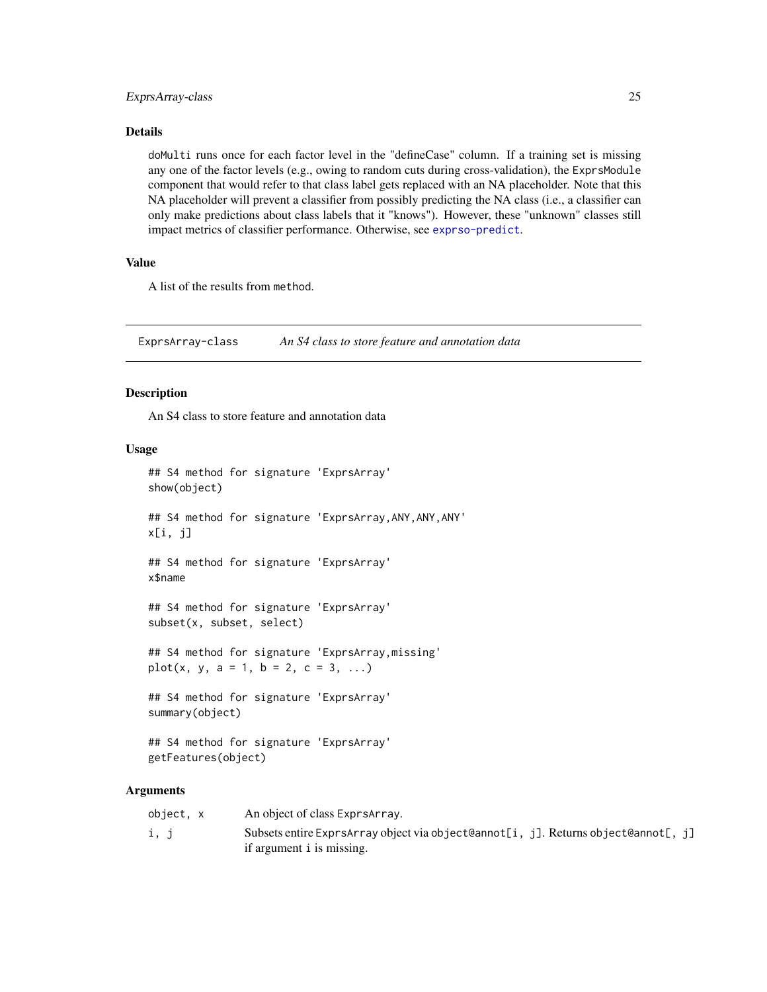### <span id="page-24-0"></span>ExprsArray-class 25

#### Details

doMulti runs once for each factor level in the "defineCase" column. If a training set is missing any one of the factor levels (e.g., owing to random cuts during cross-validation), the ExprsModule component that would refer to that class label gets replaced with an NA placeholder. Note that this NA placeholder will prevent a classifier from possibly predicting the NA class (i.e., a classifier can only make predictions about class labels that it "knows"). However, these "unknown" classes still impact metrics of classifier performance. Otherwise, see [exprso-predict](#page-29-1).

### Value

A list of the results from method.

<span id="page-24-1"></span>ExprsArray-class *An S4 class to store feature and annotation data*

#### Description

An S4 class to store feature and annotation data

#### Usage

```
## S4 method for signature 'ExprsArray'
show(object)
## S4 method for signature 'ExprsArray,ANY,ANY,ANY'
x[i, j]
## S4 method for signature 'ExprsArray'
x$name
## S4 method for signature 'ExprsArray'
subset(x, subset, select)
## S4 method for signature 'ExprsArray,missing'
plot(x, y, a = 1, b = 2, c = 3, ...)
## S4 method for signature 'ExprsArray'
summary(object)
## S4 method for signature 'ExprsArray'
getFeatures(object)
```
#### Arguments

| object, x | An object of class ExprsArray.                                                     |
|-----------|------------------------------------------------------------------------------------|
| i, j      | Subsets entire ExprsArray object via object@annot[i, j]. Returns object@annot[, j] |
|           | if argument i is missing.                                                          |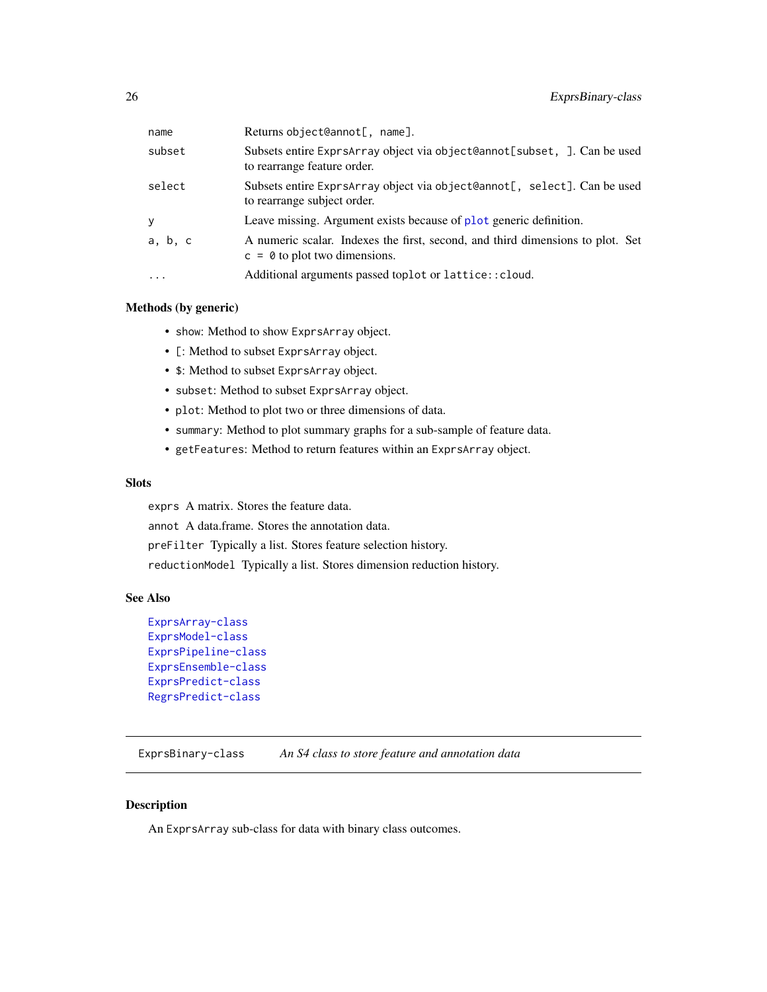<span id="page-25-0"></span>

| name     | Returns object@annot[, name].                                                                                     |
|----------|-------------------------------------------------------------------------------------------------------------------|
| subset   | Subsets entire ExprsArray object via object@annot[subset, ]. Can be used<br>to rearrange feature order.           |
| select   | Subsets entire ExprsArray object via object@annot[, select]. Can be used<br>to rearrange subject order.           |
| У        | Leave missing. Argument exists because of plot generic definition.                                                |
| a, b, c  | A numeric scalar. Indexes the first, second, and third dimensions to plot. Set<br>$c = 0$ to plot two dimensions. |
| $\cdots$ | Additional arguments passed toplot or lattice:: cloud.                                                            |

#### Methods (by generic)

- show: Method to show ExprsArray object.
- [: Method to subset ExprsArray object.
- \$: Method to subset ExprsArray object.
- subset: Method to subset ExprsArray object.
- plot: Method to plot two or three dimensions of data.
- summary: Method to plot summary graphs for a sub-sample of feature data.
- getFeatures: Method to return features within an ExprsArray object.

#### Slots

exprs A matrix. Stores the feature data.

annot A data.frame. Stores the annotation data.

preFilter Typically a list. Stores feature selection history.

reductionModel Typically a list. Stores dimension reduction history.

#### See Also

```
ExprsArray-class
ExprsModel-class
ExprsPipeline-class
ExprsEnsemble-class
ExprsPredict-class
RegrsPredict-class
```
ExprsBinary-class *An S4 class to store feature and annotation data*

### Description

An ExprsArray sub-class for data with binary class outcomes.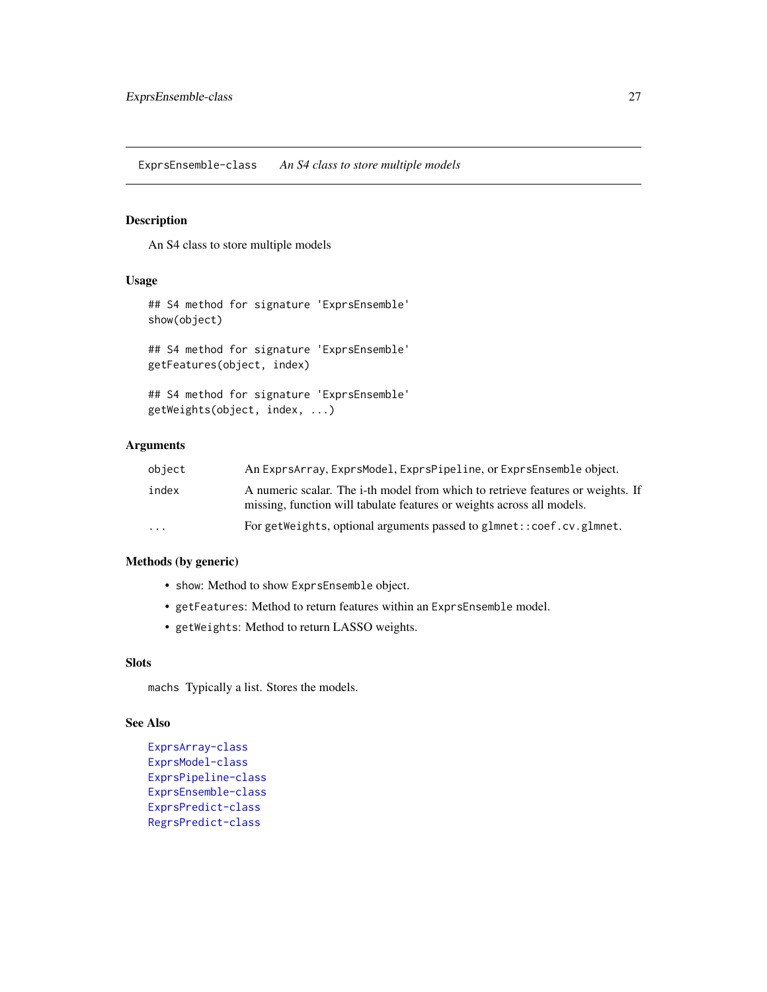<span id="page-26-1"></span><span id="page-26-0"></span>ExprsEnsemble-class *An S4 class to store multiple models*

### Description

An S4 class to store multiple models

#### Usage

```
## S4 method for signature 'ExprsEnsemble'
show(object)
## S4 method for signature 'ExprsEnsemble'
getFeatures(object, index)
## S4 method for signature 'ExprsEnsemble'
getWeights(object, index, ...)
```
### Arguments

| object                  | An ExprsArray, ExprsModel, ExprsPipeline, or ExprsEnsemble object.                                                                                        |
|-------------------------|-----------------------------------------------------------------------------------------------------------------------------------------------------------|
| index                   | A numeric scalar. The i-th model from which to retrieve features or weights. If<br>missing, function will tabulate features or weights across all models. |
| $\cdot$ $\cdot$ $\cdot$ | For getWeights, optional arguments passed to glmnet: : coef.cv.glmnet.                                                                                    |

#### Methods (by generic)

- show: Method to show ExprsEnsemble object.
- getFeatures: Method to return features within an ExprsEnsemble model.
- getWeights: Method to return LASSO weights.

### Slots

machs Typically a list. Stores the models.

### See Also

```
ExprsArray-class
ExprsModel-class
ExprsPipeline-class
ExprsEnsemble-class
ExprsPredict-class
RegrsPredict-class
```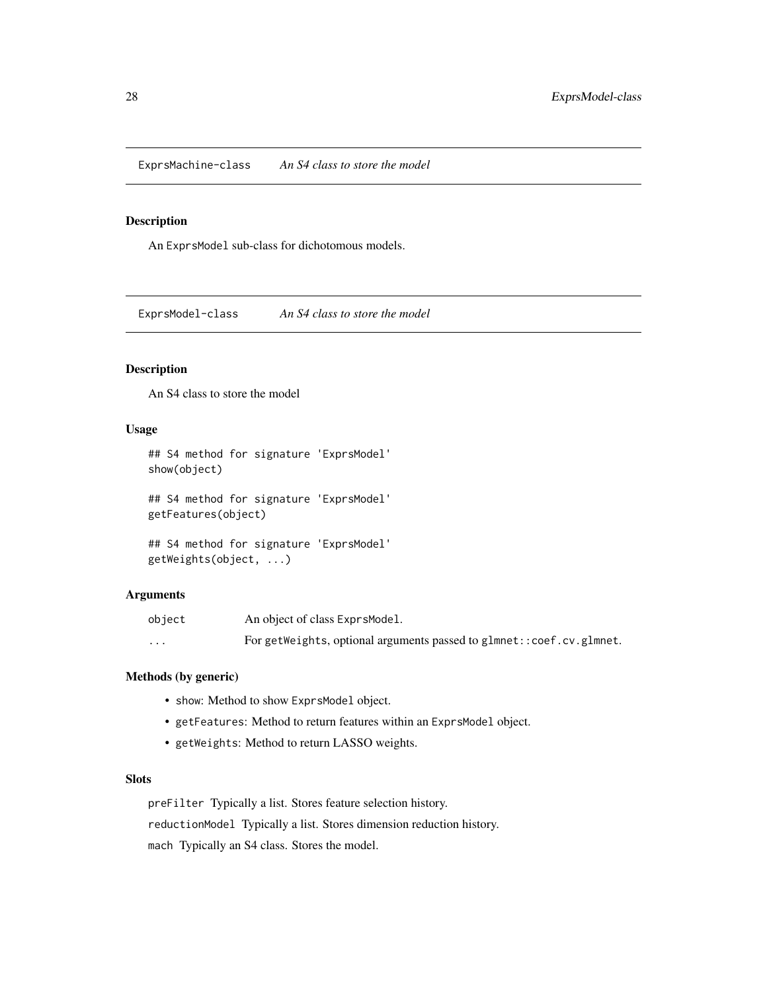<span id="page-27-0"></span>ExprsMachine-class *An S4 class to store the model*

### Description

An ExprsModel sub-class for dichotomous models.

<span id="page-27-1"></span>ExprsModel-class *An S4 class to store the model*

### Description

An S4 class to store the model

#### Usage

```
## S4 method for signature 'ExprsModel'
show(object)
## S4 method for signature 'ExprsModel'
getFeatures(object)
```
## S4 method for signature 'ExprsModel' getWeights(object, ...)

#### Arguments

| object   | An object of class ExprsModel.                                       |
|----------|----------------------------------------------------------------------|
| $\cdots$ | For getWeights, optional arguments passed to glmnet::coef.cv.glmnet. |

### Methods (by generic)

- show: Method to show ExprsModel object.
- getFeatures: Method to return features within an ExprsModel object.
- getWeights: Method to return LASSO weights.

### Slots

preFilter Typically a list. Stores feature selection history. reductionModel Typically a list. Stores dimension reduction history. mach Typically an S4 class. Stores the model.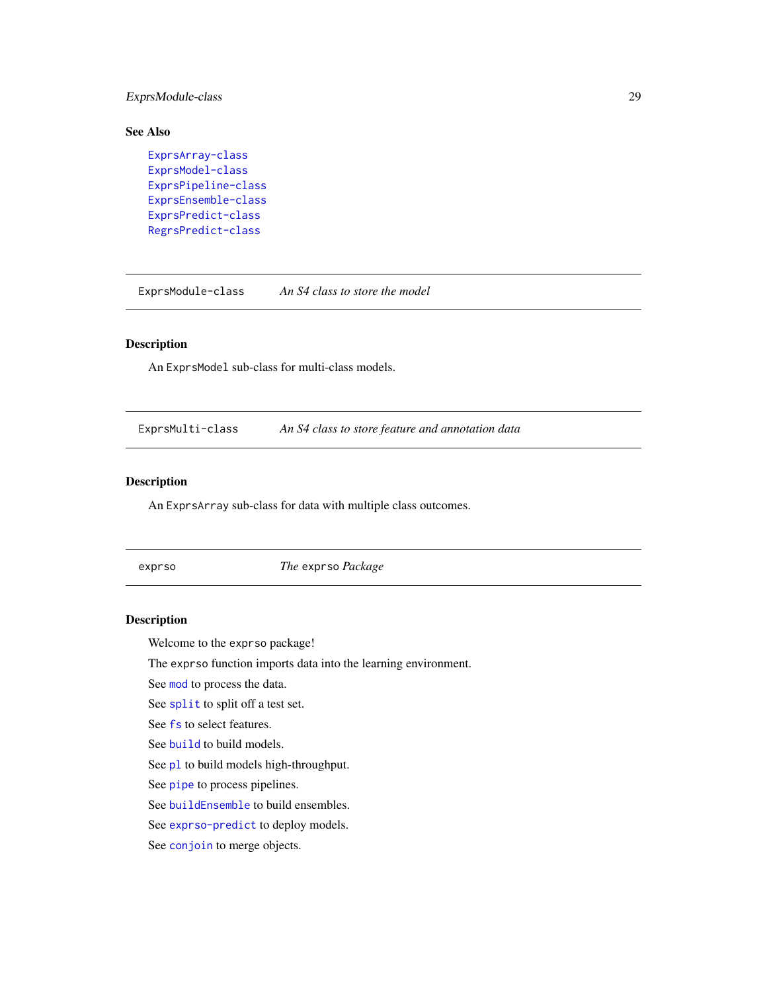### <span id="page-28-0"></span>ExprsModule-class 29

### See Also

```
ExprsArray-class
ExprsModel-class
ExprsPipeline-class
ExprsEnsemble-class
ExprsPredict-class
RegrsPredict-class
```
ExprsModule-class *An S4 class to store the model*

### Description

An ExprsModel sub-class for multi-class models.

ExprsMulti-class *An S4 class to store feature and annotation data*

### Description

An ExprsArray sub-class for data with multiple class outcomes.

<span id="page-28-1"></span>exprso *The* exprso *Package*

### Description

Welcome to the exprso package!

The exprso function imports data into the learning environment.

See [mod](#page-47-1) to process the data.

See [split](#page-69-1) to split off a test set.

See [fs](#page-33-1) to select features.

See [build](#page-5-1) to build models.

See [pl](#page-61-1) to build models high-throughput.

See [pipe](#page-59-1) to process pipelines.

See [buildEnsemble](#page-8-2) to build ensembles.

See [exprso-predict](#page-29-1) to deploy models.

See [conjoin](#page-19-1) to merge objects.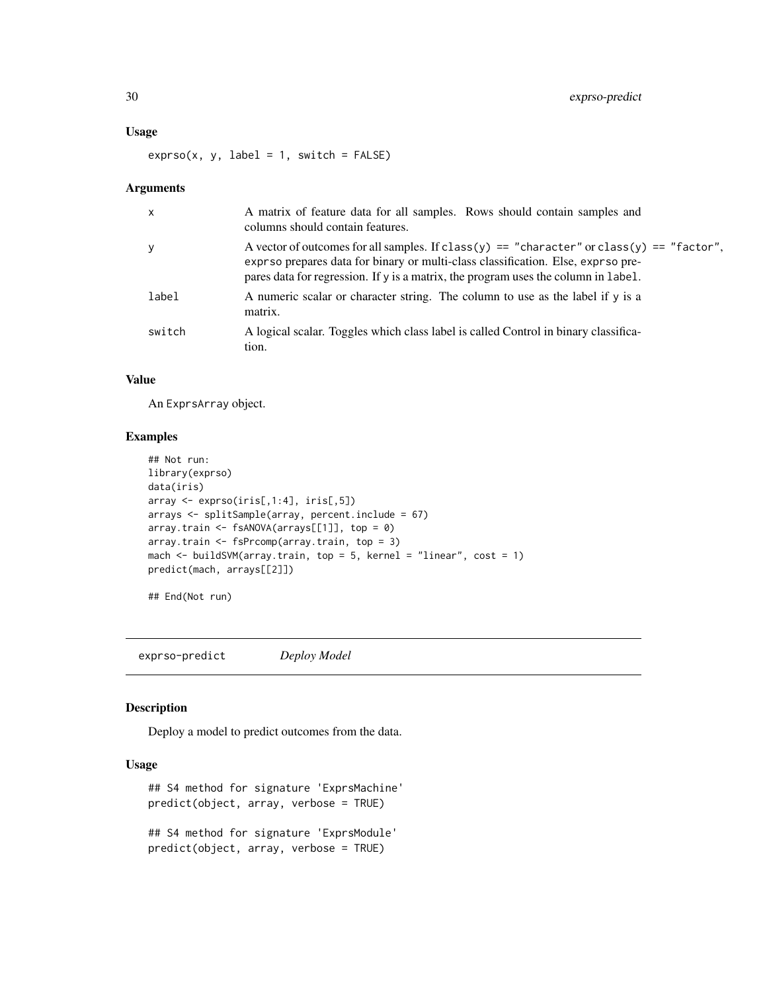#### <span id="page-29-0"></span>Usage

 $exprso(x, y, label = 1, switch = FALSE)$ 

#### Arguments

| $\boldsymbol{\mathsf{x}}$ | A matrix of feature data for all samples. Rows should contain samples and<br>columns should contain features.                                                                                                                                                       |
|---------------------------|---------------------------------------------------------------------------------------------------------------------------------------------------------------------------------------------------------------------------------------------------------------------|
| У                         | A vector of outcomes for all samples. If class(y) == "character" or class(y) == "factor",<br>exprso prepares data for binary or multi-class classification. Else, exprso pre-<br>pares data for regression. If y is a matrix, the program uses the column in label. |
| label                     | A numeric scalar or character string. The column to use as the label if y is a<br>matrix.                                                                                                                                                                           |
| switch                    | A logical scalar. Toggles which class label is called Control in binary classifica-<br>tion.                                                                                                                                                                        |

### Value

An ExprsArray object.

#### Examples

```
## Not run:
library(exprso)
data(iris)
array <- exprso(iris[,1:4], iris[,5])
arrays <- splitSample(array, percent.include = 67)
array.train <- fsANOVA(arrays[[1]], top = 0)
array.train <- fsPrcomp(array.train, top = 3)
mach <- buildSVM(array.train, top = 5, kernel = "linear", cost = 1)
predict(mach, arrays[[2]])
```
## End(Not run)

<span id="page-29-1"></span>exprso-predict *Deploy Model*

#### Description

Deploy a model to predict outcomes from the data.

#### Usage

```
## S4 method for signature 'ExprsMachine'
predict(object, array, verbose = TRUE)
## S4 method for signature 'ExprsModule'
predict(object, array, verbose = TRUE)
```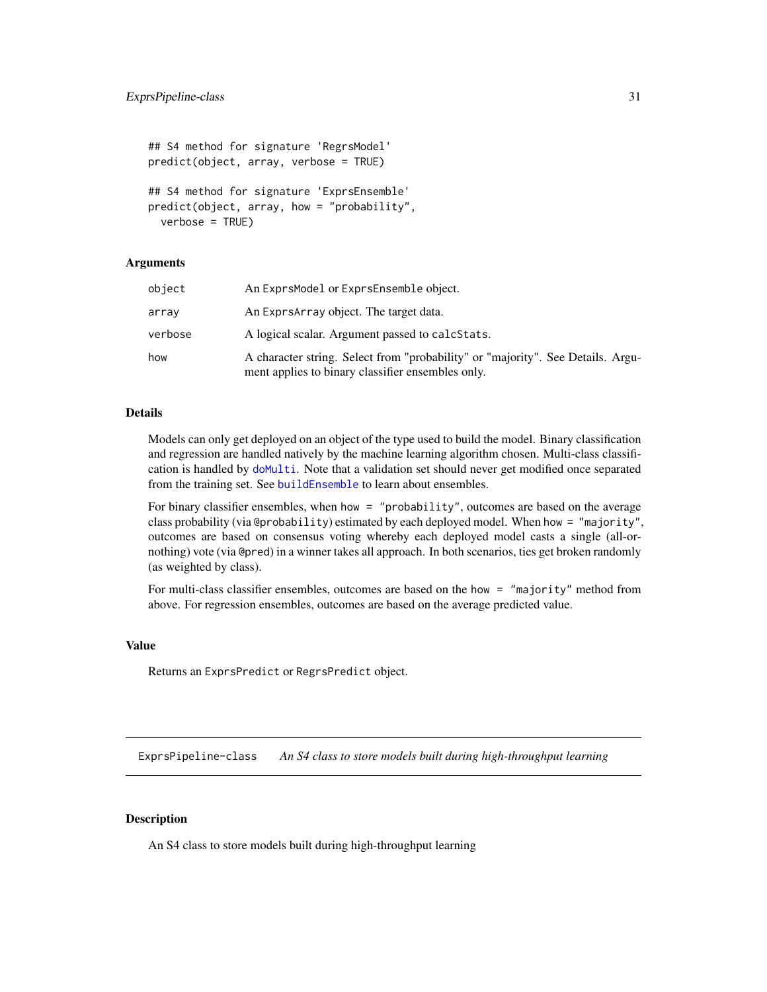```
## S4 method for signature 'RegrsModel'
predict(object, array, verbose = TRUE)
## S4 method for signature 'ExprsEnsemble'
predict(object, array, how = "probability",
 verbose = TRUE)
```
#### Arguments

| object  | An ExprsModel or ExprsEnsemble object.                                                                                               |
|---------|--------------------------------------------------------------------------------------------------------------------------------------|
| array   | An Exprs Array object. The target data.                                                                                              |
| verbose | A logical scalar. Argument passed to calcStats.                                                                                      |
| how     | A character string. Select from "probability" or "majority". See Details. Argu-<br>ment applies to binary classifier ensembles only. |

#### Details

Models can only get deployed on an object of the type used to build the model. Binary classification and regression are handled natively by the machine learning algorithm chosen. Multi-class classification is handled by [doMulti](#page-23-1). Note that a validation set should never get modified once separated from the training set. See [buildEnsemble](#page-8-2) to learn about ensembles.

For binary classifier ensembles, when how = "probability", outcomes are based on the average class probability (via @probability) estimated by each deployed model. When how = "majority", outcomes are based on consensus voting whereby each deployed model casts a single (all-ornothing) vote (via @pred) in a winner takes all approach. In both scenarios, ties get broken randomly (as weighted by class).

For multi-class classifier ensembles, outcomes are based on the how = "majority" method from above. For regression ensembles, outcomes are based on the average predicted value.

#### Value

Returns an ExprsPredict or RegrsPredict object.

<span id="page-30-1"></span>ExprsPipeline-class *An S4 class to store models built during high-throughput learning*

#### Description

An S4 class to store models built during high-throughput learning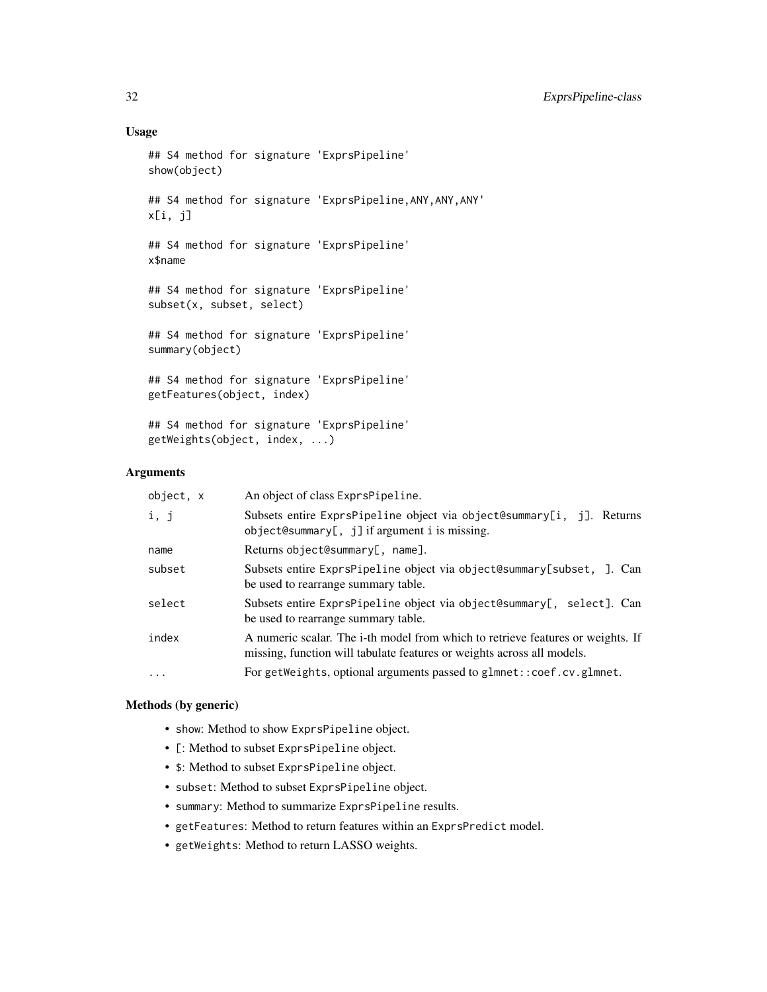#### Usage

```
## S4 method for signature 'ExprsPipeline'
show(object)
## S4 method for signature 'ExprsPipeline,ANY,ANY,ANY'
x[i, j]
## S4 method for signature 'ExprsPipeline'
x$name
## S4 method for signature 'ExprsPipeline'
subset(x, subset, select)
## S4 method for signature 'ExprsPipeline'
summary(object)
## S4 method for signature 'ExprsPipeline'
getFeatures(object, index)
## S4 method for signature 'ExprsPipeline'
getWeights(object, index, ...)
```
#### **Arguments**

| object, x | An object of class ExprsPipeline.                                                                                                                         |
|-----------|-----------------------------------------------------------------------------------------------------------------------------------------------------------|
| i, j      | Subsets entire ExprsPipeline object via object@summary[i, j]. Returns<br>$object@summary[, j]$ if argument i is missing.                                  |
| name      | Returns object@summary[, name].                                                                                                                           |
| subset    | Subsets entire ExprsPipeline object via object@summary[subset, ]. Can<br>be used to rearrange summary table.                                              |
| select    | Subsets entire ExprsPipeline object via object@summary[, select]. Can<br>be used to rearrange summary table.                                              |
| index     | A numeric scalar. The i-th model from which to retrieve features or weights. If<br>missing, function will tabulate features or weights across all models. |
| $\cdots$  | For getWeights, optional arguments passed to glmnet:: coef.cv.glmnet.                                                                                     |

#### Methods (by generic)

- show: Method to show ExprsPipeline object.
- [: Method to subset ExprsPipeline object.
- \$: Method to subset ExprsPipeline object.
- subset: Method to subset ExprsPipeline object.
- summary: Method to summarize ExprsPipeline results.
- getFeatures: Method to return features within an ExprsPredict model.
- getWeights: Method to return LASSO weights.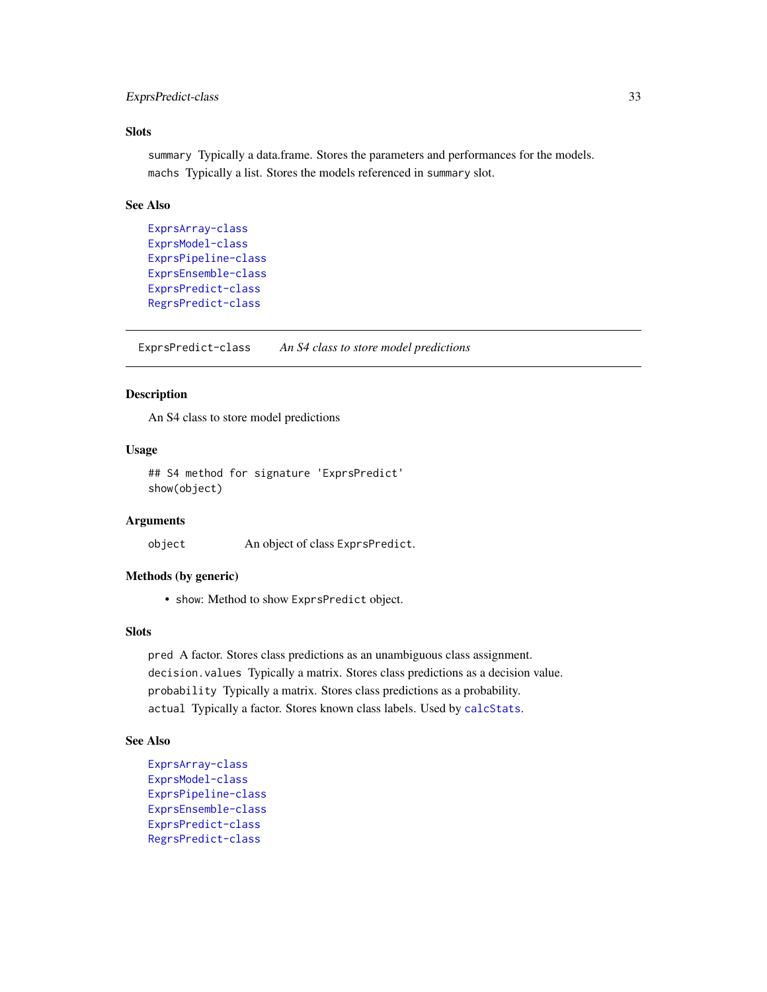### <span id="page-32-0"></span>ExprsPredict-class 33

#### Slots

summary Typically a data.frame. Stores the parameters and performances for the models. machs Typically a list. Stores the models referenced in summary slot.

### See Also

```
ExprsArray-class
ExprsModel-class
ExprsPipeline-class
ExprsEnsemble-class
ExprsPredict-class
RegrsPredict-class
```
<span id="page-32-1"></span>ExprsPredict-class *An S4 class to store model predictions*

#### Description

An S4 class to store model predictions

#### Usage

```
## S4 method for signature 'ExprsPredict'
show(object)
```
#### **Arguments**

object An object of class ExprsPredict.

#### Methods (by generic)

• show: Method to show ExprsPredict object.

#### **Slots**

pred A factor. Stores class predictions as an unambiguous class assignment. decision.values Typically a matrix. Stores class predictions as a decision value. probability Typically a matrix. Stores class predictions as a probability. actual Typically a factor. Stores known class labels. Used by [calcStats](#page-16-1).

### See Also

```
ExprsArray-class
ExprsModel-class
ExprsPipeline-class
ExprsEnsemble-class
ExprsPredict-class
RegrsPredict-class
```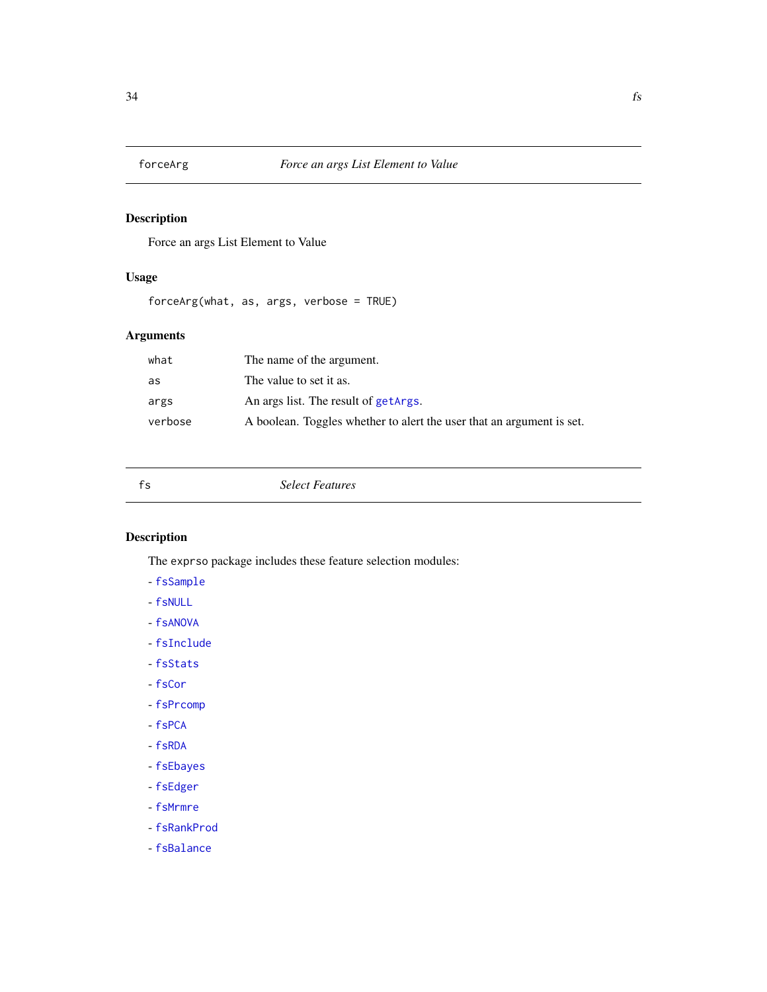<span id="page-33-0"></span>

Force an args List Element to Value

### Usage

forceArg(what, as, args, verbose = TRUE)

### Arguments

| what    | The name of the argument.                                             |
|---------|-----------------------------------------------------------------------|
| as      | The value to set it as.                                               |
| args    | An args list. The result of getArgs.                                  |
| verbose | A boolean. Toggles whether to alert the user that an argument is set. |

<span id="page-33-1"></span>fs *Select Features*

### Description

The exprso package includes these feature selection modules:

- [fsSample](#page-43-1)
- [fsNULL](#page-40-1)
- [fsANOVA](#page-35-1)
- [fsInclude](#page-38-1)
- [fsStats](#page-44-2)
- [fsCor](#page-36-1)
- [fsPrcomp](#page-41-1)
- [fsPCA](#page-40-2)
- [fsRDA](#page-42-1)
- [fsEbayes](#page-37-1)
- [fsEdger](#page-37-2)
- [fsMrmre](#page-39-1)
- [fsRankProd](#page-42-2) - [fsBalance](#page-35-2)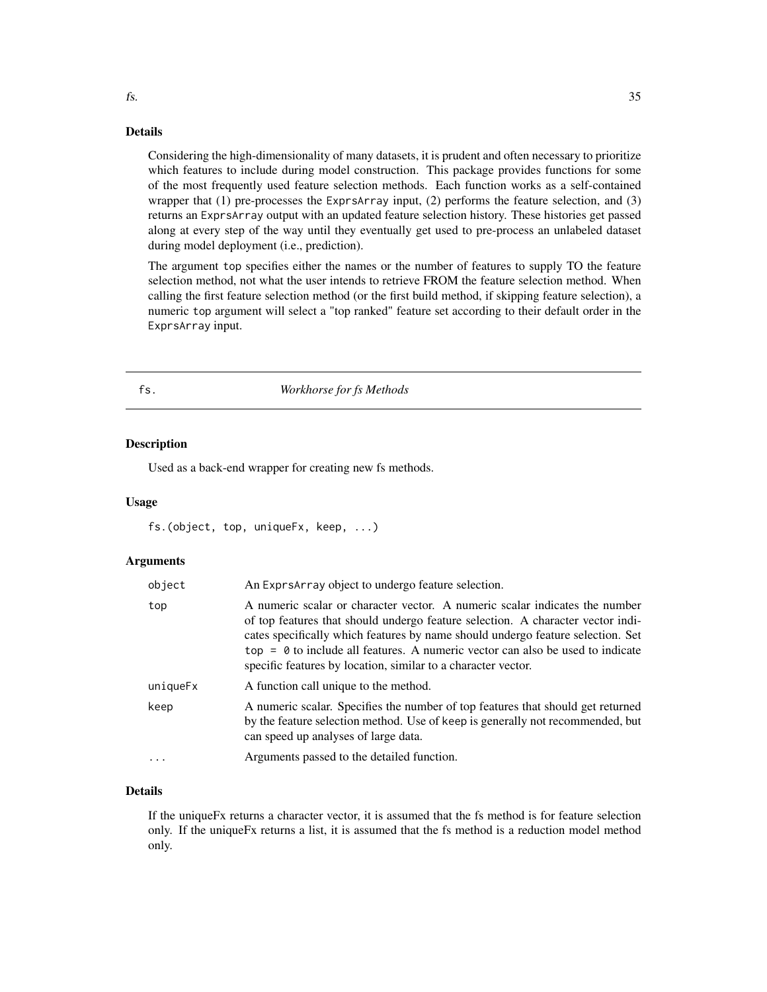#### Details

Considering the high-dimensionality of many datasets, it is prudent and often necessary to prioritize which features to include during model construction. This package provides functions for some of the most frequently used feature selection methods. Each function works as a self-contained wrapper that (1) pre-processes the ExprsArray input, (2) performs the feature selection, and (3) returns an ExprsArray output with an updated feature selection history. These histories get passed along at every step of the way until they eventually get used to pre-process an unlabeled dataset during model deployment (i.e., prediction).

The argument top specifies either the names or the number of features to supply TO the feature selection method, not what the user intends to retrieve FROM the feature selection method. When calling the first feature selection method (or the first build method, if skipping feature selection), a numeric top argument will select a "top ranked" feature set according to their default order in the ExprsArray input.

#### fs. *Workhorse for fs Methods*

#### **Description**

Used as a back-end wrapper for creating new fs methods.

#### Usage

fs.(object, top, uniqueFx, keep, ...)

#### Arguments

| object   | An Exprs Array object to undergo feature selection.                                                                                                                                                                                                                                                                                                                                                    |  |
|----------|--------------------------------------------------------------------------------------------------------------------------------------------------------------------------------------------------------------------------------------------------------------------------------------------------------------------------------------------------------------------------------------------------------|--|
| top      | A numeric scalar or character vector. A numeric scalar indicates the number<br>of top features that should undergo feature selection. A character vector indi-<br>cates specifically which features by name should undergo feature selection. Set<br>$top = 0$ to include all features. A numeric vector can also be used to indicate<br>specific features by location, similar to a character vector. |  |
| uniqueFx | A function call unique to the method.                                                                                                                                                                                                                                                                                                                                                                  |  |
| keep     | A numeric scalar. Specifies the number of top features that should get returned<br>by the feature selection method. Use of keep is generally not recommended, but<br>can speed up analyses of large data.                                                                                                                                                                                              |  |
| $\cdot$  | Arguments passed to the detailed function.                                                                                                                                                                                                                                                                                                                                                             |  |
|          |                                                                                                                                                                                                                                                                                                                                                                                                        |  |

### Details

If the uniqueFx returns a character vector, it is assumed that the fs method is for feature selection only. If the uniqueFx returns a list, it is assumed that the fs method is a reduction model method only.

<span id="page-34-0"></span>fs.  $\frac{35}{25}$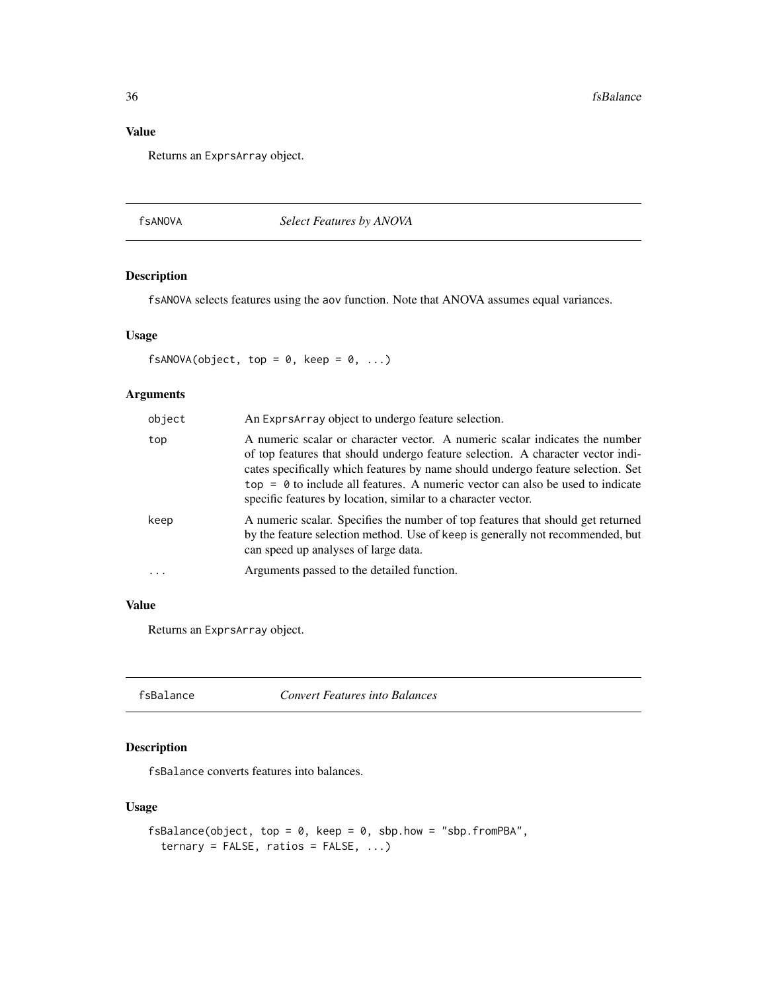### Value

Returns an ExprsArray object.

#### <span id="page-35-1"></span>fsANOVA *Select Features by ANOVA*

### Description

fsANOVA selects features using the aov function. Note that ANOVA assumes equal variances.

### Usage

 $fsANOVA(object, top = 0, keep = 0, ...)$ 

### Arguments

| object | An Exprs Array object to undergo feature selection.                                                                                                                                                                                                                                                                                                                                                    |
|--------|--------------------------------------------------------------------------------------------------------------------------------------------------------------------------------------------------------------------------------------------------------------------------------------------------------------------------------------------------------------------------------------------------------|
| top    | A numeric scalar or character vector. A numeric scalar indicates the number<br>of top features that should undergo feature selection. A character vector indi-<br>cates specifically which features by name should undergo feature selection. Set<br>$top = 0$ to include all features. A numeric vector can also be used to indicate<br>specific features by location, similar to a character vector. |
| keep   | A numeric scalar. Specifies the number of top features that should get returned<br>by the feature selection method. Use of keep is generally not recommended, but<br>can speed up analyses of large data.                                                                                                                                                                                              |
|        | Arguments passed to the detailed function.                                                                                                                                                                                                                                                                                                                                                             |

### Value

Returns an ExprsArray object.

<span id="page-35-2"></span>

| fsBalance |  |
|-----------|--|
|-----------|--|

**Convert Features into Balances** 

### Description

fsBalance converts features into balances.

### Usage

```
fsBalance(object, top = 0, keep = 0, sbp.how = "sbp.fromPBA",
  ternary = FALSE, ratios = FALSE, ...)
```
<span id="page-35-0"></span>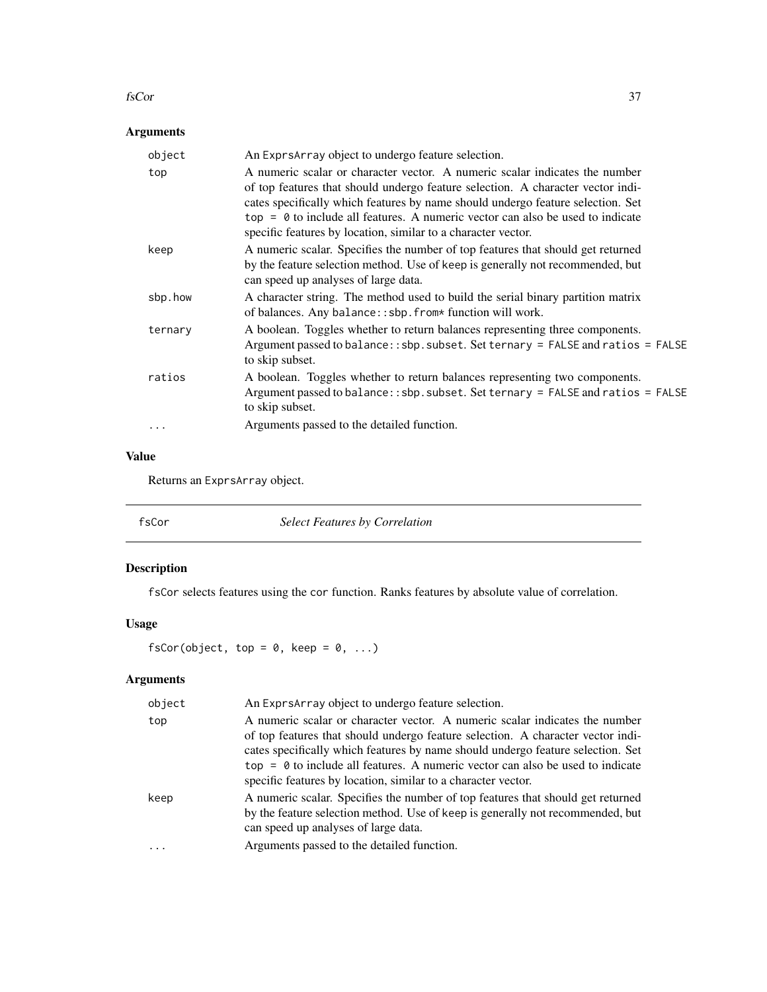#### fsCor 37

# Arguments

| object  | An ExprsArray object to undergo feature selection.                                                                                                                                                                                                                                                                                                                                                     |
|---------|--------------------------------------------------------------------------------------------------------------------------------------------------------------------------------------------------------------------------------------------------------------------------------------------------------------------------------------------------------------------------------------------------------|
| top     | A numeric scalar or character vector. A numeric scalar indicates the number<br>of top features that should undergo feature selection. A character vector indi-<br>cates specifically which features by name should undergo feature selection. Set<br>$top = 0$ to include all features. A numeric vector can also be used to indicate<br>specific features by location, similar to a character vector. |
| keep    | A numeric scalar. Specifies the number of top features that should get returned<br>by the feature selection method. Use of keep is generally not recommended, but<br>can speed up analyses of large data.                                                                                                                                                                                              |
| sbp.how | A character string. The method used to build the serial binary partition matrix<br>of balances. Any balance:: sbp. from* function will work.                                                                                                                                                                                                                                                           |
| ternary | A boolean. Toggles whether to return balances representing three components.<br>Argument passed to balance:: sbp. subset. Set ternary = FALSE and ratios = FALSE<br>to skip subset.                                                                                                                                                                                                                    |
| ratios  | A boolean. Toggles whether to return balances representing two components.<br>Argument passed to balance:: sbp. subset. Set ternary = FALSE and ratios = FALSE<br>to skip subset.                                                                                                                                                                                                                      |
|         | Arguments passed to the detailed function.                                                                                                                                                                                                                                                                                                                                                             |

# Value

Returns an ExprsArray object.

| <b>Select Features by Correlation</b><br>fsCor |
|------------------------------------------------|
|------------------------------------------------|

# Description

fsCor selects features using the cor function. Ranks features by absolute value of correlation.

# Usage

fsCor(object, top =  $0$ , keep =  $0$ , ...)

# Arguments

| object    | An Exprs Array object to undergo feature selection.                                                                                                                                                                                                                                                                                                                                                    |
|-----------|--------------------------------------------------------------------------------------------------------------------------------------------------------------------------------------------------------------------------------------------------------------------------------------------------------------------------------------------------------------------------------------------------------|
| top       | A numeric scalar or character vector. A numeric scalar indicates the number<br>of top features that should undergo feature selection. A character vector indi-<br>cates specifically which features by name should undergo feature selection. Set<br>$top = 0$ to include all features. A numeric vector can also be used to indicate<br>specific features by location, similar to a character vector. |
| keep<br>. | A numeric scalar. Specifies the number of top features that should get returned<br>by the feature selection method. Use of keep is generally not recommended, but<br>can speed up analyses of large data.<br>Arguments passed to the detailed function.                                                                                                                                                |
|           |                                                                                                                                                                                                                                                                                                                                                                                                        |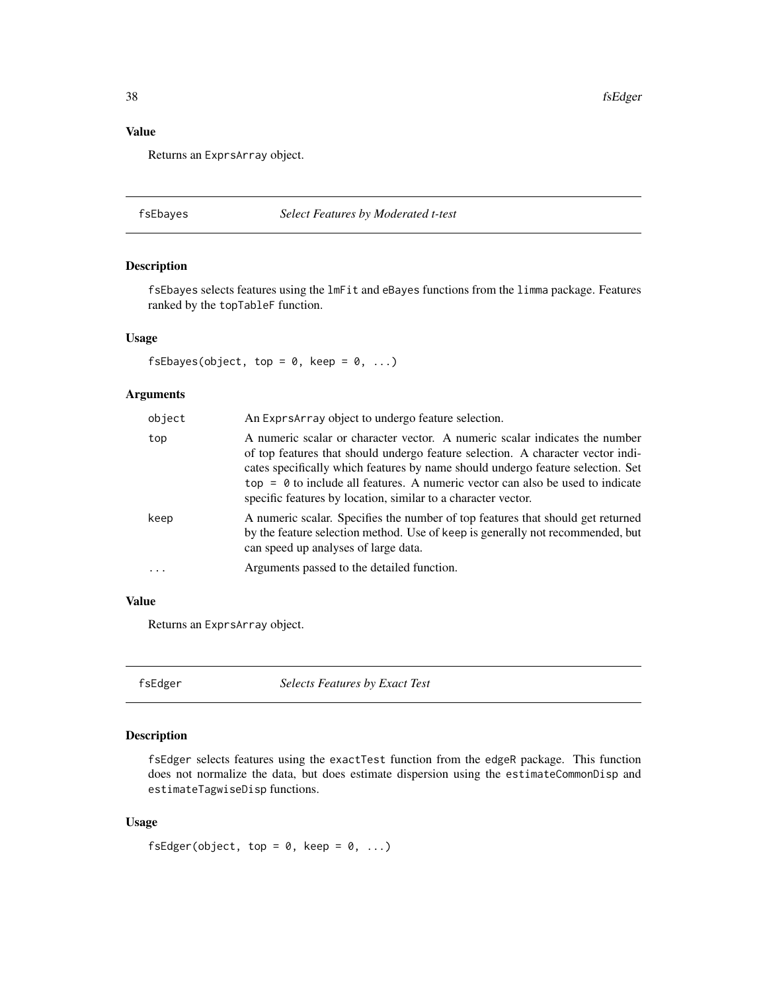# Value

Returns an ExprsArray object.

#### fsEbayes *Select Features by Moderated t-test*

# Description

fsEbayes selects features using the lmFit and eBayes functions from the limma package. Features ranked by the topTableF function.

### Usage

fsEbayes(object, top =  $0$ , keep =  $0$ , ...)

## Arguments

| object   | An Exprs Array object to undergo feature selection.                                                                                                                                                                                                                                                                                                                                                    |
|----------|--------------------------------------------------------------------------------------------------------------------------------------------------------------------------------------------------------------------------------------------------------------------------------------------------------------------------------------------------------------------------------------------------------|
| top      | A numeric scalar or character vector. A numeric scalar indicates the number<br>of top features that should undergo feature selection. A character vector indi-<br>cates specifically which features by name should undergo feature selection. Set<br>$top = 0$ to include all features. A numeric vector can also be used to indicate<br>specific features by location, similar to a character vector. |
| keep     | A numeric scalar. Specifies the number of top features that should get returned<br>by the feature selection method. Use of keep is generally not recommended, but<br>can speed up analyses of large data.                                                                                                                                                                                              |
| $\ddots$ | Arguments passed to the detailed function.                                                                                                                                                                                                                                                                                                                                                             |

### Value

Returns an ExprsArray object.

fsEdger *Selects Features by Exact Test*

# Description

fsEdger selects features using the exactTest function from the edgeR package. This function does not normalize the data, but does estimate dispersion using the estimateCommonDisp and estimateTagwiseDisp functions.

#### Usage

```
fsEdger(object, top = 0, keep = 0, ...)
```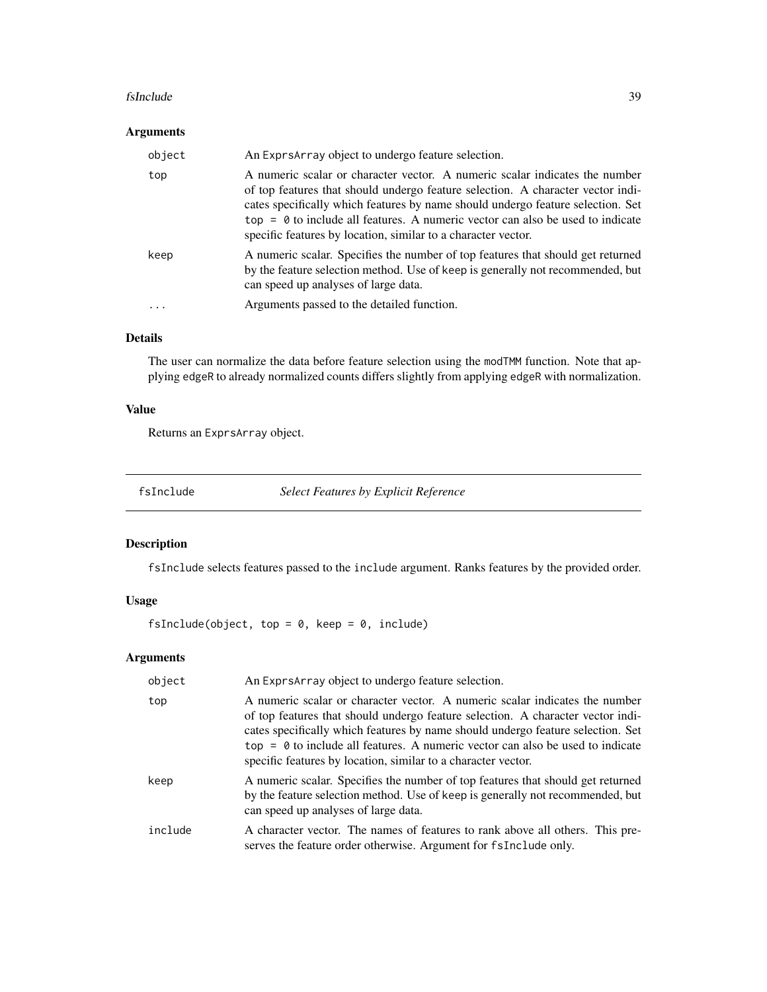#### fsInclude 39

# Arguments

| object | An Exprs Array object to undergo feature selection.                                                                                                                                                                                                                                                                                                                                                    |
|--------|--------------------------------------------------------------------------------------------------------------------------------------------------------------------------------------------------------------------------------------------------------------------------------------------------------------------------------------------------------------------------------------------------------|
| top    | A numeric scalar or character vector. A numeric scalar indicates the number<br>of top features that should undergo feature selection. A character vector indi-<br>cates specifically which features by name should undergo feature selection. Set<br>$top = 0$ to include all features. A numeric vector can also be used to indicate<br>specific features by location, similar to a character vector. |
| keep   | A numeric scalar. Specifies the number of top features that should get returned<br>by the feature selection method. Use of keep is generally not recommended, but<br>can speed up analyses of large data.                                                                                                                                                                                              |
|        | Arguments passed to the detailed function.                                                                                                                                                                                                                                                                                                                                                             |

# Details

The user can normalize the data before feature selection using the modTMM function. Note that applying edgeR to already normalized counts differs slightly from applying edgeR with normalization.

# Value

Returns an ExprsArray object.

fsInclude *Select Features by Explicit Reference*

# Description

fsInclude selects features passed to the include argument. Ranks features by the provided order.

# Usage

fsInclude(object, top =  $0$ , keep =  $0$ , include)

# Arguments

| object  | An Exprs Array object to undergo feature selection.                                                                                                                                                                                                                                                                                                                                                    |
|---------|--------------------------------------------------------------------------------------------------------------------------------------------------------------------------------------------------------------------------------------------------------------------------------------------------------------------------------------------------------------------------------------------------------|
| top     | A numeric scalar or character vector. A numeric scalar indicates the number<br>of top features that should undergo feature selection. A character vector indi-<br>cates specifically which features by name should undergo feature selection. Set<br>$top = 0$ to include all features. A numeric vector can also be used to indicate<br>specific features by location, similar to a character vector. |
| keep    | A numeric scalar. Specifies the number of top features that should get returned<br>by the feature selection method. Use of keep is generally not recommended, but<br>can speed up analyses of large data.                                                                                                                                                                                              |
| include | A character vector. The names of features to rank above all others. This pre-<br>serves the feature order otherwise. Argument for fsInclude only.                                                                                                                                                                                                                                                      |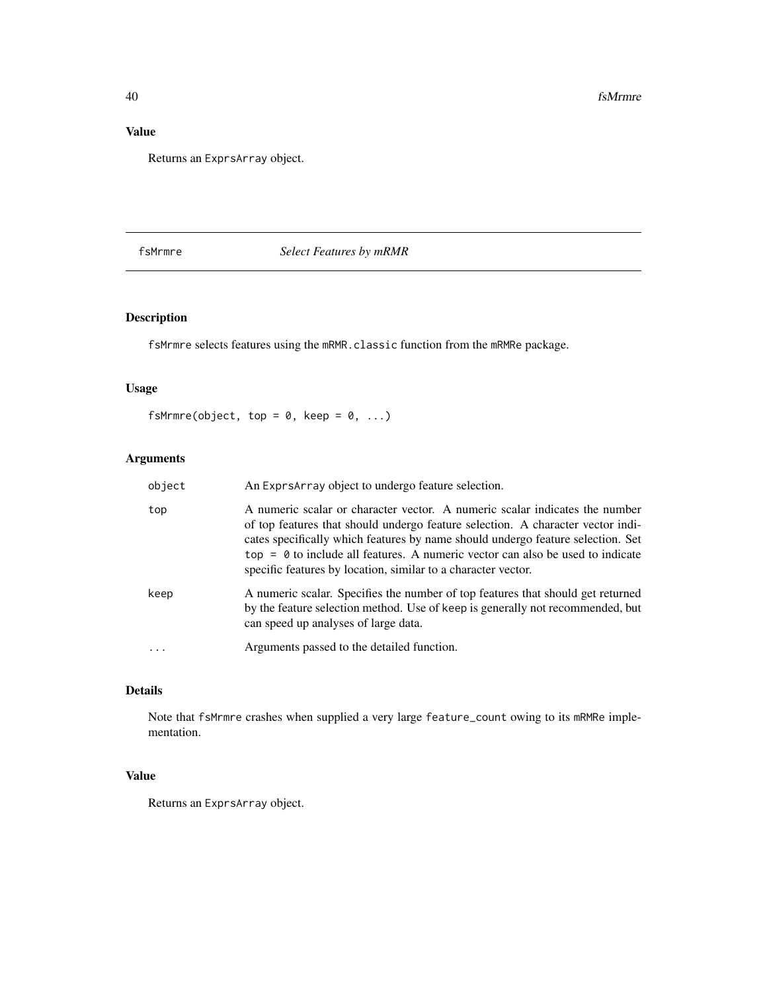# Value

Returns an ExprsArray object.

# fsMrmre *Select Features by mRMR*

# Description

fsMrmre selects features using the mRMR.classic function from the mRMRe package.

# Usage

fsMrmre(object, top =  $0$ , keep =  $0$ , ...)

# Arguments

| object   | An Exprs Array object to undergo feature selection.                                                                                                                                                                                                                                                                                                                                                    |
|----------|--------------------------------------------------------------------------------------------------------------------------------------------------------------------------------------------------------------------------------------------------------------------------------------------------------------------------------------------------------------------------------------------------------|
| top      | A numeric scalar or character vector. A numeric scalar indicates the number<br>of top features that should undergo feature selection. A character vector indi-<br>cates specifically which features by name should undergo feature selection. Set<br>$top = 0$ to include all features. A numeric vector can also be used to indicate<br>specific features by location, similar to a character vector. |
| keep     | A numeric scalar. Specifies the number of top features that should get returned<br>by the feature selection method. Use of keep is generally not recommended, but<br>can speed up analyses of large data.                                                                                                                                                                                              |
| $\cdots$ | Arguments passed to the detailed function.                                                                                                                                                                                                                                                                                                                                                             |

# Details

Note that fsMrmre crashes when supplied a very large feature\_count owing to its mRMRe implementation.

# Value

Returns an ExprsArray object.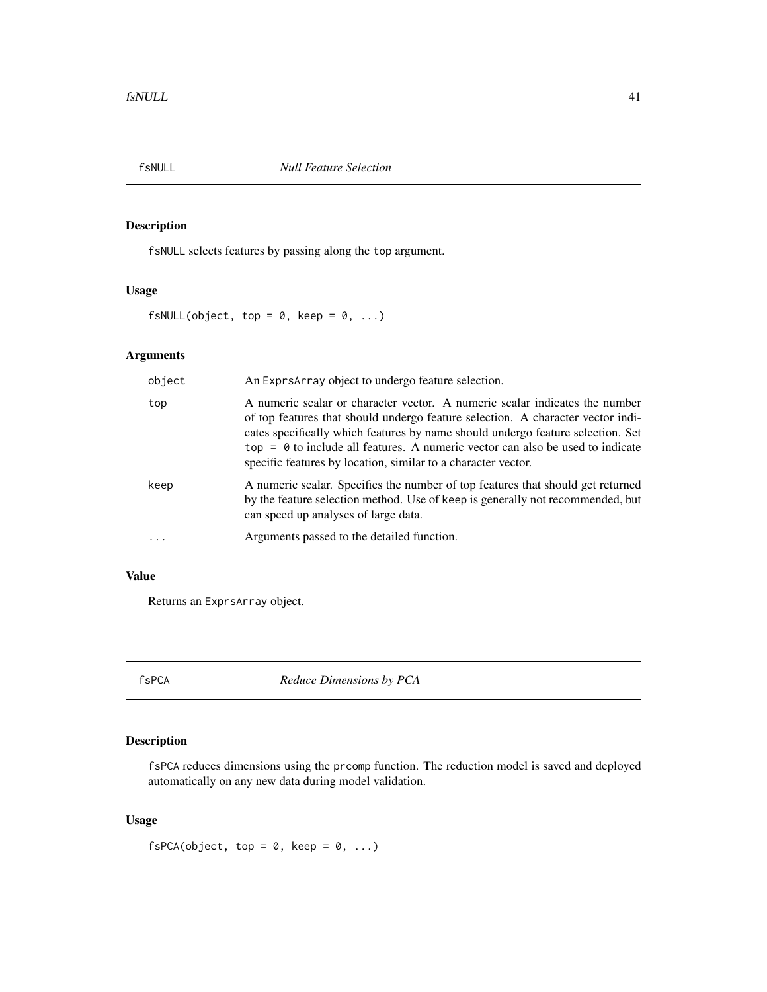fsNULL selects features by passing along the top argument.

# Usage

fsNULL(object, top =  $0$ , keep =  $0$ , ...)

# Arguments

| object | An Exprs Array object to undergo feature selection.                                                                                                                                                                                                                                                                                                                                                    |
|--------|--------------------------------------------------------------------------------------------------------------------------------------------------------------------------------------------------------------------------------------------------------------------------------------------------------------------------------------------------------------------------------------------------------|
| top    | A numeric scalar or character vector. A numeric scalar indicates the number<br>of top features that should undergo feature selection. A character vector indi-<br>cates specifically which features by name should undergo feature selection. Set<br>$top = 0$ to include all features. A numeric vector can also be used to indicate<br>specific features by location, similar to a character vector. |
| keep   | A numeric scalar. Specifies the number of top features that should get returned<br>by the feature selection method. Use of keep is generally not recommended, but<br>can speed up analyses of large data.                                                                                                                                                                                              |
| .      | Arguments passed to the detailed function.                                                                                                                                                                                                                                                                                                                                                             |

# Value

Returns an ExprsArray object.

fsPCA *Reduce Dimensions by PCA*

# Description

fsPCA reduces dimensions using the prcomp function. The reduction model is saved and deployed automatically on any new data during model validation.

# Usage

 $fsPCA(object, top = 0, keep = 0, ...)$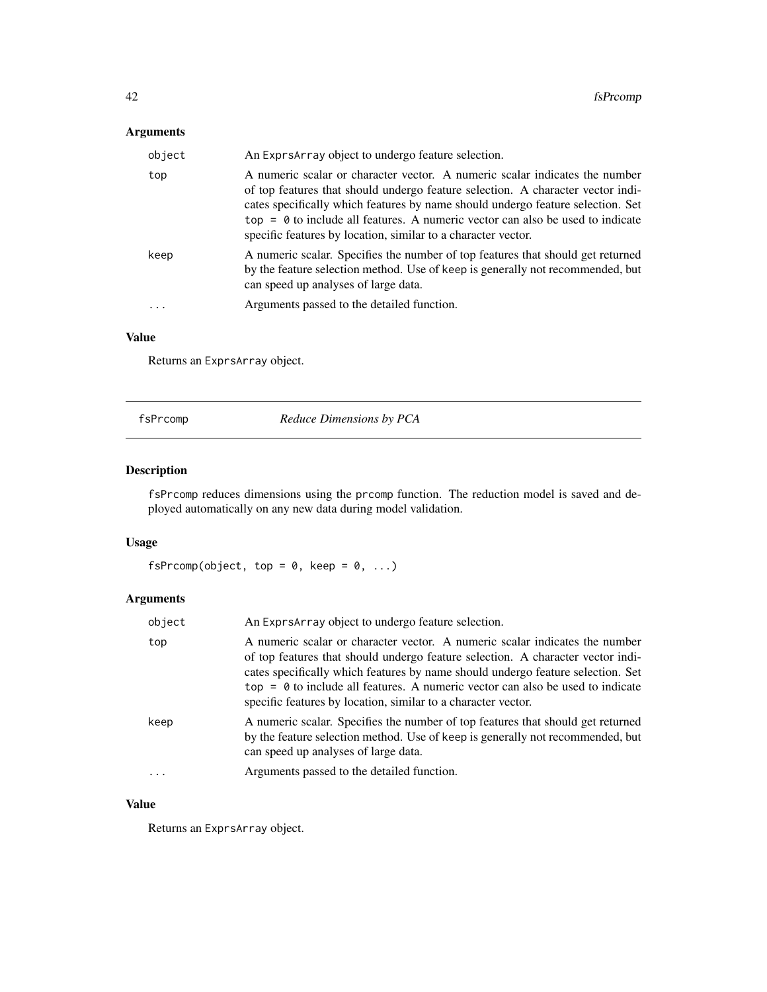# Arguments

| object | An ExprsArray object to undergo feature selection.                                                                                                                                                                                                                                                                                                                                                     |
|--------|--------------------------------------------------------------------------------------------------------------------------------------------------------------------------------------------------------------------------------------------------------------------------------------------------------------------------------------------------------------------------------------------------------|
| top    | A numeric scalar or character vector. A numeric scalar indicates the number<br>of top features that should undergo feature selection. A character vector indi-<br>cates specifically which features by name should undergo feature selection. Set<br>$top = 0$ to include all features. A numeric vector can also be used to indicate<br>specific features by location, similar to a character vector. |
| keep   | A numeric scalar. Specifies the number of top features that should get returned<br>by the feature selection method. Use of keep is generally not recommended, but<br>can speed up analyses of large data.                                                                                                                                                                                              |
|        | Arguments passed to the detailed function.                                                                                                                                                                                                                                                                                                                                                             |

# Value

Returns an ExprsArray object.

fsPrcomp *Reduce Dimensions by PCA*

# Description

fsPrcomp reduces dimensions using the prcomp function. The reduction model is saved and deployed automatically on any new data during model validation.

# Usage

fsPrcomp(object, top =  $0$ , keep =  $0$ , ...)

# Arguments

| object | An Exprs Array object to undergo feature selection.                                                                                                                                                                                                                                                                                                                                                    |
|--------|--------------------------------------------------------------------------------------------------------------------------------------------------------------------------------------------------------------------------------------------------------------------------------------------------------------------------------------------------------------------------------------------------------|
| top    | A numeric scalar or character vector. A numeric scalar indicates the number<br>of top features that should undergo feature selection. A character vector indi-<br>cates specifically which features by name should undergo feature selection. Set<br>$top = 0$ to include all features. A numeric vector can also be used to indicate<br>specific features by location, similar to a character vector. |
| keep   | A numeric scalar. Specifies the number of top features that should get returned<br>by the feature selection method. Use of keep is generally not recommended, but<br>can speed up analyses of large data.                                                                                                                                                                                              |
| .      | Arguments passed to the detailed function.                                                                                                                                                                                                                                                                                                                                                             |
|        |                                                                                                                                                                                                                                                                                                                                                                                                        |

# Value

Returns an ExprsArray object.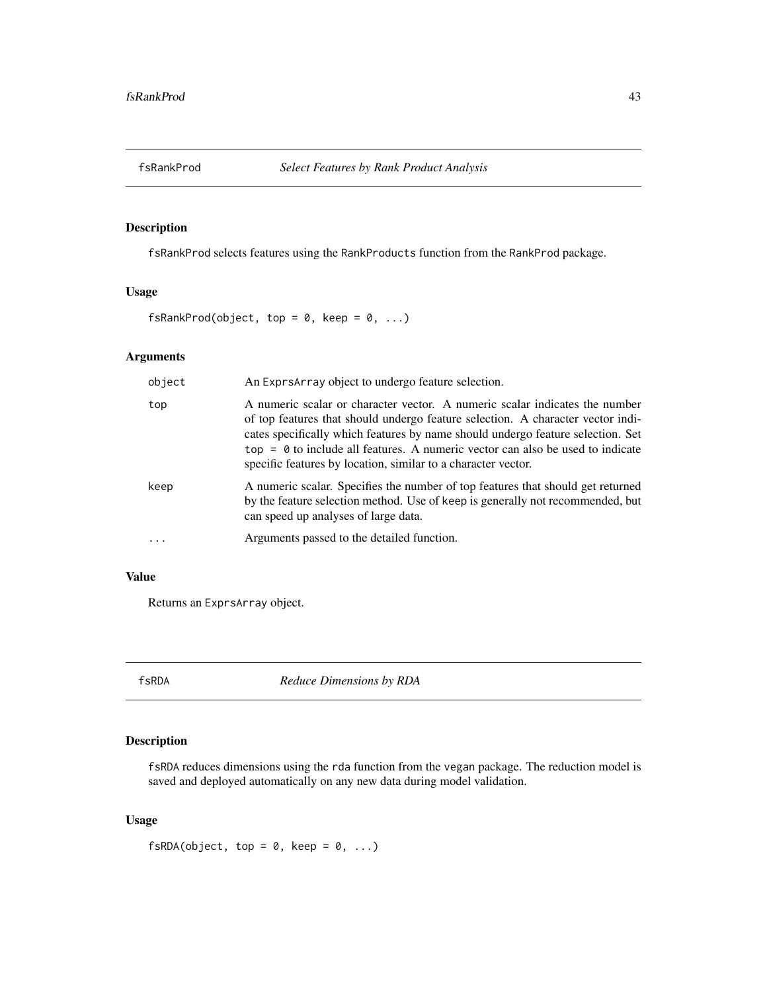fsRankProd selects features using the RankProducts function from the RankProd package.

# Usage

fsRankProd(object, top =  $0$ , keep =  $0$ , ...)

#### Arguments

| object | An Exprs Array object to undergo feature selection.                                                                                                                                                                                                                                                                                                                                                    |
|--------|--------------------------------------------------------------------------------------------------------------------------------------------------------------------------------------------------------------------------------------------------------------------------------------------------------------------------------------------------------------------------------------------------------|
| top    | A numeric scalar or character vector. A numeric scalar indicates the number<br>of top features that should undergo feature selection. A character vector indi-<br>cates specifically which features by name should undergo feature selection. Set<br>$top = 0$ to include all features. A numeric vector can also be used to indicate<br>specific features by location, similar to a character vector. |
| keep   | A numeric scalar. Specifies the number of top features that should get returned<br>by the feature selection method. Use of keep is generally not recommended, but<br>can speed up analyses of large data.                                                                                                                                                                                              |
|        | Arguments passed to the detailed function.                                                                                                                                                                                                                                                                                                                                                             |

# Value

Returns an ExprsArray object.

fsRDA *Reduce Dimensions by RDA*

# Description

fsRDA reduces dimensions using the rda function from the vegan package. The reduction model is saved and deployed automatically on any new data during model validation.

## Usage

 $fsRDA(object, top = 0, keep = 0, ...)$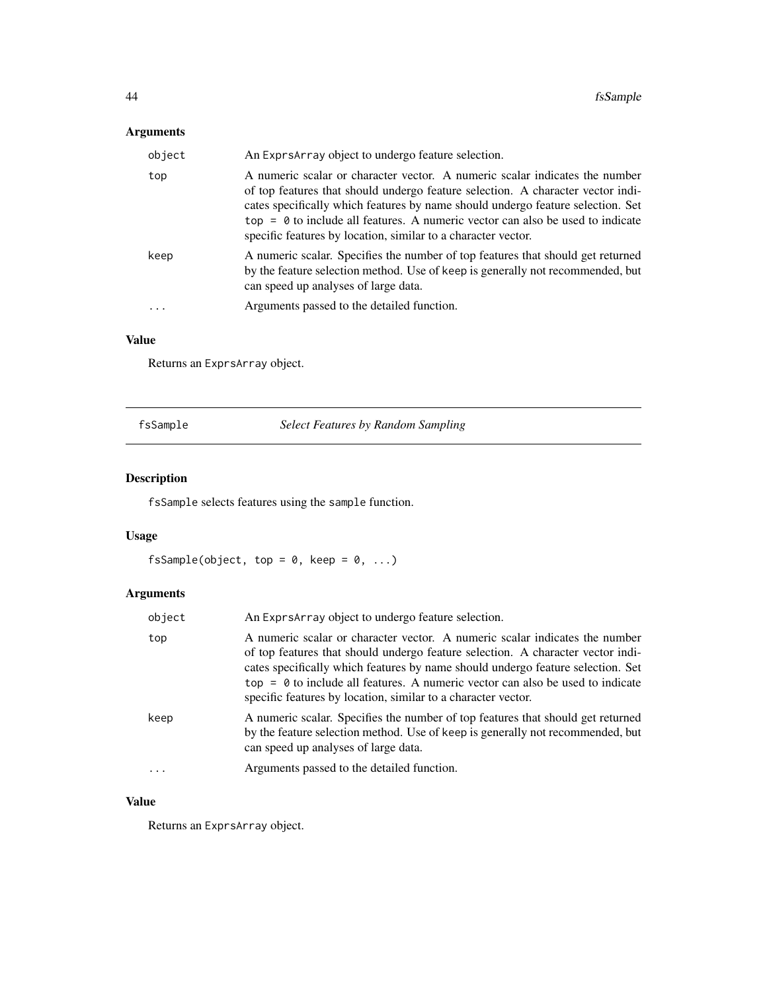# Arguments

| object | An Exprs Array object to undergo feature selection.                                                                                                                                                                                                                                                                                                                                                    |
|--------|--------------------------------------------------------------------------------------------------------------------------------------------------------------------------------------------------------------------------------------------------------------------------------------------------------------------------------------------------------------------------------------------------------|
| top    | A numeric scalar or character vector. A numeric scalar indicates the number<br>of top features that should undergo feature selection. A character vector indi-<br>cates specifically which features by name should undergo feature selection. Set<br>$top = 0$ to include all features. A numeric vector can also be used to indicate<br>specific features by location, similar to a character vector. |
| keep   | A numeric scalar. Specifies the number of top features that should get returned<br>by the feature selection method. Use of keep is generally not recommended, but<br>can speed up analyses of large data.                                                                                                                                                                                              |
| .      | Arguments passed to the detailed function.                                                                                                                                                                                                                                                                                                                                                             |

# Value

Returns an ExprsArray object.

fsSample *Select Features by Random Sampling*

# Description

fsSample selects features using the sample function.

# Usage

fsSample(object, top =  $0$ , keep =  $0$ , ...)

# Arguments

| object   | An ExprsArray object to undergo feature selection.                                                                                                                                                                                                                                                                                                                                                     |
|----------|--------------------------------------------------------------------------------------------------------------------------------------------------------------------------------------------------------------------------------------------------------------------------------------------------------------------------------------------------------------------------------------------------------|
| top      | A numeric scalar or character vector. A numeric scalar indicates the number<br>of top features that should undergo feature selection. A character vector indi-<br>cates specifically which features by name should undergo feature selection. Set<br>$top = 0$ to include all features. A numeric vector can also be used to indicate<br>specific features by location, similar to a character vector. |
| keep     | A numeric scalar. Specifies the number of top features that should get returned<br>by the feature selection method. Use of keep is generally not recommended, but<br>can speed up analyses of large data.                                                                                                                                                                                              |
| $\cdots$ | Arguments passed to the detailed function.                                                                                                                                                                                                                                                                                                                                                             |
|          |                                                                                                                                                                                                                                                                                                                                                                                                        |

# Value

Returns an ExprsArray object.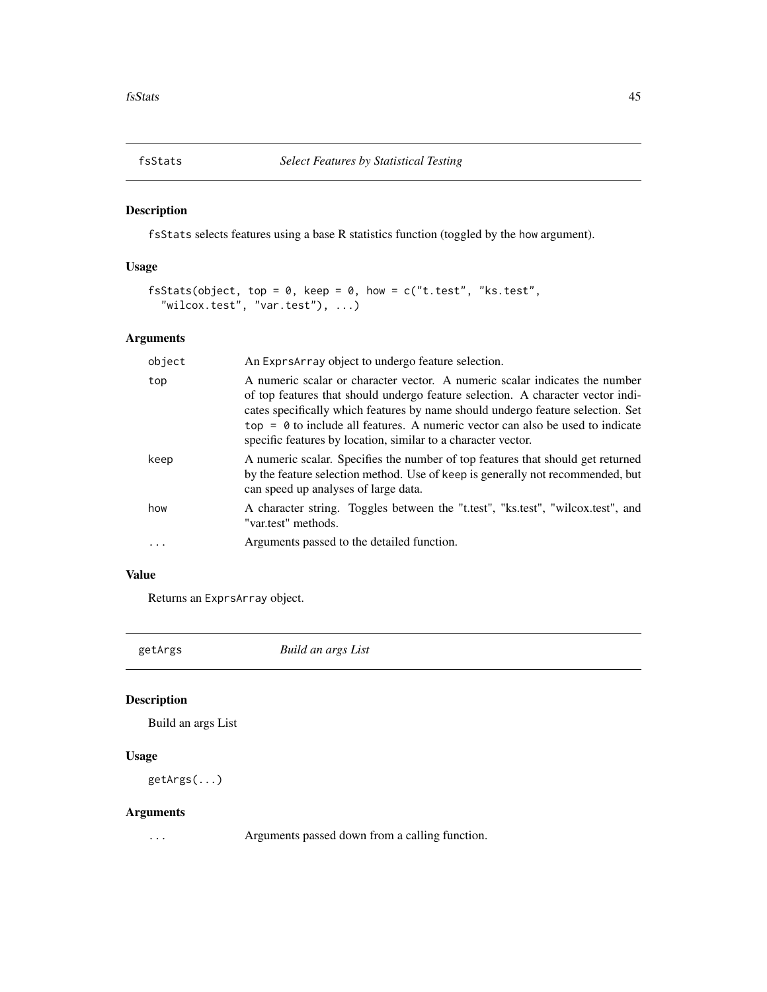fsStats selects features using a base R statistics function (toggled by the how argument).

# Usage

```
fsStats(object, top = 0, keep = 0, how = c("t.test", "ks.test","wilcox.test", "var.test"), ...)
```
# Arguments

| object | An ExprsArray object to undergo feature selection.                                                                                                                                                                                                                                                                                                                                                     |
|--------|--------------------------------------------------------------------------------------------------------------------------------------------------------------------------------------------------------------------------------------------------------------------------------------------------------------------------------------------------------------------------------------------------------|
| top    | A numeric scalar or character vector. A numeric scalar indicates the number<br>of top features that should undergo feature selection. A character vector indi-<br>cates specifically which features by name should undergo feature selection. Set<br>$top = 0$ to include all features. A numeric vector can also be used to indicate<br>specific features by location, similar to a character vector. |
| keep   | A numeric scalar. Specifies the number of top features that should get returned<br>by the feature selection method. Use of keep is generally not recommended, but<br>can speed up analyses of large data.                                                                                                                                                                                              |
| how    | A character string. Toggles between the "t.test", "ks.test", "wilcox.test", and<br>"var.test" methods.                                                                                                                                                                                                                                                                                                 |
|        | Arguments passed to the detailed function.                                                                                                                                                                                                                                                                                                                                                             |

# Value

Returns an ExprsArray object.

getArgs *Build an args List*

# Description

Build an args List

### Usage

```
getArgs(...)
```
# Arguments

... Arguments passed down from a calling function.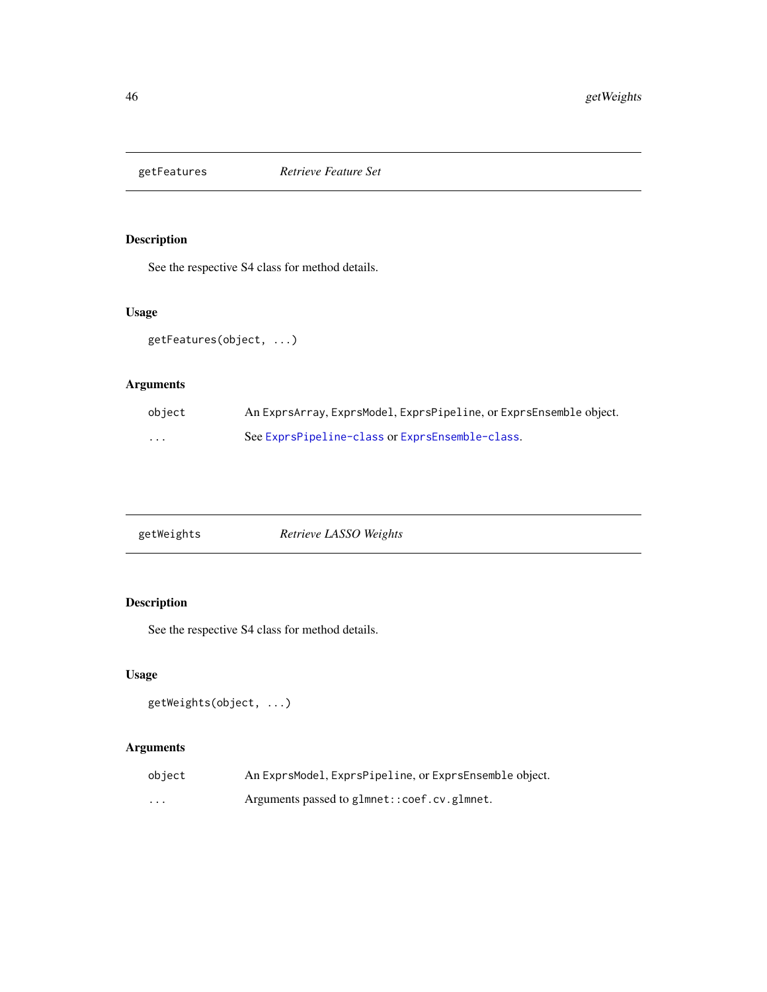See the respective S4 class for method details.

# Usage

getFeatures(object, ...)

# Arguments

| object   | An ExprsArray, ExprsModel, ExprsPipeline, or ExprsEnsemble object. |
|----------|--------------------------------------------------------------------|
| $\cdots$ | See ExprsPipeline-class or ExprsEnsemble-class.                    |

| Retrieve LASSO Weights<br>getWeights |
|--------------------------------------|
|--------------------------------------|

# Description

See the respective S4 class for method details.

# Usage

```
getWeights(object, ...)
```
# Arguments

| object | An ExprsModel, ExprsPipeline, or ExprsEnsemble object. |
|--------|--------------------------------------------------------|
| .      | Arguments passed to glmnet::coef.cv.glmnet.            |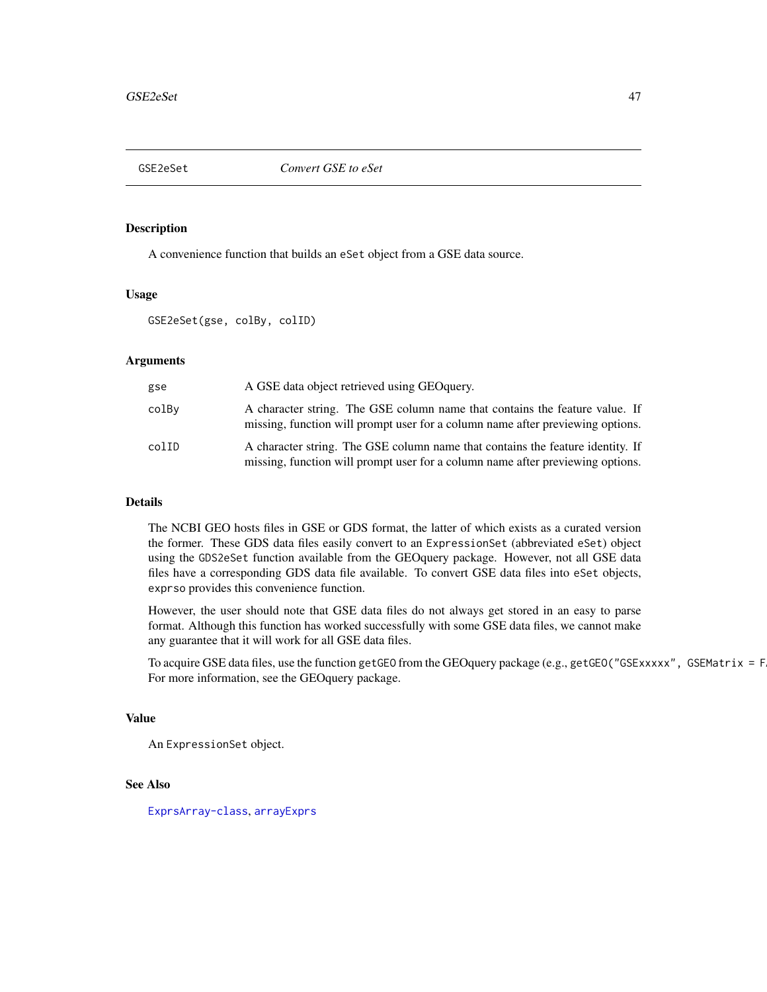A convenience function that builds an eSet object from a GSE data source.

#### Usage

GSE2eSet(gse, colBy, colID)

#### Arguments

| gse   | A GSE data object retrieved using GEO query.                                                                                                                     |
|-------|------------------------------------------------------------------------------------------------------------------------------------------------------------------|
| colBv | A character string. The GSE column name that contains the feature value. If<br>missing, function will prompt user for a column name after previewing options.    |
| colID | A character string. The GSE column name that contains the feature identity. If<br>missing, function will prompt user for a column name after previewing options. |

# Details

The NCBI GEO hosts files in GSE or GDS format, the latter of which exists as a curated version the former. These GDS data files easily convert to an ExpressionSet (abbreviated eSet) object using the GDS2eSet function available from the GEOquery package. However, not all GSE data files have a corresponding GDS data file available. To convert GSE data files into eSet objects, exprso provides this convenience function.

However, the user should note that GSE data files do not always get stored in an easy to parse format. Although this function has worked successfully with some GSE data files, we cannot make any guarantee that it will work for all GSE data files.

To acquire GSE data files, use the function getGEO from the GEOquery package (e.g., getGEO("GSExxxxx", GSEMatrix = F For more information, see the GEOquery package.

### Value

An ExpressionSet object.

### See Also

[ExprsArray-class](#page-24-0), [arrayExprs](#page-3-0)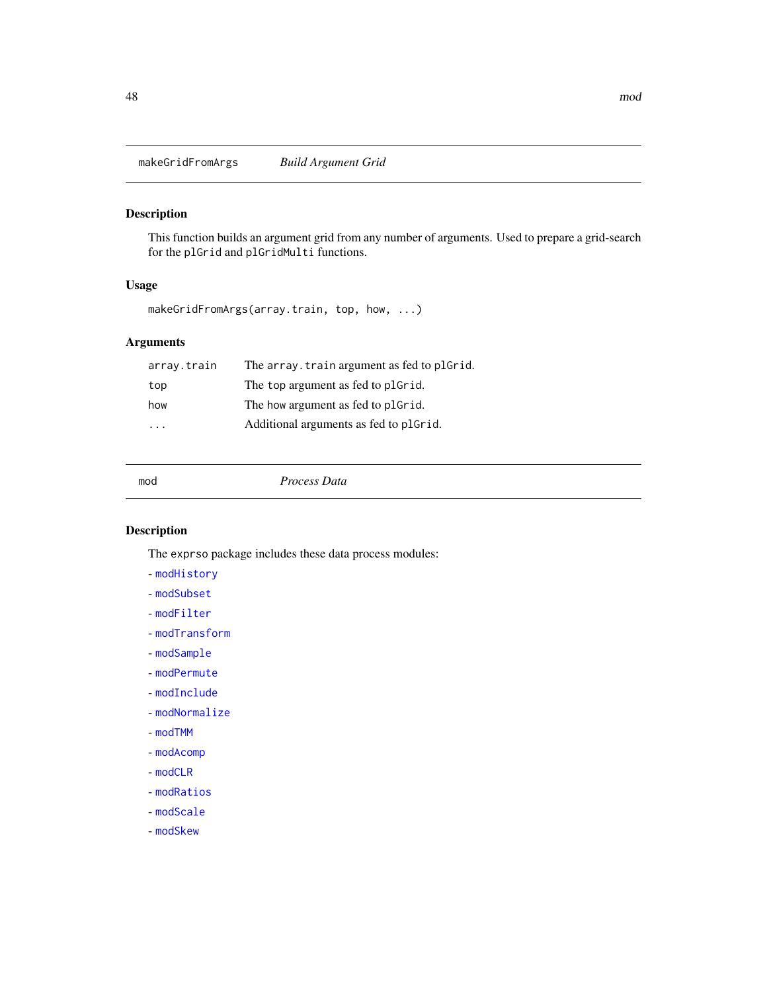makeGridFromArgs *Build Argument Grid*

### Description

This function builds an argument grid from any number of arguments. Used to prepare a grid-search for the plGrid and plGridMulti functions.

### Usage

makeGridFromArgs(array.train, top, how, ...)

# Arguments

| array.train | The array. train argument as fed to plGrid. |
|-------------|---------------------------------------------|
| top         | The top argument as fed to plGrid.          |
| how         | The how argument as fed to plgrid.          |
| .           | Additional arguments as fed to plGrid.      |
|             |                                             |

mod *Process Data*

# Description

The exprso package includes these data process modules:

- [modHistory](#page-50-0)
- [modSubset](#page-55-0)
- [modFilter](#page-50-1)
- [modTransform](#page-58-0)
- [modSample](#page-53-0)
- [modPermute](#page-52-0)
- [modInclude](#page-51-0)
- [modNormalize](#page-51-1)
- [modTMM](#page-57-0)
- [modAcomp](#page-48-0)
- [modCLR](#page-48-1)
- [modRatios](#page-53-1)
- [modScale](#page-54-0)
- [modSkew](#page-54-1)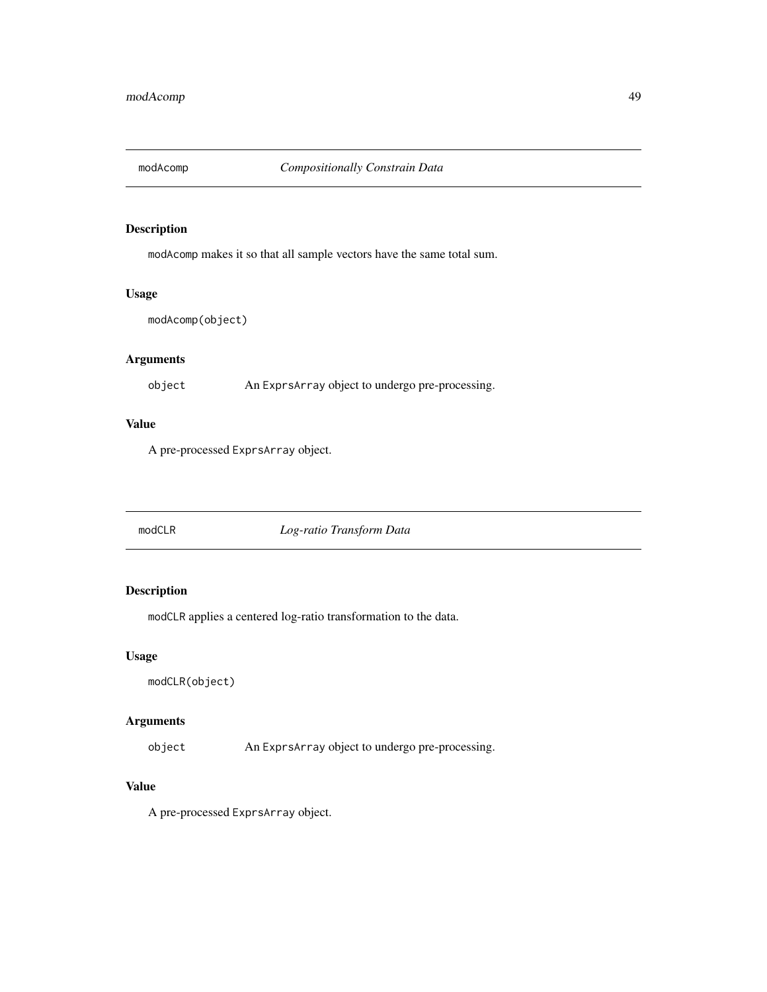<span id="page-48-0"></span>

modAcomp makes it so that all sample vectors have the same total sum.

#### Usage

```
modAcomp(object)
```
# Arguments

object An ExprsArray object to undergo pre-processing.

### Value

A pre-processed ExprsArray object.

<span id="page-48-1"></span>modCLR *Log-ratio Transform Data*

# Description

modCLR applies a centered log-ratio transformation to the data.

### Usage

```
modCLR(object)
```
# Arguments

object An ExprsArray object to undergo pre-processing.

### Value

A pre-processed ExprsArray object.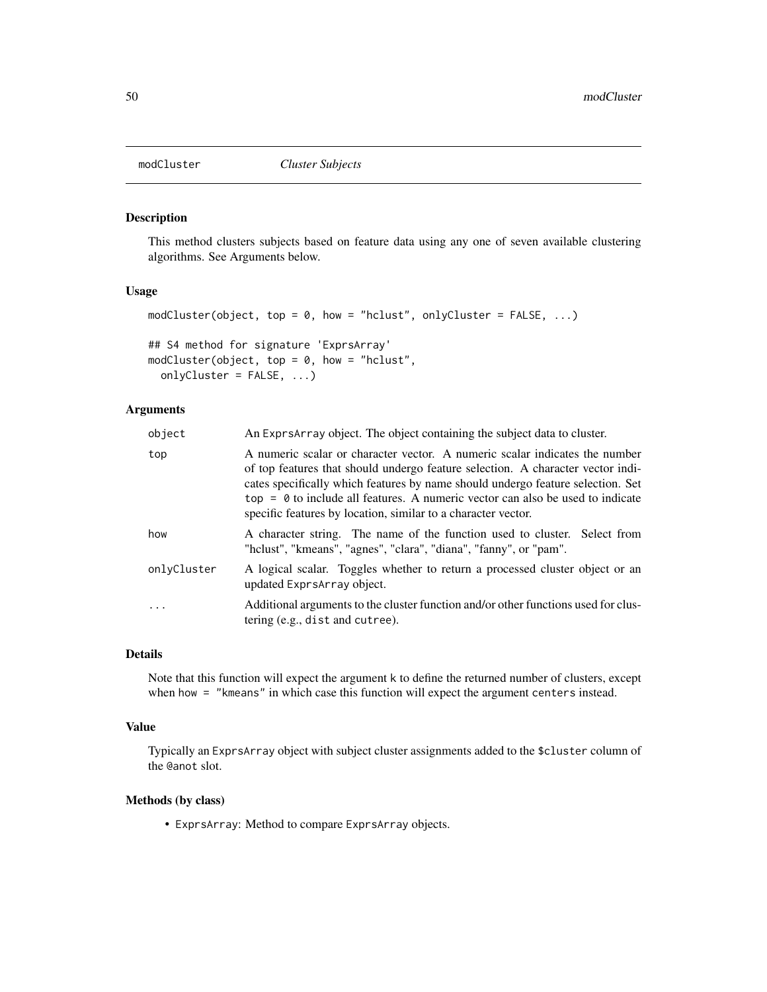This method clusters subjects based on feature data using any one of seven available clustering algorithms. See Arguments below.

#### Usage

```
modCluster(object, top = 0, how = "hclust", onlyCluster = FALSE, \ldots)
## S4 method for signature 'ExprsArray'
modCluster(object, top = 0, how = "hclust",
  onlyCluster = FALSE, ...)
```
### Arguments

| object      | An Expres array object. The object containing the subject data to cluster.                                                                                                                                                                                                                                                                                                                             |
|-------------|--------------------------------------------------------------------------------------------------------------------------------------------------------------------------------------------------------------------------------------------------------------------------------------------------------------------------------------------------------------------------------------------------------|
| top         | A numeric scalar or character vector. A numeric scalar indicates the number<br>of top features that should undergo feature selection. A character vector indi-<br>cates specifically which features by name should undergo feature selection. Set<br>$top = 0$ to include all features. A numeric vector can also be used to indicate<br>specific features by location, similar to a character vector. |
| how         | A character string. The name of the function used to cluster. Select from<br>"hclust", "kmeans", "agnes", "clara", "diana", "fanny", or "pam".                                                                                                                                                                                                                                                         |
| onlyCluster | A logical scalar. Toggles whether to return a processed cluster object or an<br>updated ExprsArray object.                                                                                                                                                                                                                                                                                             |
| $\ddots$    | Additional arguments to the cluster function and/or other functions used for clus-<br>tering (e.g., dist and cutree).                                                                                                                                                                                                                                                                                  |

#### Details

Note that this function will expect the argument k to define the returned number of clusters, except when how = "kmeans" in which case this function will expect the argument centers instead.

#### Value

Typically an ExprsArray object with subject cluster assignments added to the \$cluster column of the @anot slot.

# Methods (by class)

• ExprsArray: Method to compare ExprsArray objects.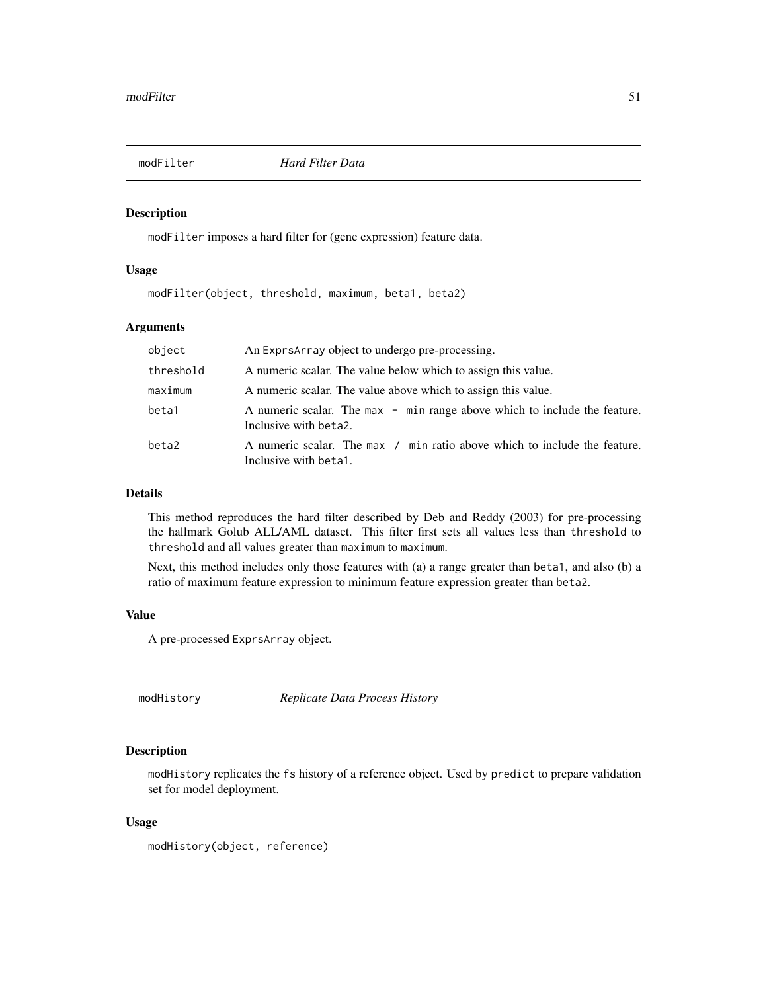<span id="page-50-1"></span>

modFilter imposes a hard filter for (gene expression) feature data.

#### Usage

modFilter(object, threshold, maximum, beta1, beta2)

### Arguments

| object    | An ExprsArray object to undergo pre-processing.                                                    |
|-----------|----------------------------------------------------------------------------------------------------|
| threshold | A numeric scalar. The value below which to assign this value.                                      |
| maximum   | A numeric scalar. The value above which to assign this value.                                      |
| beta1     | A numeric scalar. The max - min range above which to include the feature.<br>Inclusive with beta2. |
| beta2     | A numeric scalar. The max / min ratio above which to include the feature.<br>Inclusive with beta1. |

#### Details

This method reproduces the hard filter described by Deb and Reddy (2003) for pre-processing the hallmark Golub ALL/AML dataset. This filter first sets all values less than threshold to threshold and all values greater than maximum to maximum.

Next, this method includes only those features with (a) a range greater than beta1, and also (b) a ratio of maximum feature expression to minimum feature expression greater than beta2.

#### Value

A pre-processed ExprsArray object.

<span id="page-50-0"></span>modHistory *Replicate Data Process History*

### Description

modHistory replicates the fs history of a reference object. Used by predict to prepare validation set for model deployment.

#### Usage

```
modHistory(object, reference)
```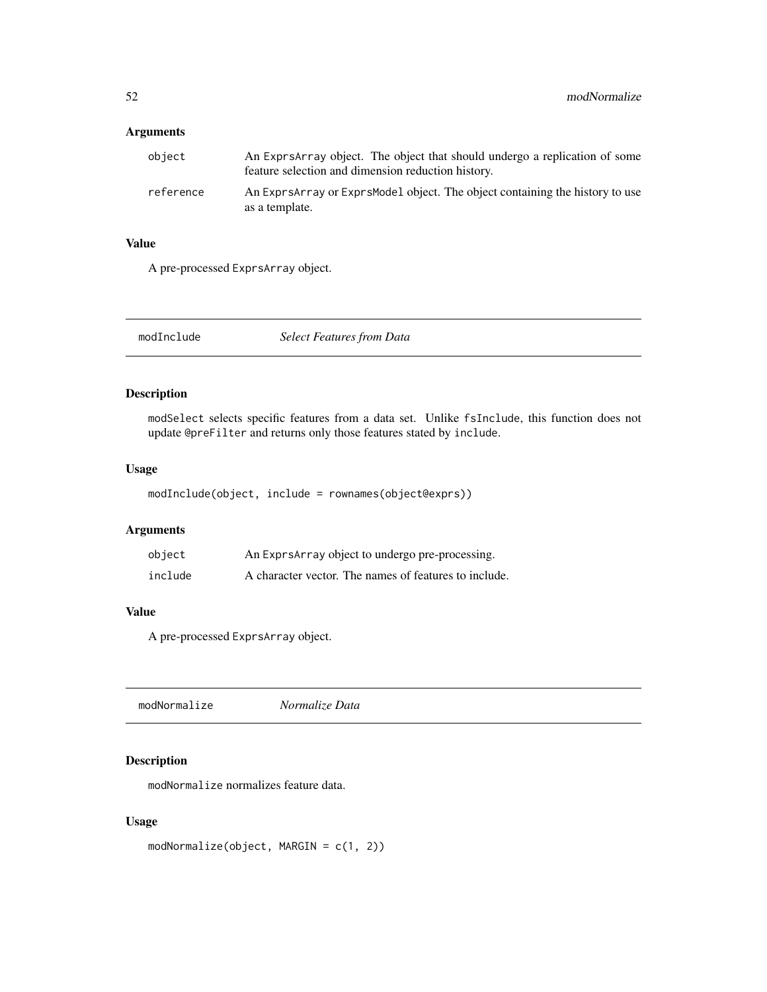### Arguments

| object    | An Expresarray object. The object that should undergo a replication of some<br>feature selection and dimension reduction history. |
|-----------|-----------------------------------------------------------------------------------------------------------------------------------|
| reference | An Expresarray or Exprs Model object. The object containing the history to use<br>as a template.                                  |

# Value

A pre-processed ExprsArray object.

<span id="page-51-0"></span>modInclude *Select Features from Data*

### Description

modSelect selects specific features from a data set. Unlike fsInclude, this function does not update @preFilter and returns only those features stated by include.

### Usage

modInclude(object, include = rownames(object@exprs))

# Arguments

| object  | An ExprsArray object to undergo pre-processing.       |
|---------|-------------------------------------------------------|
| include | A character vector. The names of features to include. |

### Value

A pre-processed ExprsArray object.

<span id="page-51-1"></span>

# Description

modNormalize normalizes feature data.

### Usage

```
modNormalize(object, MARGIN = c(1, 2))
```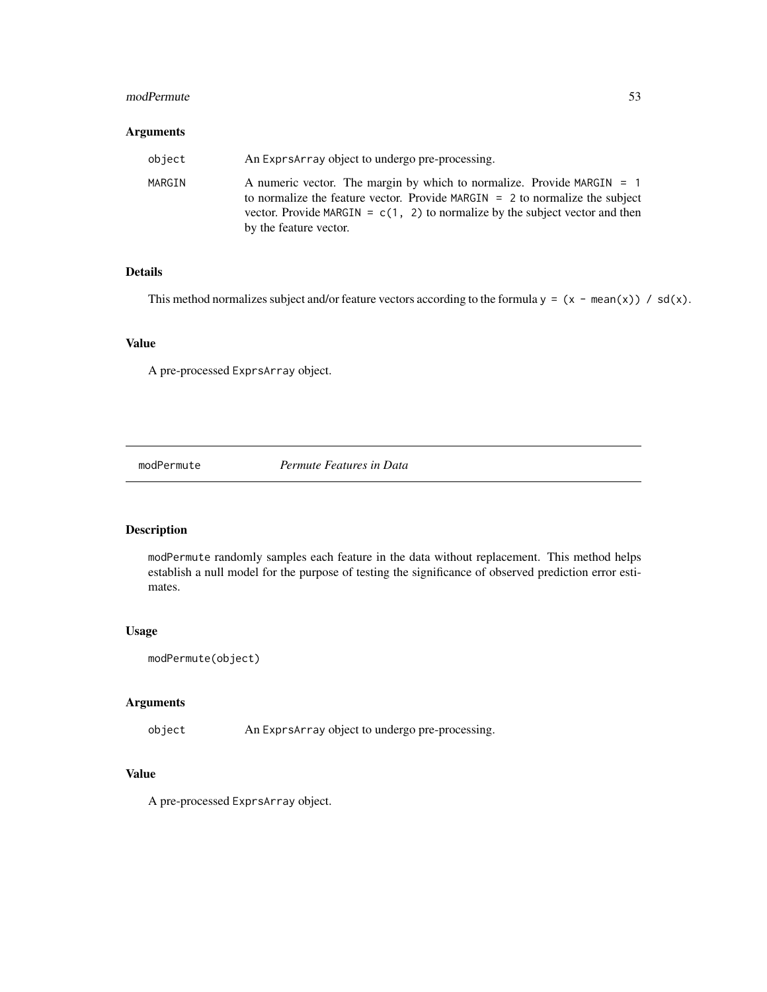#### modPermute 53

### Arguments

| object | An Expresarray object to undergo pre-processing.                                                                                                                                                                                                                       |
|--------|------------------------------------------------------------------------------------------------------------------------------------------------------------------------------------------------------------------------------------------------------------------------|
| MARGIN | A numeric vector. The margin by which to normalize. Provide MARGIN $=$ 1<br>to normalize the feature vector. Provide MARGIN $= 2$ to normalize the subject<br>vector. Provide MARGIN = $c(1, 2)$ to normalize by the subject vector and then<br>by the feature vector. |

# Details

This method normalizes subject and/or feature vectors according to the formula  $y = (x - \text{mean}(x)) / \text{sd}(x)$ .

### Value

A pre-processed ExprsArray object.

<span id="page-52-0"></span>modPermute *Permute Features in Data*

# Description

modPermute randomly samples each feature in the data without replacement. This method helps establish a null model for the purpose of testing the significance of observed prediction error estimates.

#### Usage

```
modPermute(object)
```
# Arguments

object An ExprsArray object to undergo pre-processing.

# Value

A pre-processed ExprsArray object.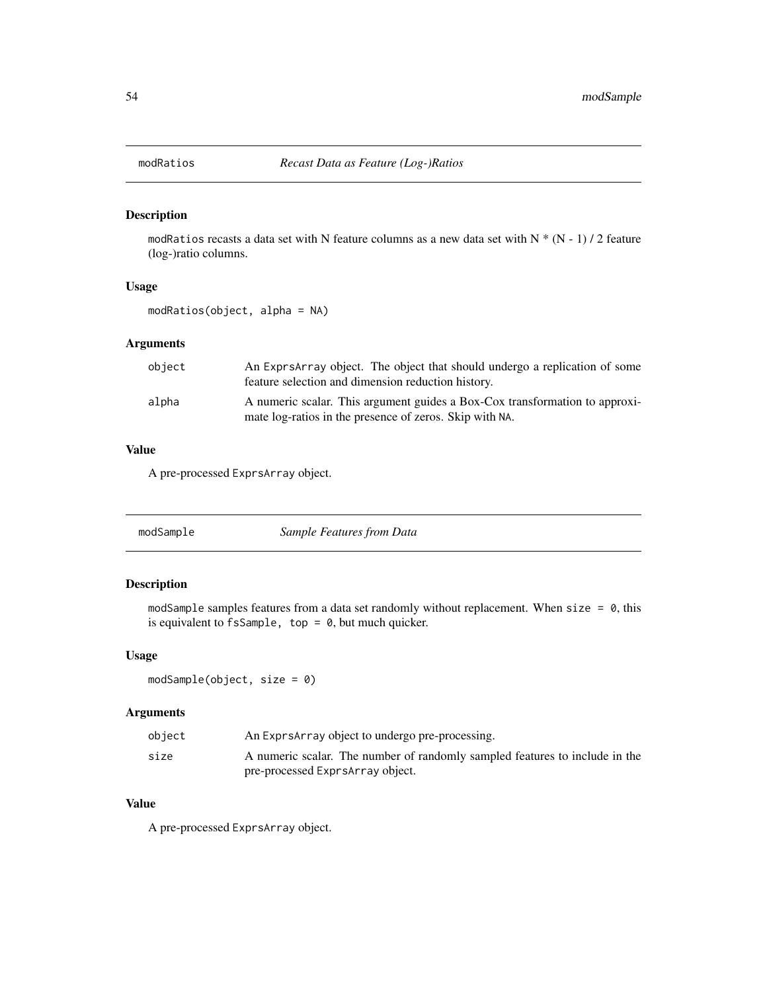<span id="page-53-1"></span>

modRatios recasts a data set with N feature columns as a new data set with N  $*$  (N - 1) / 2 feature (log-)ratio columns.

#### Usage

modRatios(object, alpha = NA)

# Arguments

| obiect | An Expresarray object. The object that should undergo a replication of some<br>feature selection and dimension reduction history.      |
|--------|----------------------------------------------------------------------------------------------------------------------------------------|
| alpha  | A numeric scalar. This argument guides a Box-Cox transformation to approxi-<br>mate log-ratios in the presence of zeros. Skip with NA. |

### Value

A pre-processed ExprsArray object.

<span id="page-53-0"></span>

| modSample | Sample Features from Data |  |
|-----------|---------------------------|--|
|-----------|---------------------------|--|

# Description

modSample samples features from a data set randomly without replacement. When size =  $\theta$ , this is equivalent to  $f$ sSample, top =  $\theta$ , but much quicker.

# Usage

modSample(object, size = 0)

### Arguments

| object | An Exprs Array object to undergo pre-processing.                            |
|--------|-----------------------------------------------------------------------------|
| size   | A numeric scalar. The number of randomly sampled features to include in the |
|        | pre-processed ExprsArray object.                                            |

# Value

A pre-processed ExprsArray object.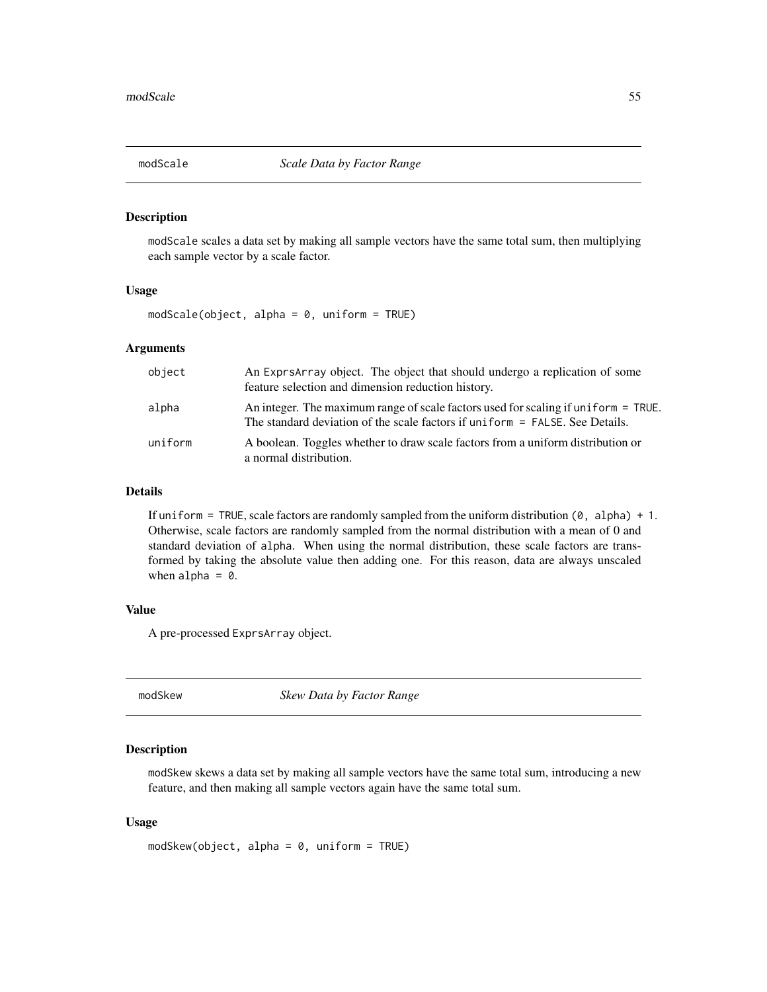<span id="page-54-0"></span>

modScale scales a data set by making all sample vectors have the same total sum, then multiplying each sample vector by a scale factor.

#### Usage

 $modScale(object, alpha = 0, uniform = TRUE)$ 

### Arguments

| object  | An Expresarray object. The object that should undergo a replication of some<br>feature selection and dimension reduction history.                                    |
|---------|----------------------------------------------------------------------------------------------------------------------------------------------------------------------|
| alpha   | An integer. The maximum range of scale factors used for scaling if uniform $=$ TRUE.<br>The standard deviation of the scale factors if uniform = FALSE. See Details. |
| uniform | A boolean. Toggles whether to draw scale factors from a uniform distribution or<br>a normal distribution.                                                            |

#### Details

If uniform = TRUE, scale factors are randomly sampled from the uniform distribution  $(0, \text{ alpha}) + 1$ . Otherwise, scale factors are randomly sampled from the normal distribution with a mean of 0 and standard deviation of alpha. When using the normal distribution, these scale factors are transformed by taking the absolute value then adding one. For this reason, data are always unscaled when alpha  $= 0$ .

### Value

A pre-processed ExprsArray object.

<span id="page-54-1"></span>modSkew *Skew Data by Factor Range*

#### Description

modSkew skews a data set by making all sample vectors have the same total sum, introducing a new feature, and then making all sample vectors again have the same total sum.

#### Usage

```
modSkew(object, alpha = 0, uniform = TRUE)
```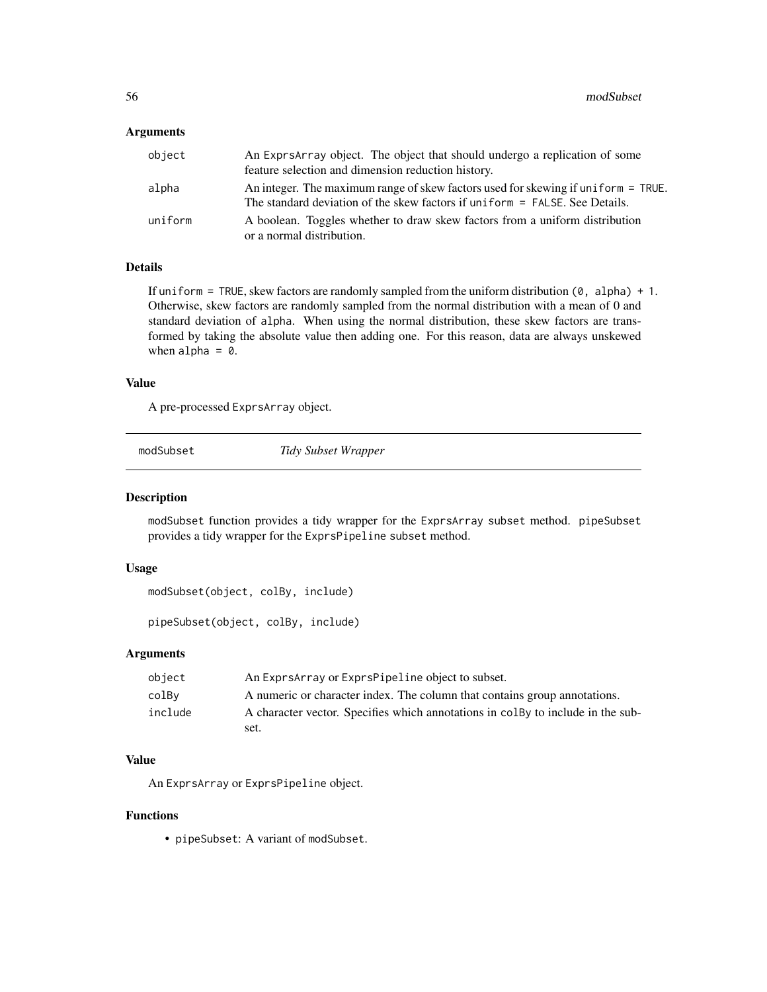#### Arguments

| object  | An Exprs Array object. The object that should undergo a replication of some<br>feature selection and dimension reduction history.                                |
|---------|------------------------------------------------------------------------------------------------------------------------------------------------------------------|
| alpha   | An integer. The maximum range of skew factors used for skewing if uniform = TRUE.<br>The standard deviation of the skew factors if uniform = FALSE. See Details. |
| uniform | A boolean. Toggles whether to draw skew factors from a uniform distribution<br>or a normal distribution.                                                         |

### Details

If uniform = TRUE, skew factors are randomly sampled from the uniform distribution  $(0, \text{ alpha}) + 1$ . Otherwise, skew factors are randomly sampled from the normal distribution with a mean of 0 and standard deviation of alpha. When using the normal distribution, these skew factors are transformed by taking the absolute value then adding one. For this reason, data are always unskewed when alpha  $= 0$ .

#### Value

A pre-processed ExprsArray object.

<span id="page-55-0"></span>modSubset *Tidy Subset Wrapper*

#### <span id="page-55-1"></span>Description

modSubset function provides a tidy wrapper for the ExprsArray subset method. pipeSubset provides a tidy wrapper for the ExprsPipeline subset method.

#### Usage

```
modSubset(object, colBy, include)
```
pipeSubset(object, colBy, include)

# Arguments

| object  | An Exprs Array or Exprs Pipeline object to subset.                               |
|---------|----------------------------------------------------------------------------------|
| colBy   | A numeric or character index. The column that contains group annotations.        |
| include | A character vector. Specifies which annotations in colley to include in the sub- |
|         | set.                                                                             |

### Value

An ExprsArray or ExprsPipeline object.

#### Functions

• pipeSubset: A variant of modSubset.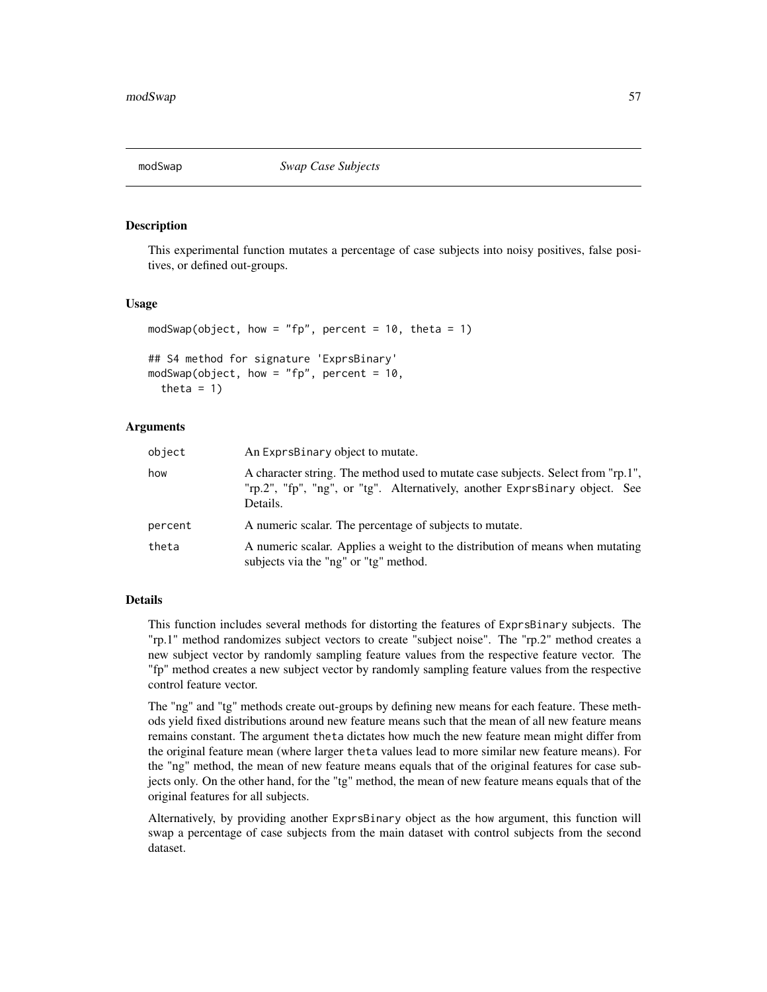This experimental function mutates a percentage of case subjects into noisy positives, false positives, or defined out-groups.

#### Usage

```
modSwap(object, how = "fp", percent = 10, theta = 1)
## S4 method for signature 'ExprsBinary'
modSwap(object, how = "fp", percent = 10,
  theta = 1)
```
#### Arguments

| object  | An ExprsBinary object to mutate.                                                                                                                                            |
|---------|-----------------------------------------------------------------------------------------------------------------------------------------------------------------------------|
| how     | A character string. The method used to mutate case subjects. Select from "rp.1",<br>"rp.2", "fp", "ng", or "tg". Alternatively, another ExprsBinary object. See<br>Details. |
| percent | A numeric scalar. The percentage of subjects to mutate.                                                                                                                     |
| theta   | A numeric scalar. Applies a weight to the distribution of means when mutating<br>subjects via the "ng" or "tg" method.                                                      |

### Details

This function includes several methods for distorting the features of ExprsBinary subjects. The "rp.1" method randomizes subject vectors to create "subject noise". The "rp.2" method creates a new subject vector by randomly sampling feature values from the respective feature vector. The "fp" method creates a new subject vector by randomly sampling feature values from the respective control feature vector.

The "ng" and "tg" methods create out-groups by defining new means for each feature. These methods yield fixed distributions around new feature means such that the mean of all new feature means remains constant. The argument theta dictates how much the new feature mean might differ from the original feature mean (where larger theta values lead to more similar new feature means). For the "ng" method, the mean of new feature means equals that of the original features for case subjects only. On the other hand, for the "tg" method, the mean of new feature means equals that of the original features for all subjects.

Alternatively, by providing another ExprsBinary object as the how argument, this function will swap a percentage of case subjects from the main dataset with control subjects from the second dataset.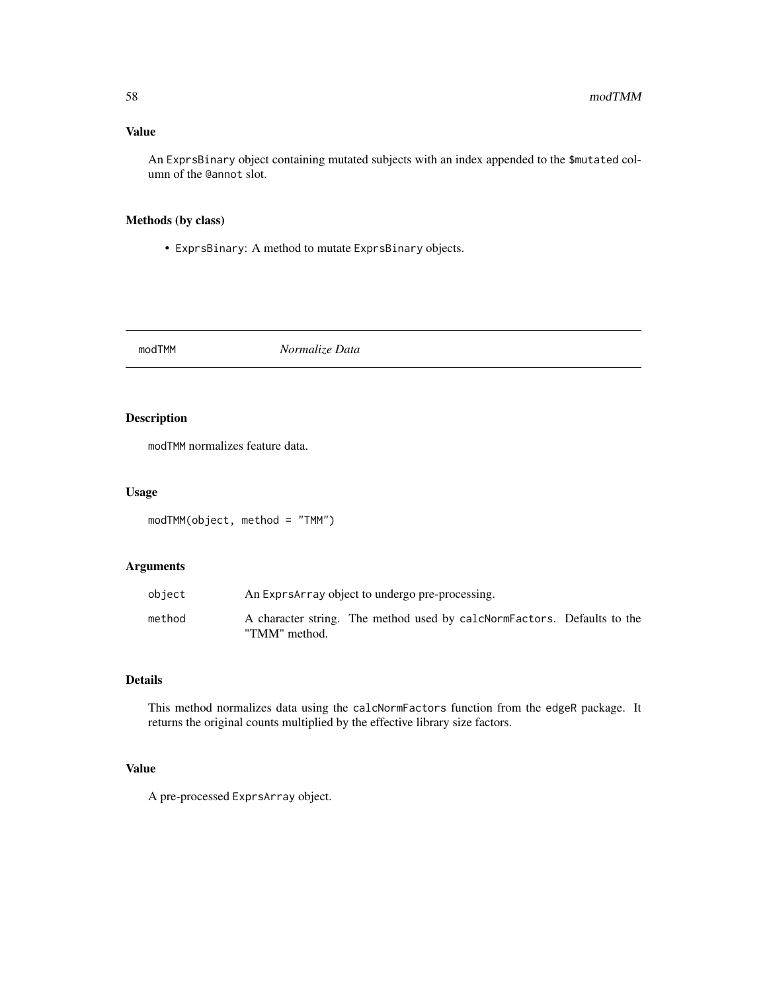# Value

An ExprsBinary object containing mutated subjects with an index appended to the \$mutated column of the @annot slot.

# Methods (by class)

• ExprsBinary: A method to mutate ExprsBinary objects.

<span id="page-57-0"></span>modTMM *Normalize Data*

# Description

modTMM normalizes feature data.

#### Usage

modTMM(object, method = "TMM")

### Arguments

| object | An Exprs Array object to undergo pre-processing.                                         |
|--------|------------------------------------------------------------------------------------------|
| method | A character string. The method used by calcNormFactors. Defaults to the<br>"TMM" method. |

#### Details

This method normalizes data using the calcNormFactors function from the edgeR package. It returns the original counts multiplied by the effective library size factors.

# Value

A pre-processed ExprsArray object.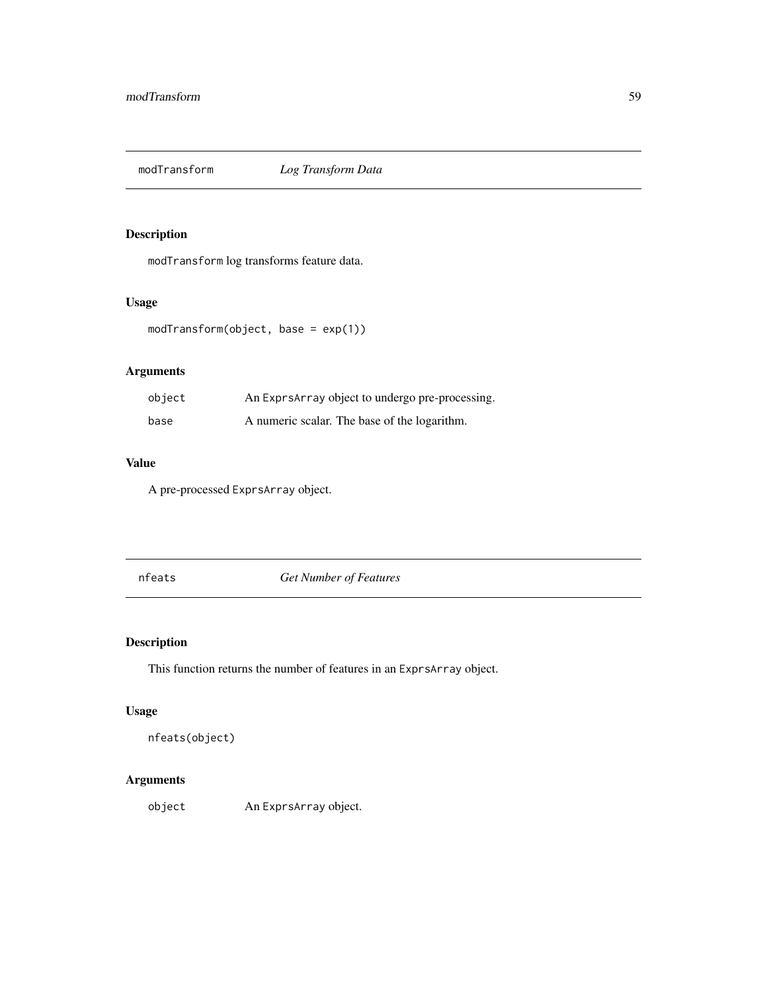<span id="page-58-0"></span>

modTransform log transforms feature data.

# Usage

modTransform(object, base = exp(1))

# Arguments

| object | An ExprsArray object to undergo pre-processing. |  |
|--------|-------------------------------------------------|--|
| base   | A numeric scalar. The base of the logarithm.    |  |

# Value

A pre-processed ExprsArray object.

nfeats *Get Number of Features*

# Description

This function returns the number of features in an ExprsArray object.

# Usage

nfeats(object)

# Arguments

object An ExprsArray object.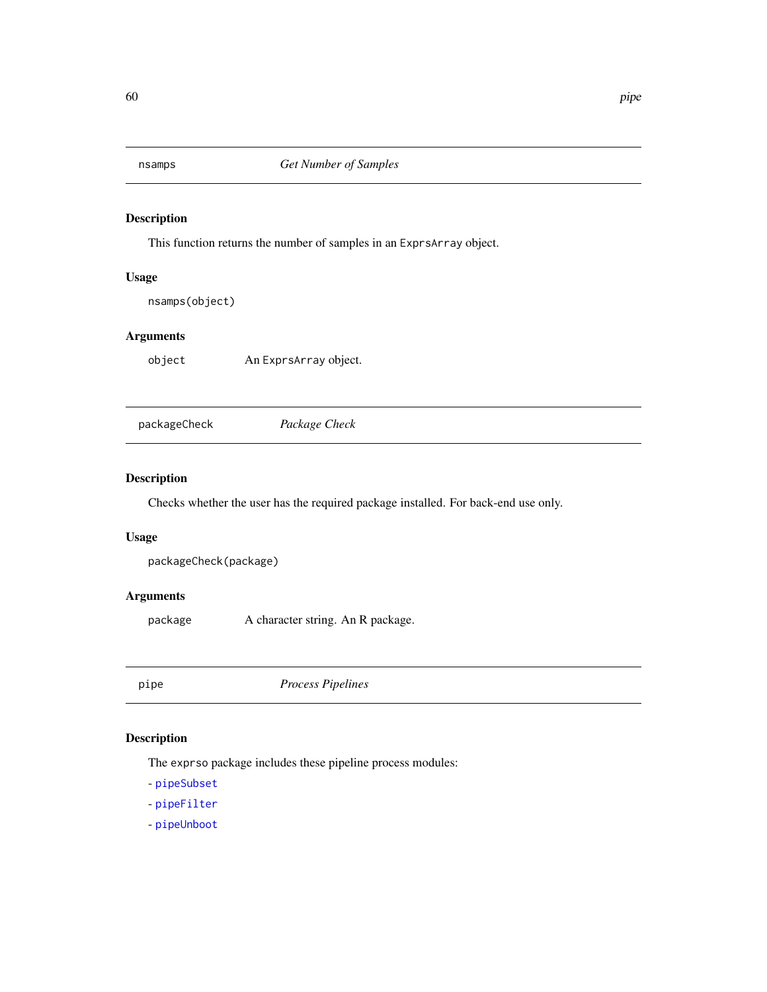This function returns the number of samples in an ExprsArray object.

### Usage

nsamps(object)

# Arguments

object An ExprsArray object.

packageCheck *Package Check*

# Description

Checks whether the user has the required package installed. For back-end use only.

# Usage

```
packageCheck(package)
```
# Arguments

package A character string. An R package.

pipe *Process Pipelines*

#### Description

The exprso package includes these pipeline process modules:

- [pipeSubset](#page-55-1)

- [pipeFilter](#page-60-0)

- [pipeUnboot](#page-61-0)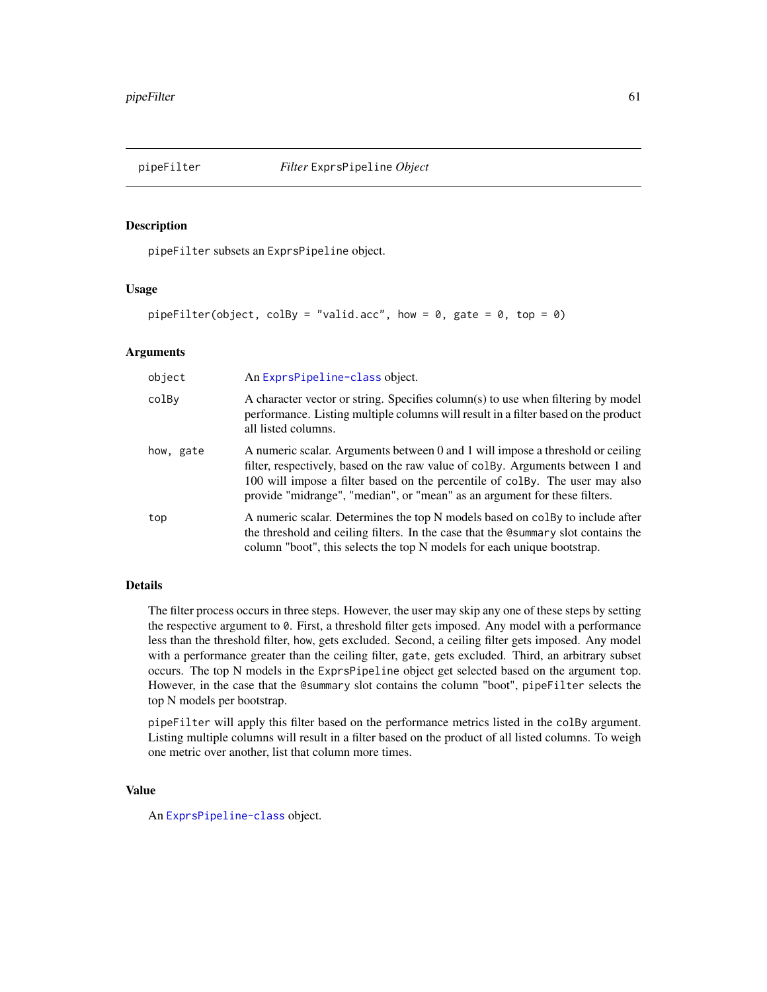<span id="page-60-0"></span>

pipeFilter subsets an ExprsPipeline object.

# Usage

pipeFilter(object, colBy = "valid.acc", how = 0, gate = 0, top = 0)

# Arguments

| object    | An ExprsPipeline-class object.                                                                                                                                                                                                                                                                                                |
|-----------|-------------------------------------------------------------------------------------------------------------------------------------------------------------------------------------------------------------------------------------------------------------------------------------------------------------------------------|
| colBy     | A character vector or string. Specifies column(s) to use when filtering by model<br>performance. Listing multiple columns will result in a filter based on the product<br>all listed columns.                                                                                                                                 |
| how, gate | A numeric scalar. Arguments between 0 and 1 will impose a threshold or ceiling<br>filter, respectively, based on the raw value of colby. Arguments between 1 and<br>100 will impose a filter based on the percentile of colby. The user may also<br>provide "midrange", "median", or "mean" as an argument for these filters. |
| top       | A numeric scalar. Determines the top N models based on colley to include after<br>the threshold and ceiling filters. In the case that the Command solut contains the<br>column "boot", this selects the top N models for each unique bootstrap.                                                                               |

# Details

The filter process occurs in three steps. However, the user may skip any one of these steps by setting the respective argument to 0. First, a threshold filter gets imposed. Any model with a performance less than the threshold filter, how, gets excluded. Second, a ceiling filter gets imposed. Any model with a performance greater than the ceiling filter, gate, gets excluded. Third, an arbitrary subset occurs. The top N models in the ExprsPipeline object get selected based on the argument top. However, in the case that the @summary slot contains the column "boot", pipeFilter selects the top N models per bootstrap.

pipeFilter will apply this filter based on the performance metrics listed in the colBy argument. Listing multiple columns will result in a filter based on the product of all listed columns. To weigh one metric over another, list that column more times.

#### Value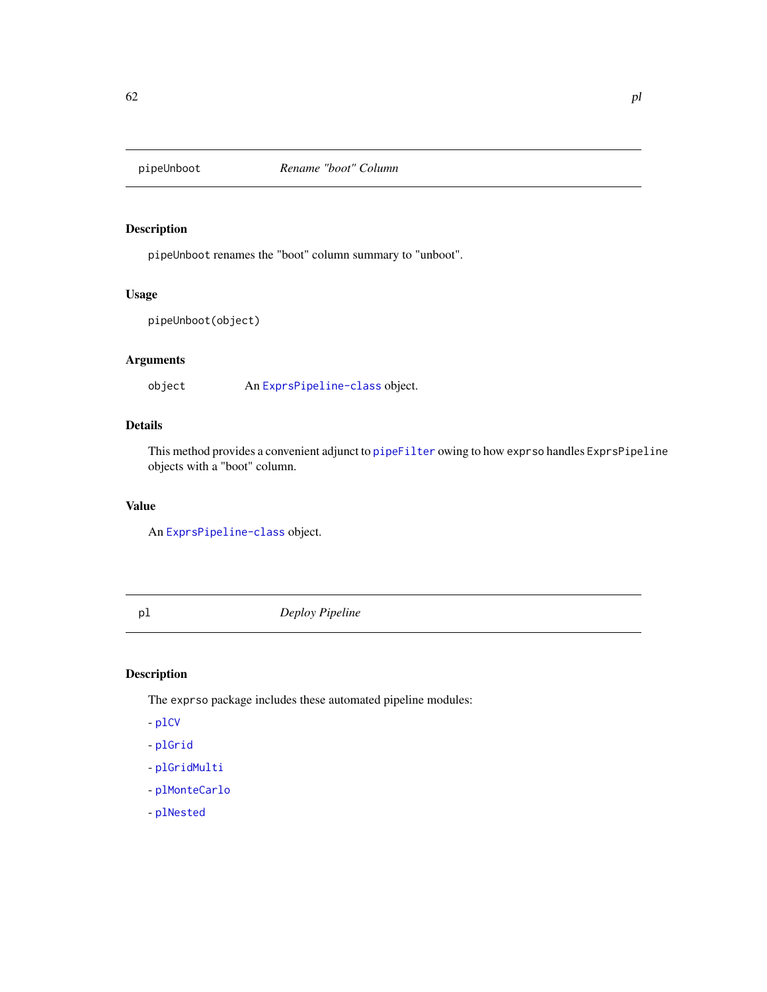<span id="page-61-0"></span>

pipeUnboot renames the "boot" column summary to "unboot".

#### Usage

pipeUnboot(object)

# Arguments

object An [ExprsPipeline-class](#page-30-0) object.

# Details

This method provides a convenient adjunct to [pipeFilter](#page-60-0) owing to how exprso handles ExprsPipeline objects with a "boot" column.

#### Value

An [ExprsPipeline-class](#page-30-0) object.

pl *Deploy Pipeline*

# Description

The exprso package includes these automated pipeline modules:

- [plCV](#page-62-0)

- [plGrid](#page-63-0)

- [plGridMulti](#page-64-0)
- [plMonteCarlo](#page-65-0)
- [plNested](#page-66-0)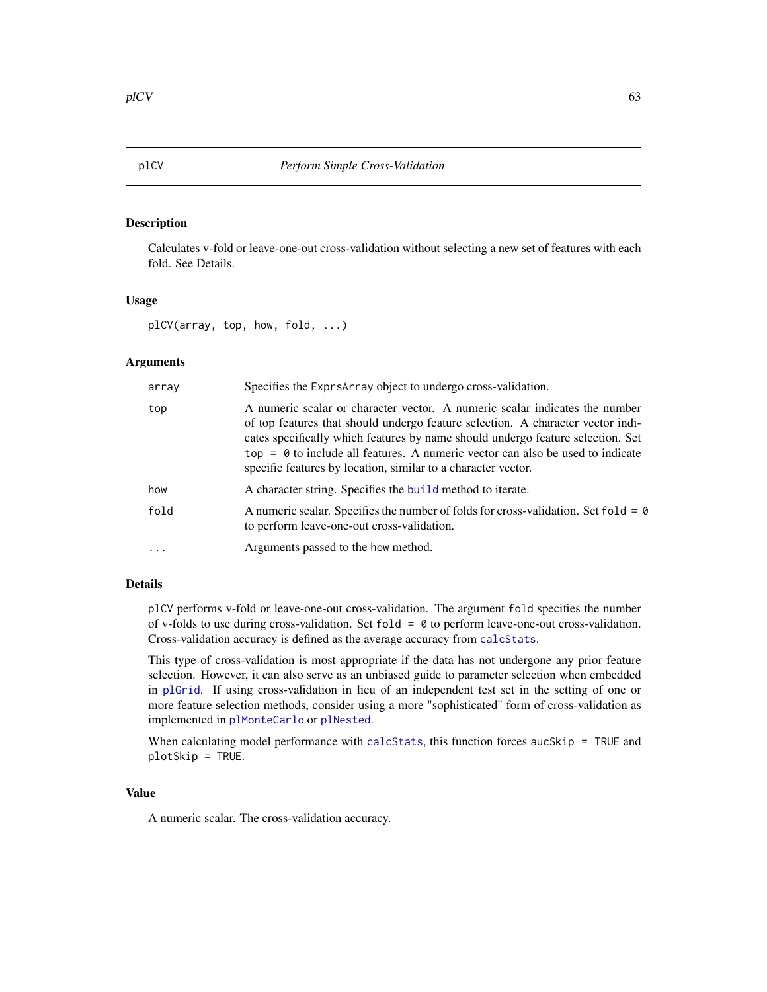<span id="page-62-0"></span>Calculates v-fold or leave-one-out cross-validation without selecting a new set of features with each fold. See Details.

### Usage

plCV(array, top, how, fold, ...)

### Arguments

| array | Specifies the Exprs Array object to undergo cross-validation.                                                                                                                                                                                                                                                                                                                                          |
|-------|--------------------------------------------------------------------------------------------------------------------------------------------------------------------------------------------------------------------------------------------------------------------------------------------------------------------------------------------------------------------------------------------------------|
| top   | A numeric scalar or character vector. A numeric scalar indicates the number<br>of top features that should undergo feature selection. A character vector indi-<br>cates specifically which features by name should undergo feature selection. Set<br>$top = 0$ to include all features. A numeric vector can also be used to indicate<br>specific features by location, similar to a character vector. |
| how   | A character string. Specifies the build method to iterate.                                                                                                                                                                                                                                                                                                                                             |
| fold  | A numeric scalar. Specifies the number of folds for cross-validation. Set fold = $\varnothing$<br>to perform leave-one-out cross-validation.                                                                                                                                                                                                                                                           |
|       | Arguments passed to the how method.                                                                                                                                                                                                                                                                                                                                                                    |

#### Details

plCV performs v-fold or leave-one-out cross-validation. The argument fold specifies the number of v-folds to use during cross-validation. Set fold  $= 0$  to perform leave-one-out cross-validation. Cross-validation accuracy is defined as the average accuracy from [calcStats](#page-16-0).

This type of cross-validation is most appropriate if the data has not undergone any prior feature selection. However, it can also serve as an unbiased guide to parameter selection when embedded in [plGrid](#page-63-0). If using cross-validation in lieu of an independent test set in the setting of one or more feature selection methods, consider using a more "sophisticated" form of cross-validation as implemented in [plMonteCarlo](#page-65-0) or [plNested](#page-66-0).

When calculating model performance with [calcStats](#page-16-0), this function forces aucSkip = TRUE and plotSkip = TRUE.

#### Value

A numeric scalar. The cross-validation accuracy.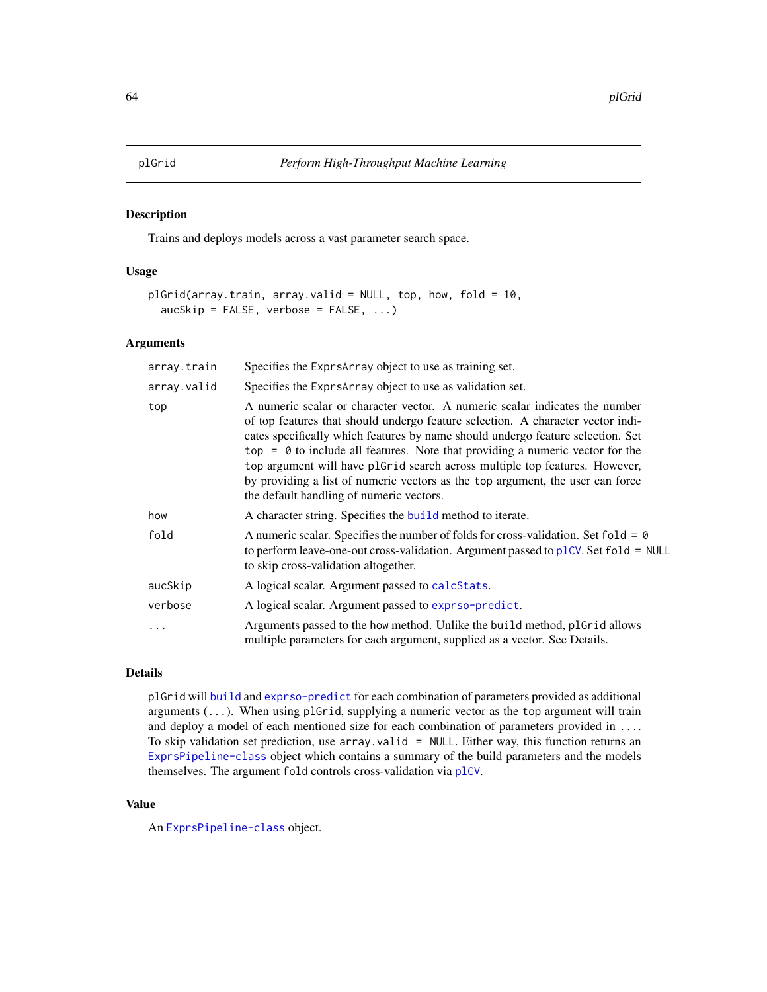<span id="page-63-0"></span>Trains and deploys models across a vast parameter search space.

#### Usage

```
plGrid(array.train, array.valid = NULL, top, how, fold = 10,
  aucSkip = FALSE, verbose = FALSE, ...)
```
### **Arguments**

| array.train | Specifies the Exprs Array object to use as training set.                                                                                                                                                                                                                                                                                                                                                                                                                                                                                          |
|-------------|---------------------------------------------------------------------------------------------------------------------------------------------------------------------------------------------------------------------------------------------------------------------------------------------------------------------------------------------------------------------------------------------------------------------------------------------------------------------------------------------------------------------------------------------------|
| array.valid | Specifies the Exprs Array object to use as validation set.                                                                                                                                                                                                                                                                                                                                                                                                                                                                                        |
| top         | A numeric scalar or character vector. A numeric scalar indicates the number<br>of top features that should undergo feature selection. A character vector indi-<br>cates specifically which features by name should undergo feature selection. Set<br>$top = 0$ to include all features. Note that providing a numeric vector for the<br>top argument will have plGrid search across multiple top features. However,<br>by providing a list of numeric vectors as the top argument, the user can force<br>the default handling of numeric vectors. |
| how         | A character string. Specifies the build method to iterate.                                                                                                                                                                                                                                                                                                                                                                                                                                                                                        |
| fold        | A numeric scalar. Specifies the number of folds for cross-validation. Set fold = $\theta$<br>to perform leave-one-out cross-validation. Argument passed to plCV. Set $fold = NULL$<br>to skip cross-validation altogether.                                                                                                                                                                                                                                                                                                                        |
| aucSkip     | A logical scalar. Argument passed to calcStats.                                                                                                                                                                                                                                                                                                                                                                                                                                                                                                   |
| verbose     | A logical scalar. Argument passed to exprso-predict.                                                                                                                                                                                                                                                                                                                                                                                                                                                                                              |
| .           | Arguments passed to the how method. Unlike the build method, plGrid allows<br>multiple parameters for each argument, supplied as a vector. See Details.                                                                                                                                                                                                                                                                                                                                                                                           |

# Details

plGrid will [build](#page-5-0) and [exprso-predict](#page-29-0) for each combination of parameters provided as additional arguments  $( \ldots )$ . When using plGrid, supplying a numeric vector as the top argument will train and deploy a model of each mentioned size for each combination of parameters provided in .... To skip validation set prediction, use array.valid = NULL. Either way, this function returns an [ExprsPipeline-class](#page-30-0) object which contains a summary of the build parameters and the models themselves. The argument fold controls cross-validation via [plCV](#page-62-0).

# Value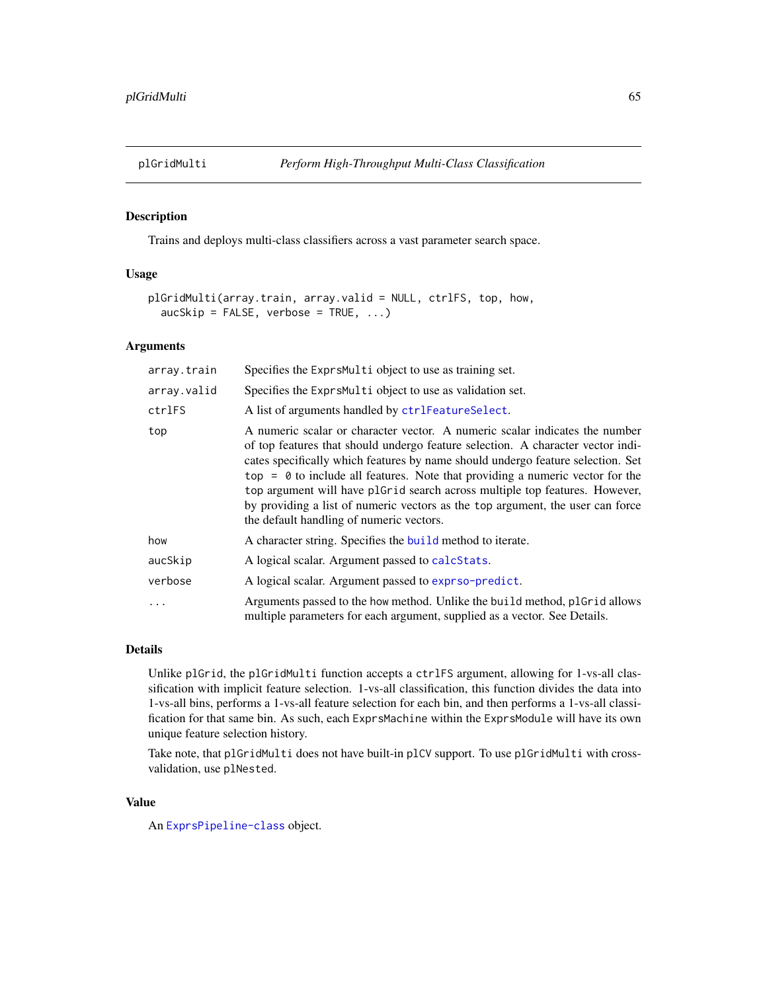<span id="page-64-0"></span>

Trains and deploys multi-class classifiers across a vast parameter search space.

### Usage

```
plGridMulti(array.train, array.valid = NULL, ctrlFS, top, how,
  aucSkip = FALSE, verbose = TRUE, ...)
```
#### Arguments

| array.train | Specifies the ExprsMulti object to use as training set.                                                                                                                                                                                                                                                                                                                                                                                                                                                                                           |
|-------------|---------------------------------------------------------------------------------------------------------------------------------------------------------------------------------------------------------------------------------------------------------------------------------------------------------------------------------------------------------------------------------------------------------------------------------------------------------------------------------------------------------------------------------------------------|
| array.valid | Specifies the ExprsMulti object to use as validation set.                                                                                                                                                                                                                                                                                                                                                                                                                                                                                         |
| ctrlFS      | A list of arguments handled by ctrlFeatureSelect.                                                                                                                                                                                                                                                                                                                                                                                                                                                                                                 |
| top         | A numeric scalar or character vector. A numeric scalar indicates the number<br>of top features that should undergo feature selection. A character vector indi-<br>cates specifically which features by name should undergo feature selection. Set<br>$top = 0$ to include all features. Note that providing a numeric vector for the<br>top argument will have plGrid search across multiple top features. However,<br>by providing a list of numeric vectors as the top argument, the user can force<br>the default handling of numeric vectors. |
| how         | A character string. Specifies the build method to iterate.                                                                                                                                                                                                                                                                                                                                                                                                                                                                                        |
| aucSkip     | A logical scalar. Argument passed to calcStats.                                                                                                                                                                                                                                                                                                                                                                                                                                                                                                   |
| verbose     | A logical scalar. Argument passed to exprso-predict.                                                                                                                                                                                                                                                                                                                                                                                                                                                                                              |
| $\ddots$ .  | Arguments passed to the how method. Unlike the build method, plGrid allows<br>multiple parameters for each argument, supplied as a vector. See Details.                                                                                                                                                                                                                                                                                                                                                                                           |

### Details

Unlike plGrid, the plGridMulti function accepts a ctrlFS argument, allowing for 1-vs-all classification with implicit feature selection. 1-vs-all classification, this function divides the data into 1-vs-all bins, performs a 1-vs-all feature selection for each bin, and then performs a 1-vs-all classification for that same bin. As such, each ExprsMachine within the ExprsModule will have its own unique feature selection history.

Take note, that plGridMulti does not have built-in plCV support. To use plGridMulti with crossvalidation, use plNested.

#### Value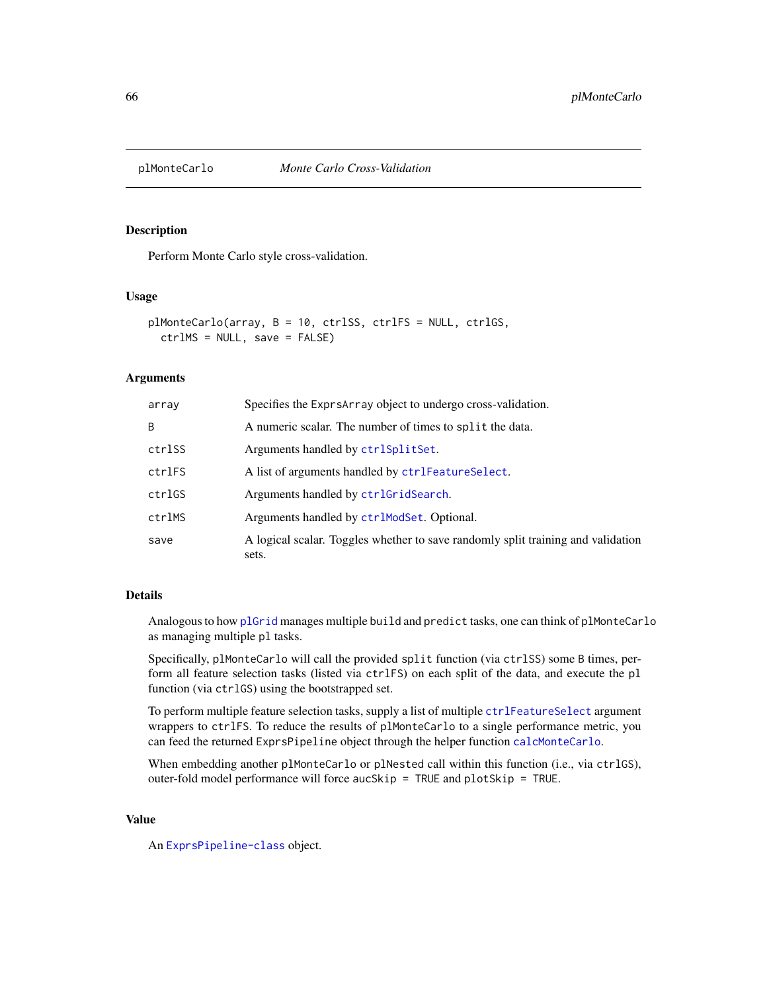<span id="page-65-0"></span>

Perform Monte Carlo style cross-validation.

#### Usage

```
plMonteCarlo(array, B = 10, ctrlSS, ctrlFS = NULL, ctrlGS,
  ctrlMS = NULL, save = FALSE)
```
# Arguments

| array  | Specifies the Exprs Array object to undergo cross-validation.                             |
|--------|-------------------------------------------------------------------------------------------|
| B      | A numeric scalar. The number of times to split the data.                                  |
| ctrlSS | Arguments handled by ctrlSplitSet.                                                        |
| ctrlFS | A list of arguments handled by ctrlFeatureSelect.                                         |
| ctrlGS | Arguments handled by ctrlGridSearch.                                                      |
| ctrlMS | Arguments handled by ctrlModSet. Optional.                                                |
| save   | A logical scalar. Toggles whether to save randomly split training and validation<br>sets. |

#### Details

Analogous to how [plGrid](#page-63-0) manages multiple build and predict tasks, one can think of plMonteCarlo as managing multiple pl tasks.

Specifically, plMonteCarlo will call the provided split function (via ctrlSS) some B times, perform all feature selection tasks (listed via ctrlFS) on each split of the data, and execute the pl function (via ctrlGS) using the bootstrapped set.

To perform multiple feature selection tasks, supply a list of multiple [ctrlFeatureSelect](#page-20-0) argument wrappers to ctrlFS. To reduce the results of plMonteCarlo to a single performance metric, you can feed the returned ExprsPipeline object through the helper function [calcMonteCarlo](#page-15-0).

When embedding another plMonteCarlo or plNested call within this function (i.e., via ctrlGS), outer-fold model performance will force aucSkip = TRUE and plotSkip = TRUE.

#### Value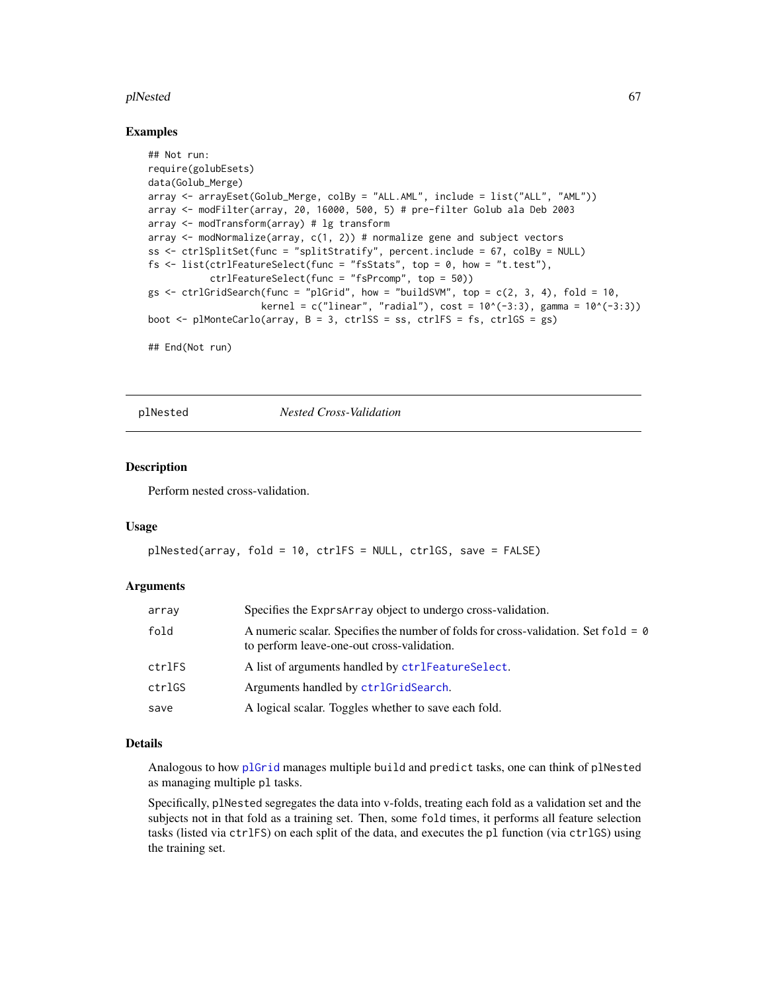#### plNested 67

#### Examples

```
## Not run:
require(golubEsets)
data(Golub_Merge)
array <- arrayEset(Golub_Merge, colBy = "ALL.AML", include = list("ALL", "AML"))
array <- modFilter(array, 20, 16000, 500, 5) # pre-filter Golub ala Deb 2003
array <- modTransform(array) # lg transform
array <- modNormalize(array, c(1, 2)) # normalize gene and subject vectors
ss <- ctrlSplitSet(func = "splitStratify", percent.include = 67, colBy = NULL)
fs \le list(ctrlFeatureSelect(func = "fsStats", top = 0, how = "t.test"),
           ctrlFeatureSelect(func = "fsPrcomp", top = 50))
gs \le - ctrlGridSearch(func = "plGrid", how = "buildSVM", top = c(2, 3, 4), fold = 10,
                    kernel = c("linear", "radial"), cost = 10^{-(-3:3)}, gamma = 10^{-(-3:3)})
boot \leq plMonteCarlo(array, B = 3, ctrlSS = ss, ctrlFS = fs, ctrlGS = gs)
## End(Not run)
```
<span id="page-66-0"></span>plNested *Nested Cross-Validation*

# **Description**

Perform nested cross-validation.

#### Usage

```
plNested(array, fold = 10, ctrlFS = NULL, ctrlGS, save = FALSE)
```
#### Arguments

| array  | Specifies the Exprs Array object to undergo cross-validation.                                                                           |
|--------|-----------------------------------------------------------------------------------------------------------------------------------------|
| fold   | A numeric scalar. Specifies the number of folds for cross-validation. Set fold = $\theta$<br>to perform leave-one-out cross-validation. |
| ctrlFS | A list of arguments handled by ctrlFeatureSelect.                                                                                       |
| ctrlGS | Arguments handled by ctrlGridSearch.                                                                                                    |
| save   | A logical scalar. Toggles whether to save each fold.                                                                                    |

#### Details

Analogous to how [plGrid](#page-63-0) manages multiple build and predict tasks, one can think of plNested as managing multiple pl tasks.

Specifically, plNested segregates the data into v-folds, treating each fold as a validation set and the subjects not in that fold as a training set. Then, some fold times, it performs all feature selection tasks (listed via ctrlFS) on each split of the data, and executes the pl function (via ctrlGS) using the training set.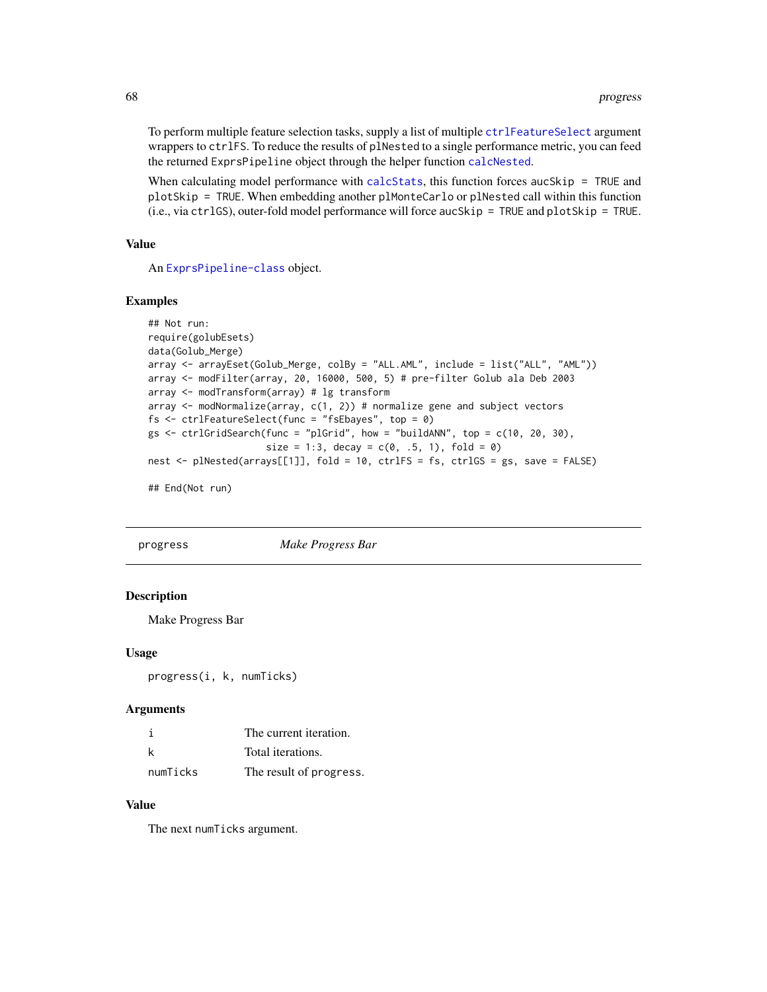To perform multiple feature selection tasks, supply a list of multiple [ctrlFeatureSelect](#page-20-0) argument wrappers to ctrlFS. To reduce the results of plNested to a single performance metric, you can feed the returned ExprsPipeline object through the helper function [calcNested](#page-16-1).

When calculating model performance with [calcStats](#page-16-0), this function forces aucSkip = TRUE and plotSkip = TRUE. When embedding another plMonteCarlo or plNested call within this function (i.e., via ctrlGS), outer-fold model performance will force aucSkip = TRUE and plotSkip = TRUE.

#### Value

An [ExprsPipeline-class](#page-30-0) object.

#### Examples

```
## Not run:
require(golubEsets)
data(Golub_Merge)
array <- arrayEset(Golub_Merge, colBy = "ALL.AML", include = list("ALL", "AML"))
array <- modFilter(array, 20, 16000, 500, 5) # pre-filter Golub ala Deb 2003
array <- modTransform(array) # lg transform
array \leq modNormalize(array, c(1, 2)) # normalize gene and subject vectors
fs <- ctrlFeatureSelect(func = "fsEbayes", top = 0)
gs < - \text{ctrlGridSearch}(func = "plGrid", how = "buildANN", top = c(10, 20, 30),
                     size = 1:3, decay = c(0, .5, 1), fold = 0)nest <- plNested(arrays[[1]], fold = 10, ctrlFS = fs, ctrlGS = gs, save = FALSE)
## End(Not run)
```
progress *Make Progress Bar*

#### Description

Make Progress Bar

#### Usage

progress(i, k, numTicks)

#### **Arguments**

|          | The current iteration.  |
|----------|-------------------------|
| k        | Total iterations.       |
| numTicks | The result of progress. |

# Value

The next numTicks argument.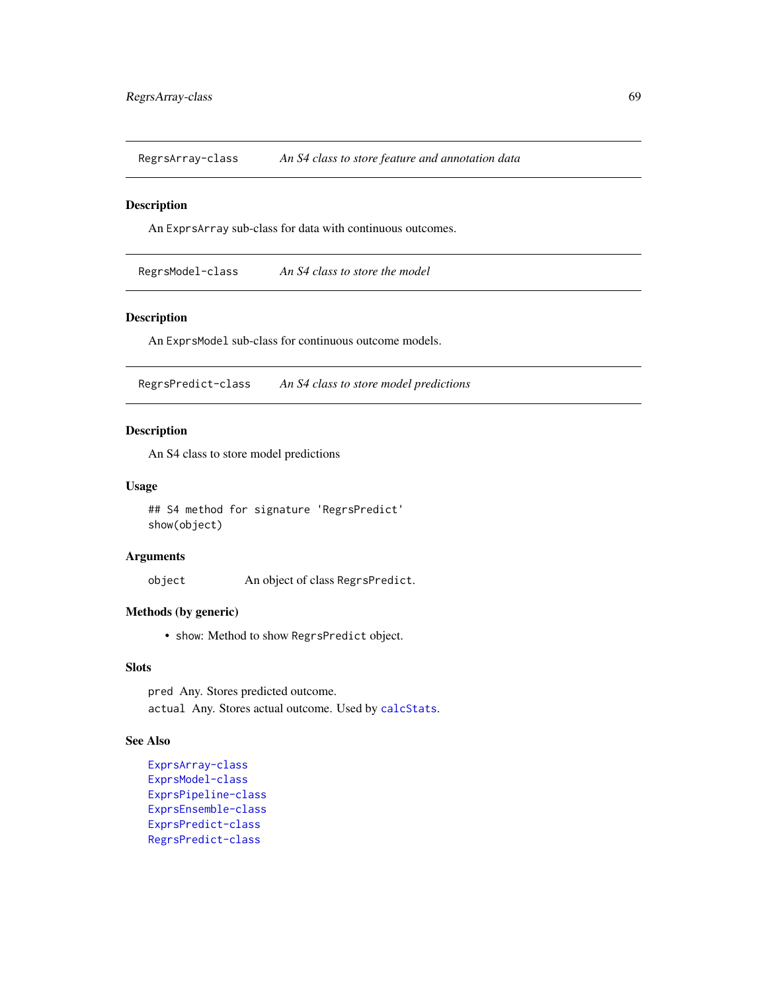RegrsArray-class *An S4 class to store feature and annotation data*

#### Description

An ExprsArray sub-class for data with continuous outcomes.

RegrsModel-class *An S4 class to store the model*

# Description

An ExprsModel sub-class for continuous outcome models.

<span id="page-68-0"></span>RegrsPredict-class *An S4 class to store model predictions*

# Description

An S4 class to store model predictions

#### Usage

## S4 method for signature 'RegrsPredict' show(object)

# Arguments

object An object of class RegrsPredict.

# Methods (by generic)

• show: Method to show RegrsPredict object.

### Slots

pred Any. Stores predicted outcome. actual Any. Stores actual outcome. Used by [calcStats](#page-16-0).

#### See Also

```
ExprsArray-class
ExprsModel-class
ExprsPipeline-class
ExprsEnsemble-class
ExprsPredict-class
RegrsPredict-class
```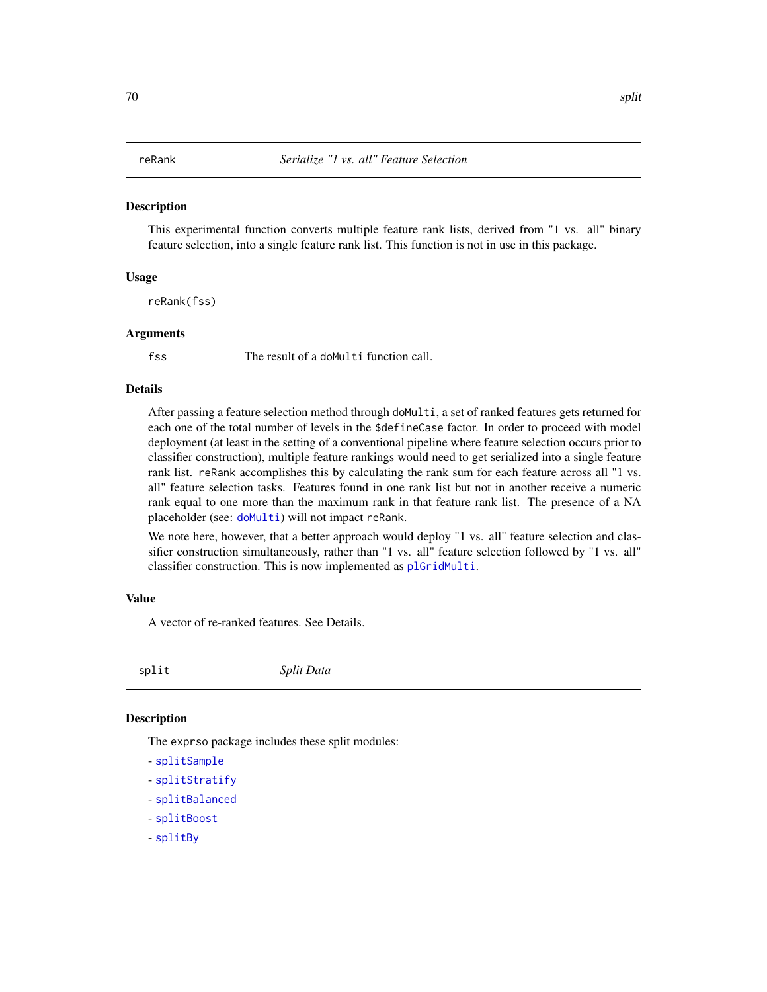This experimental function converts multiple feature rank lists, derived from "1 vs. all" binary feature selection, into a single feature rank list. This function is not in use in this package.

#### Usage

reRank(fss)

#### Arguments

fss The result of a doMulti function call.

#### Details

After passing a feature selection method through doMulti, a set of ranked features gets returned for each one of the total number of levels in the \$defineCase factor. In order to proceed with model deployment (at least in the setting of a conventional pipeline where feature selection occurs prior to classifier construction), multiple feature rankings would need to get serialized into a single feature rank list. reRank accomplishes this by calculating the rank sum for each feature across all "1 vs. all" feature selection tasks. Features found in one rank list but not in another receive a numeric rank equal to one more than the maximum rank in that feature rank list. The presence of a NA placeholder (see: [doMulti](#page-23-0)) will not impact reRank.

We note here, however, that a better approach would deploy "1 vs. all" feature selection and classifier construction simultaneously, rather than "1 vs. all" feature selection followed by "1 vs. all" classifier construction. This is now implemented as [plGridMulti](#page-64-0).

#### Value

A vector of re-ranked features. See Details.

split *Split Data*

#### **Description**

The exprso package includes these split modules:

- [splitSample](#page-71-0)
- [splitStratify](#page-72-0)
- [splitBalanced](#page-70-0)
- [splitBoost](#page-70-1)
- [splitBy](#page-71-1)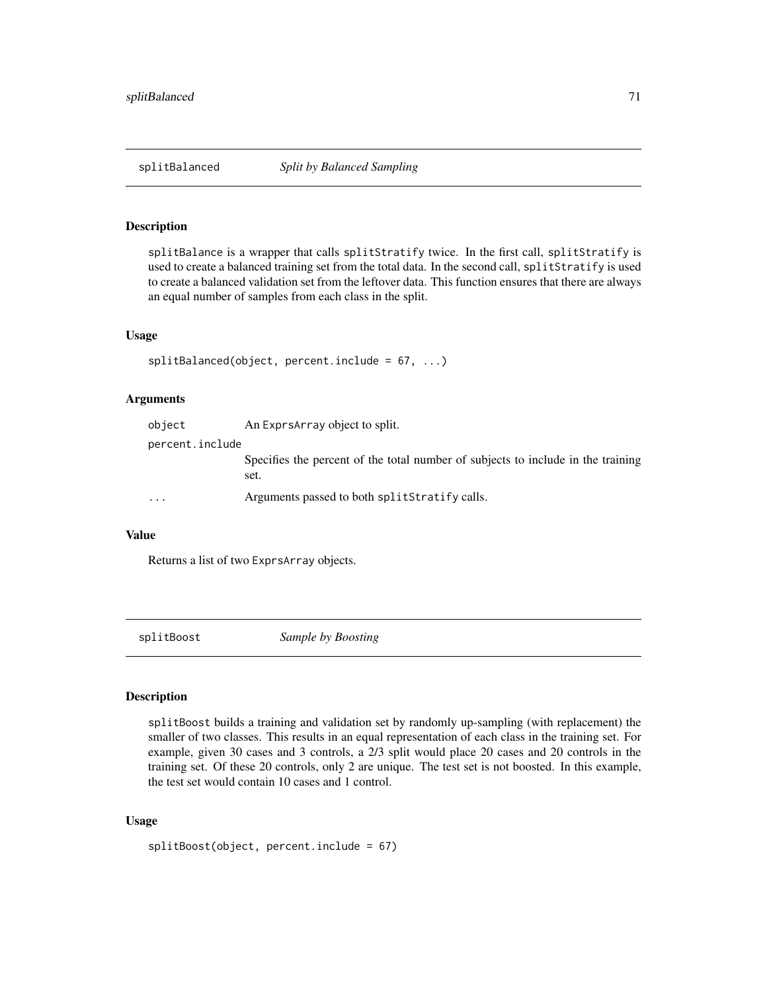<span id="page-70-0"></span>

splitBalance is a wrapper that calls splitStratify twice. In the first call, splitStratify is used to create a balanced training set from the total data. In the second call, splitStratify is used to create a balanced validation set from the leftover data. This function ensures that there are always an equal number of samples from each class in the split.

#### Usage

```
splitBalanced(object, percent.include = 67, ...)
```
#### Arguments

| object          | An Exprs Array object to split.                                                          |
|-----------------|------------------------------------------------------------------------------------------|
| percent.include |                                                                                          |
|                 | Specifies the percent of the total number of subjects to include in the training<br>set. |
| $\ddotsc$       | Arguments passed to both splitStratify calls.                                            |

#### Value

Returns a list of two ExprsArray objects.

<span id="page-70-1"></span>

splitBoost *Sample by Boosting*

## Description

splitBoost builds a training and validation set by randomly up-sampling (with replacement) the smaller of two classes. This results in an equal representation of each class in the training set. For example, given 30 cases and 3 controls, a 2/3 split would place 20 cases and 20 controls in the training set. Of these 20 controls, only 2 are unique. The test set is not boosted. In this example, the test set would contain 10 cases and 1 control.

## Usage

```
splitBoost(object, percent.include = 67)
```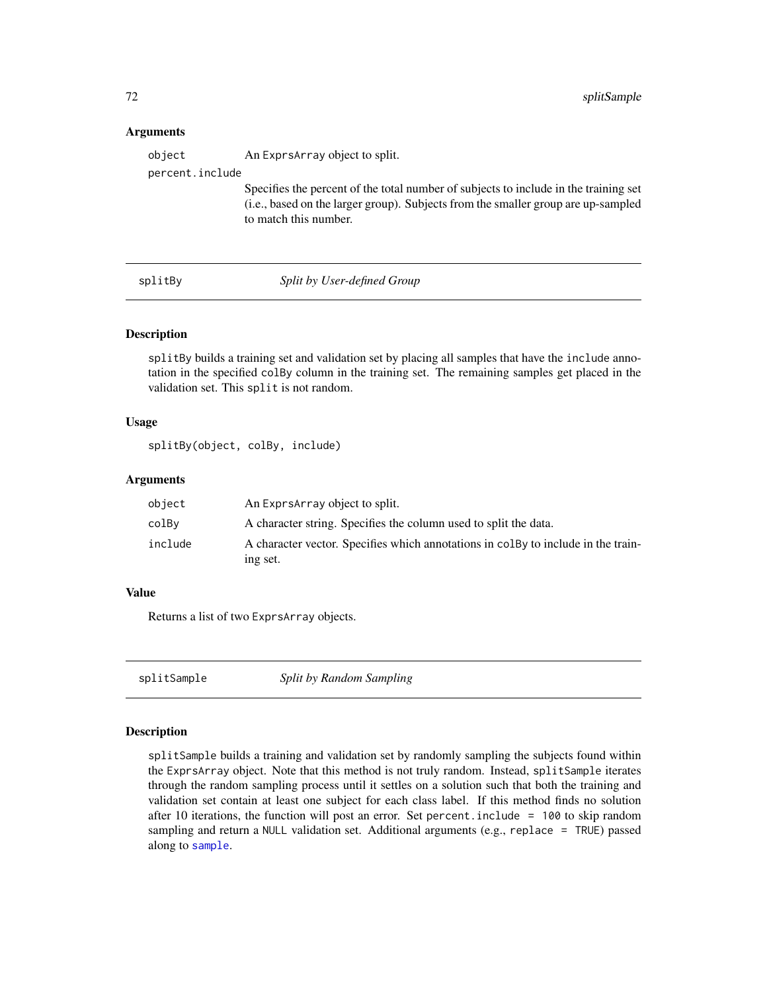#### **Arguments**

| object          | An Exprs Array object to split.                                                                                                                                                                    |
|-----------------|----------------------------------------------------------------------------------------------------------------------------------------------------------------------------------------------------|
| percent.include |                                                                                                                                                                                                    |
|                 | Specifies the percent of the total number of subjects to include in the training set<br>(i.e., based on the larger group). Subjects from the smaller group are up-sampled<br>to match this number. |

#### <span id="page-71-1"></span>splitBy *Split by User-defined Group*

#### Description

splitBy builds a training set and validation set by placing all samples that have the include annotation in the specified colBy column in the training set. The remaining samples get placed in the validation set. This split is not random.

# Usage

```
splitBy(object, colBy, include)
```
#### Arguments

| object  | An ExprsArray object to split.                                                                |
|---------|-----------------------------------------------------------------------------------------------|
| colBv   | A character string. Specifies the column used to split the data.                              |
| include | A character vector. Specifies which annotations in colby to include in the train-<br>ing set. |

# Value

Returns a list of two ExprsArray objects.

<span id="page-71-0"></span>splitSample *Split by Random Sampling*

### Description

splitSample builds a training and validation set by randomly sampling the subjects found within the ExprsArray object. Note that this method is not truly random. Instead, splitSample iterates through the random sampling process until it settles on a solution such that both the training and validation set contain at least one subject for each class label. If this method finds no solution after 10 iterations, the function will post an error. Set percent.include =  $100$  to skip random sampling and return a NULL validation set. Additional arguments (e.g., replace = TRUE) passed along to [sample](#page-0-0).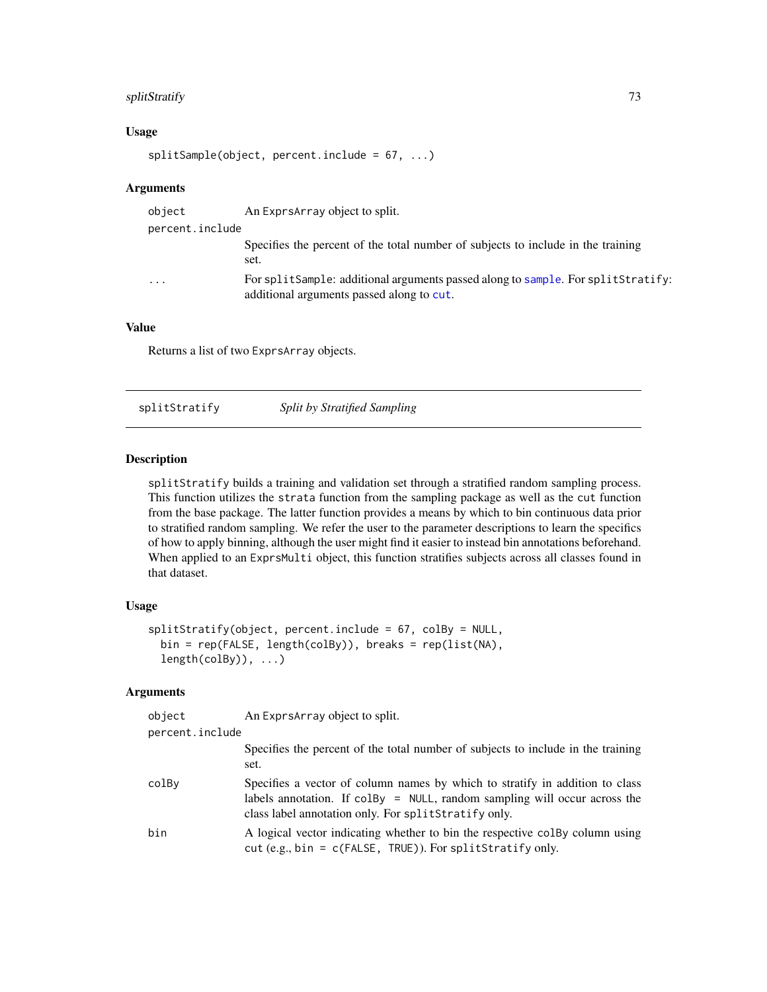## <span id="page-72-0"></span>splitStratify 73

#### Usage

splitSample(object, percent.include = 67, ...)

#### Arguments

| object          | An Exprs Array object to split.                                                                                               |
|-----------------|-------------------------------------------------------------------------------------------------------------------------------|
| percent.include |                                                                                                                               |
|                 | Specifies the percent of the total number of subjects to include in the training<br>set.                                      |
| $\ddotsc$       | For splitSample: additional arguments passed along to sample. For splitStratify:<br>additional arguments passed along to cut. |

#### Value

Returns a list of two ExprsArray objects.

splitStratify *Split by Stratified Sampling*

#### Description

splitStratify builds a training and validation set through a stratified random sampling process. This function utilizes the strata function from the sampling package as well as the cut function from the base package. The latter function provides a means by which to bin continuous data prior to stratified random sampling. We refer the user to the parameter descriptions to learn the specifics of how to apply binning, although the user might find it easier to instead bin annotations beforehand. When applied to an ExprsMulti object, this function stratifies subjects across all classes found in that dataset.

# Usage

```
splitStratify(object, percent.include = 67, colBy = NULL,
 bin = rep(FALSE, length(colBy)), breaks = rep(list(NA),
  length(colBy)), ...)
```
#### Arguments

| object          | An Exprs Array object to split.                                                                                                                                                                                                    |
|-----------------|------------------------------------------------------------------------------------------------------------------------------------------------------------------------------------------------------------------------------------|
| percent.include |                                                                                                                                                                                                                                    |
|                 | Specifies the percent of the total number of subjects to include in the training<br>set.                                                                                                                                           |
| colBy           | Specifies a vector of column names by which to stratify in addition to class<br>labels annotation. If $\text{colBy} = \text{NULL}$ , random sampling will occur across the<br>class label annotation only. For splitStratify only. |
| bin             | A logical vector indicating whether to bin the respective colBy column using<br>cut (e.g., bin = $c$ (FALSE, TRUE)). For splitStratify only.                                                                                       |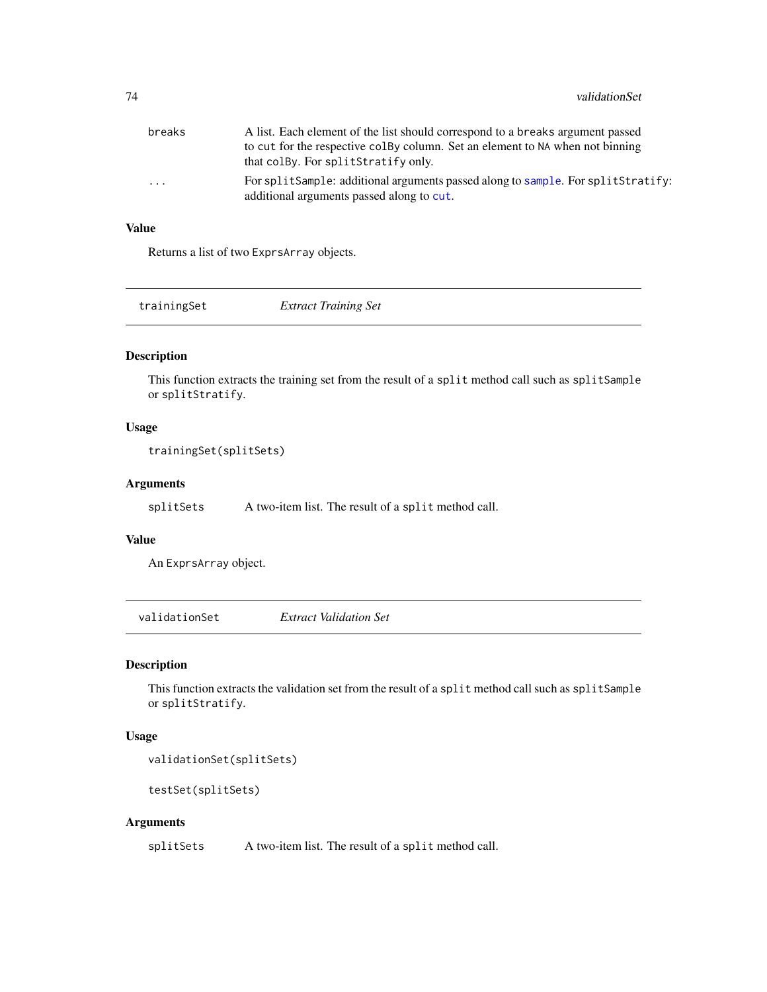<span id="page-73-0"></span>

| breaks                  | A list. Each element of the list should correspond to a breaks argument passed                                                |  |
|-------------------------|-------------------------------------------------------------------------------------------------------------------------------|--|
|                         | to cut for the respective colby column. Set an element to NA when not binning                                                 |  |
|                         | that colBy. For splitStratify only.                                                                                           |  |
| $\cdot$ $\cdot$ $\cdot$ | For splitSample: additional arguments passed along to sample. For splitStratify:<br>additional arguments passed along to cut. |  |

# Value

Returns a list of two ExprsArray objects.

| trainingSet | <b>Extract Training Set</b> |  |
|-------------|-----------------------------|--|
|             |                             |  |

#### Description

This function extracts the training set from the result of a split method call such as splitSample or splitStratify.

## Usage

```
trainingSet(splitSets)
```
#### Arguments

splitSets A two-item list. The result of a split method call.

#### Value

An ExprsArray object.

validationSet *Extract Validation Set*

## Description

This function extracts the validation set from the result of a split method call such as splitSample or splitStratify.

#### Usage

validationSet(splitSets)

testSet(splitSets)

#### Arguments

splitSets A two-item list. The result of a split method call.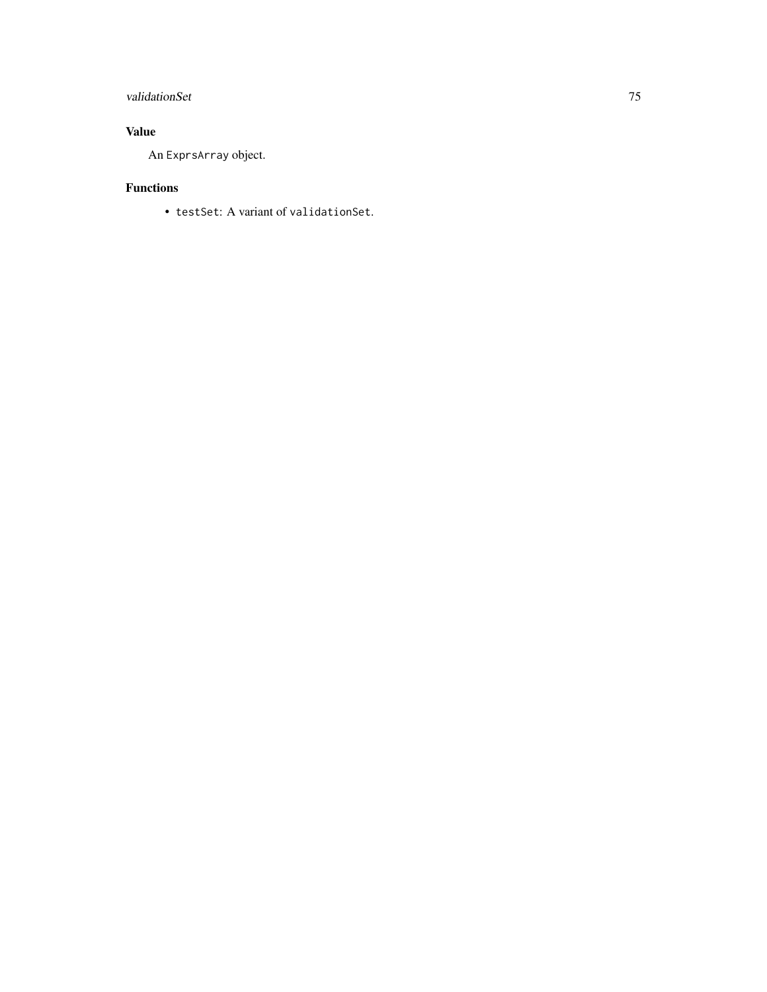# validationSet 75

# Value

An ExprsArray object.

# Functions

• testSet: A variant of validationSet.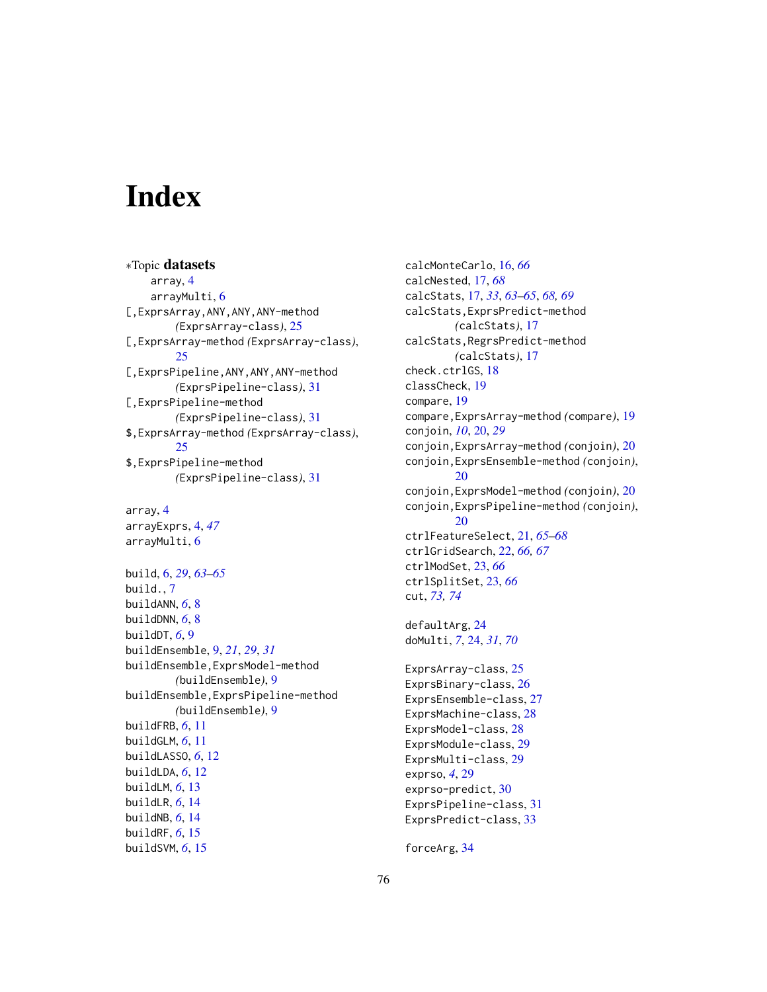# **Index**

∗Topic datasets array, [4](#page-3-0) arrayMulti, [6](#page-5-0) [,ExprsArray,ANY,ANY,ANY-method *(*ExprsArray-class*)*, [25](#page-24-0) [,ExprsArray-method *(*ExprsArray-class*)*, [25](#page-24-0) [,ExprsPipeline,ANY,ANY,ANY-method *(*ExprsPipeline-class*)*, [31](#page-30-0) [,ExprsPipeline-method *(*ExprsPipeline-class*)*, [31](#page-30-0) \$,ExprsArray-method *(*ExprsArray-class*)*, [25](#page-24-0) \$,ExprsPipeline-method *(*ExprsPipeline-class*)*, [31](#page-30-0)

array, [4](#page-3-0) arrayExprs, [4,](#page-3-0) *[47](#page-46-0)* arrayMulti, [6](#page-5-0)

build, [6,](#page-5-0) *[29](#page-28-0)*, *[63](#page-62-0)[–65](#page-64-0)* build., [7](#page-6-0) buildANN, *[6](#page-5-0)*, [8](#page-7-0) buildDNN, *[6](#page-5-0)*, [8](#page-7-0) buildDT, *[6](#page-5-0)*, [9](#page-8-0) buildEnsemble, [9,](#page-8-0) *[21](#page-20-0)*, *[29](#page-28-0)*, *[31](#page-30-0)* buildEnsemble,ExprsModel-method *(*buildEnsemble*)*, [9](#page-8-0) buildEnsemble,ExprsPipeline-method *(*buildEnsemble*)*, [9](#page-8-0) buildFRB, *[6](#page-5-0)*, [11](#page-10-0) buildGLM, *[6](#page-5-0)*, [11](#page-10-0) buildLASSO, *[6](#page-5-0)*, [12](#page-11-0) buildLDA, *[6](#page-5-0)*, [12](#page-11-0) buildLM, *[6](#page-5-0)*, [13](#page-12-0) buildLR, *[6](#page-5-0)*, [14](#page-13-0) buildNB, *[6](#page-5-0)*, [14](#page-13-0) buildRF, *[6](#page-5-0)*, [15](#page-14-0) buildSVM, *[6](#page-5-0)*, [15](#page-14-0)

calcMonteCarlo, [16,](#page-15-0) *[66](#page-65-0)* calcNested, [17,](#page-16-0) *[68](#page-67-0)* calcStats, [17,](#page-16-0) *[33](#page-32-0)*, *[63](#page-62-0)[–65](#page-64-0)*, *[68,](#page-67-0) [69](#page-68-0)* calcStats,ExprsPredict-method *(*calcStats*)*, [17](#page-16-0) calcStats,RegrsPredict-method *(*calcStats*)*, [17](#page-16-0) check.ctrlGS, [18](#page-17-0) classCheck, [19](#page-18-0) compare, [19](#page-18-0) compare,ExprsArray-method *(*compare*)*, [19](#page-18-0) conjoin, *[10](#page-9-0)*, [20,](#page-19-0) *[29](#page-28-0)* conjoin,ExprsArray-method *(*conjoin*)*, [20](#page-19-0) conjoin,ExprsEnsemble-method *(*conjoin*)*, [20](#page-19-0) conjoin,ExprsModel-method *(*conjoin*)*, [20](#page-19-0) conjoin,ExprsPipeline-method *(*conjoin*)*,  $20$ ctrlFeatureSelect, [21,](#page-20-0) *[65](#page-64-0)[–68](#page-67-0)* ctrlGridSearch, [22,](#page-21-0) *[66,](#page-65-0) [67](#page-66-0)* ctrlModSet, [23,](#page-22-0) *[66](#page-65-0)* ctrlSplitSet, [23,](#page-22-0) *[66](#page-65-0)* cut, *[73,](#page-72-0) [74](#page-73-0)* defaultArg, [24](#page-23-0)

doMulti, *[7](#page-6-0)*, [24,](#page-23-0) *[31](#page-30-0)*, *[70](#page-69-0)*

ExprsArray-class, [25](#page-24-0) ExprsBinary-class, [26](#page-25-0) ExprsEnsemble-class, [27](#page-26-0) ExprsMachine-class, [28](#page-27-0) ExprsModel-class, [28](#page-27-0) ExprsModule-class, [29](#page-28-0) ExprsMulti-class, [29](#page-28-0) exprso, *[4](#page-3-0)*, [29](#page-28-0) exprso-predict, [30](#page-29-0) ExprsPipeline-class, [31](#page-30-0) ExprsPredict-class, [33](#page-32-0)

forceArg, [34](#page-33-0)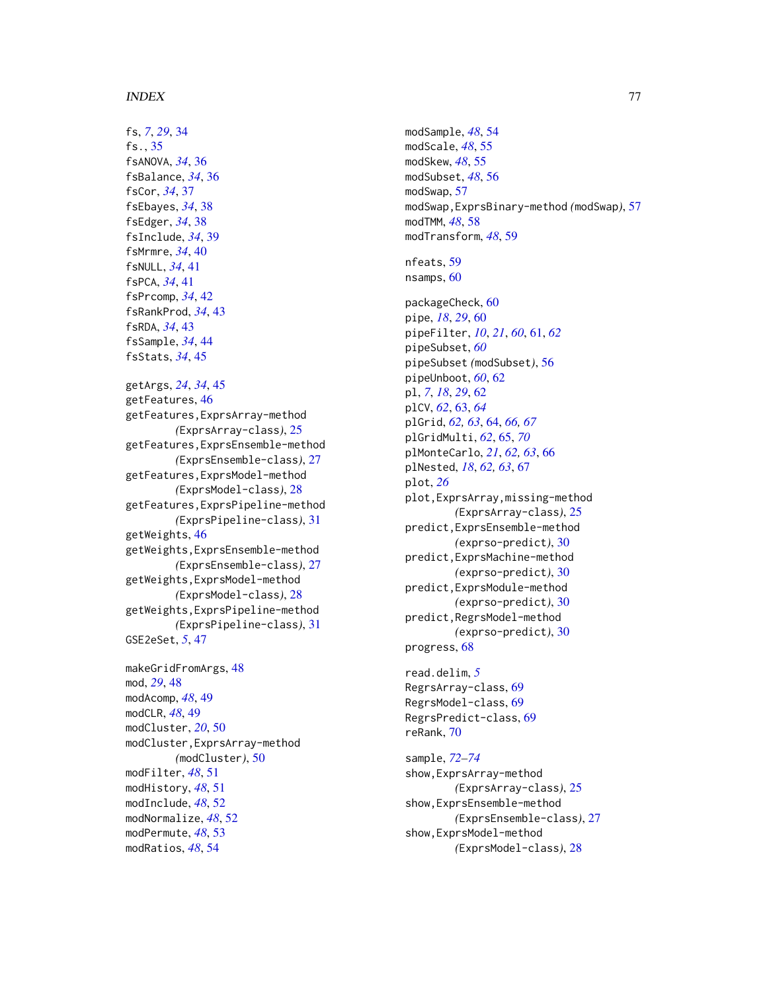#### INDEX 277

fs, *[7](#page-6-0)*, *[29](#page-28-0)*, [34](#page-33-0) fs., [35](#page-34-0) fsANOVA, *[34](#page-33-0)*, [36](#page-35-0) fsBalance, *[34](#page-33-0)*, [36](#page-35-0) fsCor, *[34](#page-33-0)*, [37](#page-36-0) fsEbayes, *[34](#page-33-0)*, [38](#page-37-0) fsEdger, *[34](#page-33-0)*, [38](#page-37-0) fsInclude, *[34](#page-33-0)*, [39](#page-38-0) fsMrmre, *[34](#page-33-0)*, [40](#page-39-0) fsNULL, *[34](#page-33-0)*, [41](#page-40-0) fsPCA, *[34](#page-33-0)*, [41](#page-40-0) fsPrcomp, *[34](#page-33-0)*, [42](#page-41-0) fsRankProd, *[34](#page-33-0)*, [43](#page-42-0) fsRDA, *[34](#page-33-0)*, [43](#page-42-0) fsSample, *[34](#page-33-0)*, [44](#page-43-0) fsStats, *[34](#page-33-0)*, [45](#page-44-0)

```
getArgs, 24, 34, 45
getFeatures, 46
getFeatures,ExprsArray-method
        (ExprsArray-class), 25
getFeatures,ExprsEnsemble-method
        (ExprsEnsemble-class), 27
getFeatures,ExprsModel-method
        (ExprsModel-class), 28
getFeatures,ExprsPipeline-method
        (ExprsPipeline-class), 31
getWeights, 46
getWeights,ExprsEnsemble-method
        (ExprsEnsemble-class), 27
getWeights,ExprsModel-method
        (ExprsModel-class), 28
getWeights,ExprsPipeline-method
        (ExprsPipeline-class), 31
GSE2eSet, 5, 47
```
makeGridFromArgs, [48](#page-47-0) mod, *[29](#page-28-0)*, [48](#page-47-0) modAcomp, *[48](#page-47-0)*, [49](#page-48-0) modCLR, *[48](#page-47-0)*, [49](#page-48-0) modCluster, *[20](#page-19-0)*, [50](#page-49-0) modCluster,ExprsArray-method *(*modCluster*)*, [50](#page-49-0) modFilter, *[48](#page-47-0)*, [51](#page-50-0) modHistory, *[48](#page-47-0)*, [51](#page-50-0) modInclude, *[48](#page-47-0)*, [52](#page-51-0) modNormalize, *[48](#page-47-0)*, [52](#page-51-0) modPermute, *[48](#page-47-0)*, [53](#page-52-0) modRatios, *[48](#page-47-0)*, [54](#page-53-0)

modSample, *[48](#page-47-0)*, [54](#page-53-0) modScale, *[48](#page-47-0)*, [55](#page-54-0) modSkew, *[48](#page-47-0)*, [55](#page-54-0) modSubset, *[48](#page-47-0)*, [56](#page-55-0) modSwap, [57](#page-56-0) modSwap,ExprsBinary-method *(*modSwap*)*, [57](#page-56-0) modTMM, *[48](#page-47-0)*, [58](#page-57-0) modTransform, *[48](#page-47-0)*, [59](#page-58-0) nfeats, [59](#page-58-0) nsamps, [60](#page-59-0) packageCheck, [60](#page-59-0) pipe, *[18](#page-17-0)*, *[29](#page-28-0)*, [60](#page-59-0) pipeFilter, *[10](#page-9-0)*, *[21](#page-20-0)*, *[60](#page-59-0)*, [61,](#page-60-0) *[62](#page-61-0)* pipeSubset, *[60](#page-59-0)* pipeSubset *(*modSubset*)*, [56](#page-55-0) pipeUnboot, *[60](#page-59-0)*, [62](#page-61-0) pl, *[7](#page-6-0)*, *[18](#page-17-0)*, *[29](#page-28-0)*, [62](#page-61-0) plCV, *[62](#page-61-0)*, [63,](#page-62-0) *[64](#page-63-0)* plGrid, *[62,](#page-61-0) [63](#page-62-0)*, [64,](#page-63-0) *[66,](#page-65-0) [67](#page-66-0)* plGridMulti, *[62](#page-61-0)*, [65,](#page-64-0) *[70](#page-69-0)* plMonteCarlo, *[21](#page-20-0)*, *[62,](#page-61-0) [63](#page-62-0)*, [66](#page-65-0) plNested, *[18](#page-17-0)*, *[62,](#page-61-0) [63](#page-62-0)*, [67](#page-66-0) plot, *[26](#page-25-0)* plot,ExprsArray,missing-method *(*ExprsArray-class*)*, [25](#page-24-0) predict,ExprsEnsemble-method *(*exprso-predict*)*, [30](#page-29-0) predict,ExprsMachine-method *(*exprso-predict*)*, [30](#page-29-0) predict,ExprsModule-method *(*exprso-predict*)*, [30](#page-29-0) predict,RegrsModel-method *(*exprso-predict*)*, [30](#page-29-0) progress, [68](#page-67-0) read.delim, *[5](#page-4-0)*

RegrsArray-class, [69](#page-68-0) RegrsModel-class, [69](#page-68-0) RegrsPredict-class, [69](#page-68-0) reRank, [70](#page-69-0)

sample, *[72](#page-71-0)[–74](#page-73-0)* show,ExprsArray-method *(*ExprsArray-class*)*, [25](#page-24-0) show,ExprsEnsemble-method *(*ExprsEnsemble-class*)*, [27](#page-26-0) show,ExprsModel-method *(*ExprsModel-class*)*, [28](#page-27-0)